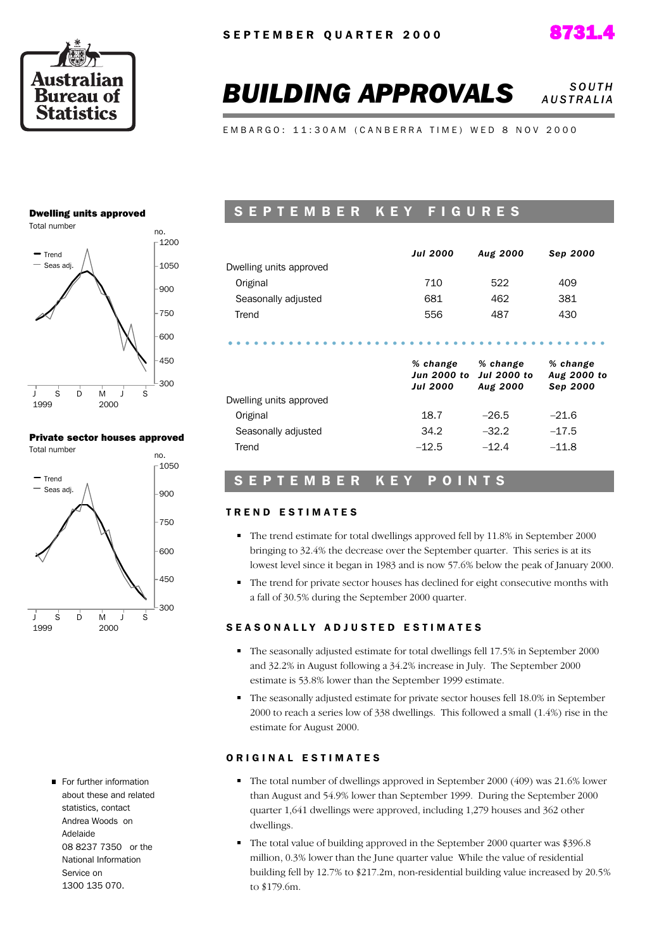



### **BUILDING APPROVALS** *SOUTH A U S T R A L I A*

E M B A R G O : 11:30 A M ( C A N B E R R A T I M E ) W E D 8 N O V 2000

### Dwelling units approved



### Private sector houses approved



For further information about these and related statistics, contact Andrea Woods on Adelaide 08 8237 7350 or the National Information Service on 1300 135 070.

### SEPTEMBER KEY FIGURES

|                         | <b>Jul 2000</b>                            | Aug 2000                                   | Sep 2000                            |
|-------------------------|--------------------------------------------|--------------------------------------------|-------------------------------------|
| Dwelling units approved |                                            |                                            |                                     |
| Original                | 710                                        | 522                                        | 409                                 |
| Seasonally adjusted     | 681                                        | 462                                        | 381                                 |
| Trend                   | 556                                        | 487                                        | 430                                 |
|                         |                                            |                                            |                                     |
|                         | % change<br>Jun 2000 to<br><b>Jul 2000</b> | % change<br><b>Jul 2000 to</b><br>Aug 2000 | % change<br>Aug 2000 to<br>Sep 2000 |
| Dwelling units approved |                                            |                                            |                                     |
| Original                | 18.7                                       | $-26.5$                                    | $-21.6$                             |
| Seasonally adjusted     | 34.2                                       | $-32.2$                                    | $-17.5$                             |

### S E P T E M B E R K E Y P O I N T S

### TREND ESTIMATES

- The trend estimate for total dwellings approved fell by 11.8% in September 2000 bringing to 32.4% the decrease over the September quarter. This series is at its lowest level since it began in 1983 and is now 57.6% below the peak of January 2000.
- The trend for private sector houses has declined for eight consecutive months with a fall of 30.5% during the September 2000 quarter.

### SEASONALLY ADJUSTED ESTIMATES

- The seasonally adjusted estimate for total dwellings fell 17.5% in September 2000 and 32.2% in August following a 34.2% increase in July. The September 2000 estimate is 53.8% lower than the September 1999 estimate.
- The seasonally adjusted estimate for private sector houses fell 18.0% in September 2000 to reach a series low of 338 dwellings. This followed a small (1.4%) rise in the estimate for August 2000.

### ORIGINAL ESTIMATES

- The total number of dwellings approved in September 2000 (409) was 21.6% lower than August and 54.9% lower than September 1999. During the September 2000 quarter 1,641 dwellings were approved, including 1,279 houses and 362 other dwellings.
- The total value of building approved in the September 2000 quarter was \$396.8 million, 0.3% lower than the June quarter value While the value of residential building fell by 12.7% to \$217.2m, non-residential building value increased by 20.5% to \$179.6m.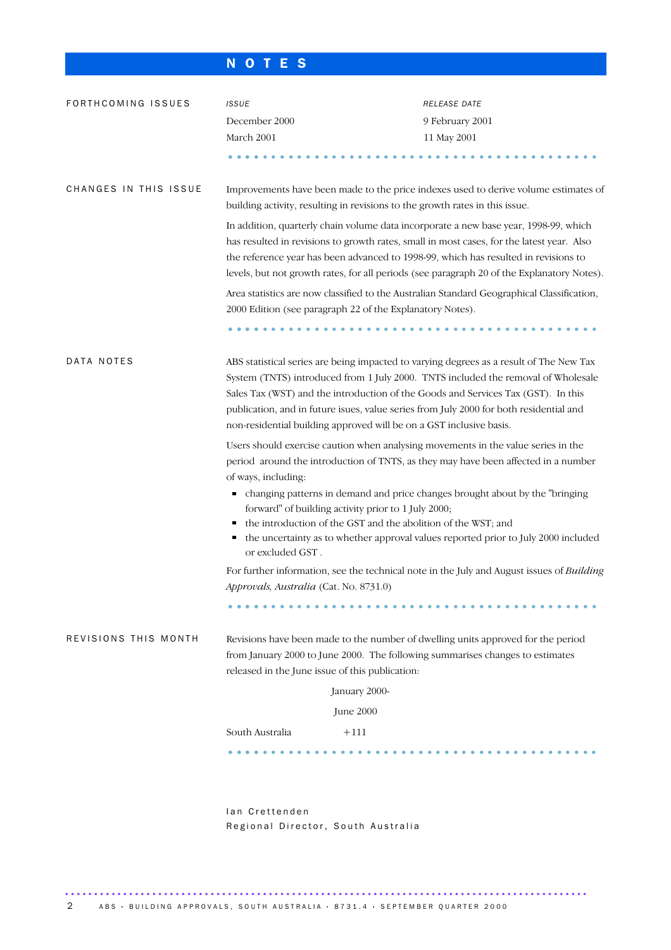### N O T E S

| FORTHCOMING ISSUES    | <b>ISSUE</b>                                    | RELEASE DATE                                                                                                                                                                                                                                                                                                                                                                                                                       |
|-----------------------|-------------------------------------------------|------------------------------------------------------------------------------------------------------------------------------------------------------------------------------------------------------------------------------------------------------------------------------------------------------------------------------------------------------------------------------------------------------------------------------------|
|                       | December 2000                                   | 9 February 2001                                                                                                                                                                                                                                                                                                                                                                                                                    |
|                       | March 2001                                      | 11 May 2001                                                                                                                                                                                                                                                                                                                                                                                                                        |
|                       |                                                 |                                                                                                                                                                                                                                                                                                                                                                                                                                    |
| CHANGES IN THIS ISSUE |                                                 | Improvements have been made to the price indexes used to derive volume estimates of<br>building activity, resulting in revisions to the growth rates in this issue.                                                                                                                                                                                                                                                                |
|                       |                                                 | In addition, quarterly chain volume data incorporate a new base year, 1998-99, which<br>has resulted in revisions to growth rates, small in most cases, for the latest year. Also<br>the reference year has been advanced to 1998-99, which has resulted in revisions to<br>levels, but not growth rates, for all periods (see paragraph 20 of the Explanatory Notes).                                                             |
|                       |                                                 | Area statistics are now classified to the Australian Standard Geographical Classification,<br>2000 Edition (see paragraph 22 of the Explanatory Notes).                                                                                                                                                                                                                                                                            |
|                       |                                                 |                                                                                                                                                                                                                                                                                                                                                                                                                                    |
| DATA NOTES            |                                                 | ABS statistical series are being impacted to varying degrees as a result of The New Tax<br>System (TNTS) introduced from 1 July 2000. TNTS included the removal of Wholesale<br>Sales Tax (WST) and the introduction of the Goods and Services Tax (GST). In this<br>publication, and in future isues, value series from July 2000 for both residential and<br>non-residential building approved will be on a GST inclusive basis. |
|                       | of ways, including:<br>п<br>г                   | Users should exercise caution when analysing movements in the value series in the<br>period around the introduction of TNTS, as they may have been affected in a number<br>changing patterns in demand and price changes brought about by the "bringing<br>forward" of building activity prior to 1 July 2000;<br>the introduction of the GST and the abolition of the WST; and                                                    |
|                       | Е<br>or excluded GST.                           | the uncertainty as to whether approval values reported prior to July 2000 included                                                                                                                                                                                                                                                                                                                                                 |
|                       | Approvals, Australia (Cat. No. 8731.0)          | For further information, see the technical note in the July and August issues of <i>Building</i>                                                                                                                                                                                                                                                                                                                                   |
|                       |                                                 |                                                                                                                                                                                                                                                                                                                                                                                                                                    |
| REVISIONS THIS MONTH  | released in the June issue of this publication: | Revisions have been made to the number of dwelling units approved for the period<br>from January 2000 to June 2000. The following summarises changes to estimates                                                                                                                                                                                                                                                                  |
|                       |                                                 | January 2000-                                                                                                                                                                                                                                                                                                                                                                                                                      |
|                       |                                                 | June 2000                                                                                                                                                                                                                                                                                                                                                                                                                          |
|                       | South Australia                                 | $+111$                                                                                                                                                                                                                                                                                                                                                                                                                             |
|                       |                                                 |                                                                                                                                                                                                                                                                                                                                                                                                                                    |
|                       |                                                 |                                                                                                                                                                                                                                                                                                                                                                                                                                    |
|                       | lan Crettenden                                  |                                                                                                                                                                                                                                                                                                                                                                                                                                    |

Regional Director, South Australia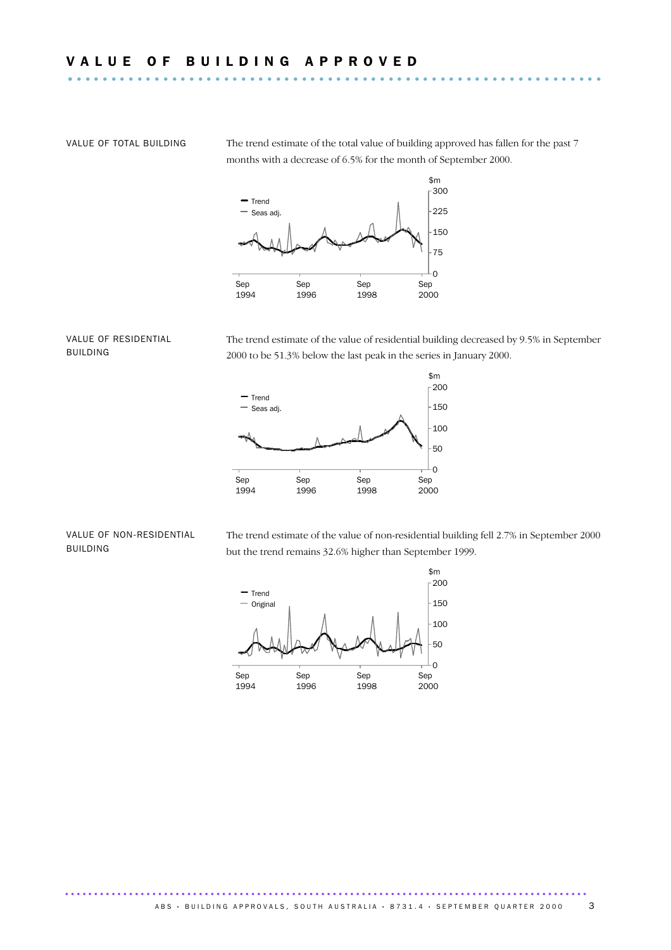VALUE OF TOTAL BUILDING The trend estimate of the total value of building approved has fallen for the past 7 months with a decrease of 6.5% for the month of September 2000.



### VALUE OF RESIDENTIAL BUILDING

The trend estimate of the value of residential building decreased by 9.5% in September 2000 to be 51.3% below the last peak in the series in January 2000.



#### VALUE OF NON-RESIDENTIAL BUILDING

The trend estimate of the value of non-residential building fell 2.7% in September 2000 but the trend remains 32.6% higher than September 1999.

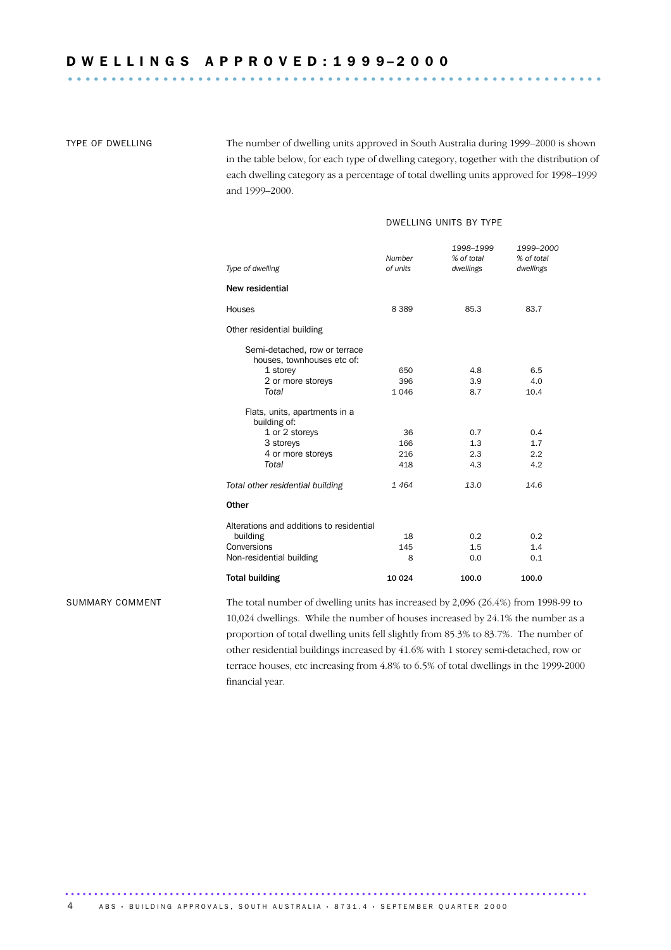TYPE OF DWELLING The number of dwelling units approved in South Australia during 1999–2000 is shown in the table below, for each type of dwelling category, together with the distribution of each dwelling category as a percentage of total dwelling units approved for 1998–1999 and 1999–2000.

### DWELLING UNITS BY TYPE

| Type of dwelling                                            | <b>Number</b><br>of units | 1998-1999<br>% of total<br>dwellings | 1999-2000<br>% of total<br>dwellings |
|-------------------------------------------------------------|---------------------------|--------------------------------------|--------------------------------------|
| New residential                                             |                           |                                      |                                      |
| Houses                                                      | 8 3 8 9                   | 85.3                                 | 83.7                                 |
| Other residential building                                  |                           |                                      |                                      |
| Semi-detached, row or terrace<br>houses, townhouses etc of: |                           |                                      |                                      |
| 1 storey                                                    | 650                       | 4.8                                  | 6.5                                  |
| 2 or more storeys                                           | 396                       | 3.9                                  | 4.0                                  |
| Total                                                       | 1 0 4 6                   | 8.7                                  | 10.4                                 |
| Flats, units, apartments in a<br>building of:               |                           |                                      |                                      |
| 1 or 2 storeys                                              | 36                        | 0.7                                  | 0.4                                  |
| 3 storeys                                                   | 166                       | 1.3                                  | 1.7                                  |
| 4 or more storeys                                           | 216                       | 2.3                                  | 2.2                                  |
| Total                                                       | 418                       | 4.3                                  | 4.2                                  |
| Total other residential building                            | 1464                      | 13.0                                 | 14.6                                 |
| Other                                                       |                           |                                      |                                      |
| Alterations and additions to residential                    |                           |                                      |                                      |
| building                                                    | 18                        | 0.2                                  | 0.2                                  |
| Conversions                                                 | 145                       | 1.5                                  | 1.4                                  |
| Non-residential building                                    | 8                         | 0.0                                  | 0.1                                  |
| <b>Total building</b>                                       | 10 0 24                   | 100.0                                | 100.0                                |

SUMMARY COMMENT The total number of dwelling units has increased by 2,096 (26.4%) from 1998-99 to 10,024 dwellings. While the number of houses increased by 24.1% the number as a proportion of total dwelling units fell slightly from 85.3% to 83.7%. The number of other residential buildings increased by 41.6% with 1 storey semi-detached, row or terrace houses, etc increasing from 4.8% to 6.5% of total dwellings in the 1999-2000 financial year.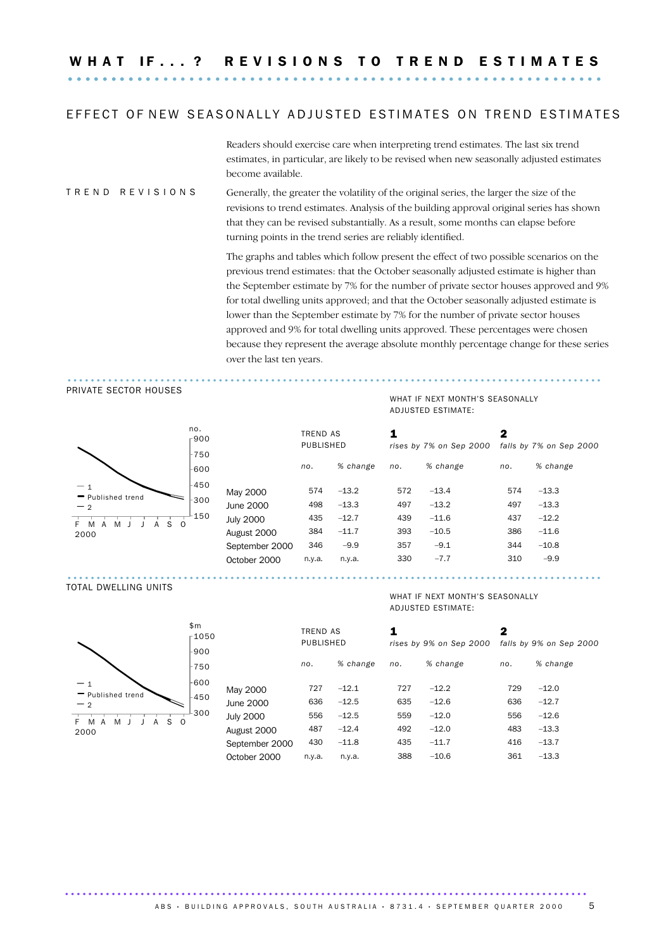### EFFECT OF NEW SEASONALLY ADJUSTED ESTIMATES ON TREND ESTIMATES

Readers should exercise care when interpreting trend estimates. The last six trend estimates, in particular, are likely to be revised when new seasonally adjusted estimates become available.

### T R E N D R E V I S I O N S Generally, the greater the volatility of the original series, the larger the size of the revisions to trend estimates. Analysis of the building approval original series has shown that they can be revised substantially. As a result, some months can elapse before turning points in the trend series are reliably identified.

The graphs and tables which follow present the effect of two possible scenarios on the previous trend estimates: that the October seasonally adjusted estimate is higher than the September estimate by 7% for the number of private sector houses approved and 9% for total dwelling units approved; and that the October seasonally adjusted estimate is lower than the September estimate by 7% for the number of private sector houses approved and 9% for total dwelling units approved. These percentages were chosen because they represent the average absolute monthly percentage change for these series over the last ten years.

### ............................................................................................ PRIVATE SECTOR HOUSES



### ADJUSTED ESTIMATE: 1 2

WHAT IF NEXT MONTH'S SEASONALLY

|                                    | $\overline{\mathbf{1}}$<br>r900 |                  | <b>TREND AS</b><br>PUBLISHED |          | 1   | rises by 7% on Sep 2000 | 2   | falls by 7% on Sep 2000 |
|------------------------------------|---------------------------------|------------------|------------------------------|----------|-----|-------------------------|-----|-------------------------|
|                                    | $-750$<br>-600                  |                  | no.                          | % change | no. | % change                | no. | % change                |
| $-1$<br>- Published trend          | -450                            | May 2000         | 574                          | $-13.2$  | 572 | $-13.4$                 | 574 | $-13.3$                 |
| $-2$                               | -300                            | June 2000        | 498                          | $-13.3$  | 497 | $-13.2$                 | 497 | $-13.3$                 |
| $S \cup$<br>M<br>M<br>F.<br>A<br>А | -150                            | <b>July 2000</b> | 435                          | $-12.7$  | 439 | $-11.6$                 | 437 | $-12.2$                 |
| 2000                               |                                 | August 2000      | 384                          | $-11.7$  | 393 | $-10.5$                 | 386 | $-11.6$                 |
|                                    |                                 | September 2000   | 346                          | $-9.9$   | 357 | $-9.1$                  | 344 | $-10.8$                 |
|                                    |                                 | October 2000     | n.y.a.                       | n.y.a.   | 330 | $-7.7$                  | 310 | $-9.9$                  |
|                                    |                                 |                  |                              |          |     |                         |     |                         |

#### TOTAL DWELLING UNITS



#### WHAT IF NEXT MONTH'S SEASONALLY ADJUSTED ESTIMATE:

| 50 |                  | TREND AS  |          |     |                         | 2   |                         |
|----|------------------|-----------|----------|-----|-------------------------|-----|-------------------------|
|    |                  | PUBLISHED |          |     | rises by 9% on Sep 2000 |     | falls by 9% on Sep 2000 |
|    |                  | no.       | % change | no. | % change                | no. | % change                |
|    | May 2000         | 727       | $-12.1$  | 727 | $-12.2$                 | 729 | $-12.0$                 |
|    | June 2000        | 636       | $-12.5$  | 635 | $-12.6$                 | 636 | $-12.7$                 |
|    | <b>July 2000</b> | 556       | $-12.5$  | 559 | $-12.0$                 | 556 | $-12.6$                 |
|    | August 2000      | 487       | $-12.4$  | 492 | $-12.0$                 | 483 | $-13.3$                 |
|    | September 2000   | 430       | $-11.8$  | 435 | $-11.7$                 | 416 | $-13.7$                 |
|    | October 2000     | n.y.a.    | n.y.a.   | 388 | $-10.6$                 | 361 | $-13.3$                 |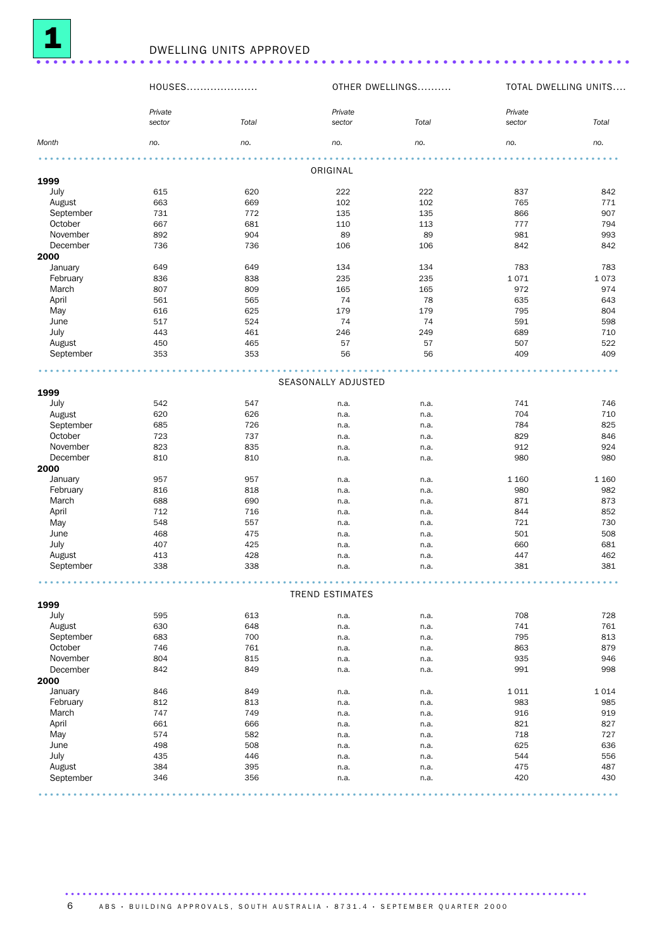

|           |                   | DWELLING UNITS APPROVED |                     |                 |                   |                      |
|-----------|-------------------|-------------------------|---------------------|-----------------|-------------------|----------------------|
|           | HOUSES            |                         |                     | OTHER DWELLINGS |                   | TOTAL DWELLING UNITS |
|           | Private<br>sector | Total                   | Private<br>sector   | Total           | Private<br>sector | Total                |
| Month     | no.               | no.                     | no.                 | no.             | no.               | no.                  |
|           |                   |                         | ORIGINAL            |                 |                   |                      |
| 1999      |                   |                         |                     |                 |                   |                      |
| July      | 615               | 620                     | 222                 | 222             | 837               | 842                  |
| August    | 663               | 669                     | 102                 | 102             | 765               | 771                  |
| September | 731               | 772                     | 135                 | 135             | 866               | 907                  |
| October   | 667               | 681                     | 110                 | 113             | 777               | 794                  |
| November  | 892               | 904                     | 89                  | 89              | 981               | 993                  |
| December  | 736               | 736                     | 106                 | 106             | 842               | 842                  |
| 2000      |                   |                         |                     |                 |                   |                      |
| January   | 649               | 649                     | 134                 | 134             | 783               | 783                  |
| February  | 836               | 838                     | 235                 | 235             | 1071              | 1073                 |
| March     | 807               | 809                     | 165                 | 165             | 972               | 974                  |
| April     | 561               | 565                     | 74                  | 78              | 635               | 643                  |
| May       | 616               | 625                     | 179                 | 179             | 795               | 804                  |
| June      | 517               | 524                     | 74                  | 74              | 591               | 598                  |
| July      | 443               | 461                     | 246                 | 249             | 689               | 710                  |
| August    | 450               | 465                     | 57                  | 57              | 507               | 522                  |
| September | 353               | 353                     | 56                  | 56              | 409               | 409                  |
|           |                   |                         |                     |                 |                   |                      |
| 1999      |                   |                         | SEASONALLY ADJUSTED |                 |                   |                      |
| July      | 542               | 547                     | n.a.                | n.a.            | 741               | 746                  |
| August    | 620               | 626                     | n.a.                | n.a.            | 704               | 710                  |
| September | 685               | 726                     | n.a.                | n.a.            | 784               | 825                  |
| October   | 723               | 737                     |                     |                 | 829               | 846                  |
| November  | 823               | 835                     | n.a.                | n.a.            | 912               | 924                  |
|           |                   |                         | n.a.                | n.a.            |                   |                      |
| December  | 810               | 810                     | n.a.                | n.a.            | 980               | 980                  |
| 2000      |                   |                         |                     |                 |                   |                      |
| January   | 957               | 957                     | n.a.                | n.a.            | 1 1 6 0           | 1 1 6 0              |
| February  | 816               | 818                     | n.a.                | n.a.            | 980               | 982                  |
| March     | 688               | 690                     | n.a.                | n.a.            | 871               | 873                  |
| April     | 712               | 716                     | n.a.                | n.a.            | 844               | 852                  |
| May       | 548               | 557                     | n.a.                | n.a.            | 721               | 730                  |
| June      | 468               | 475                     | n.a.                | n.a.            | 501               | 508                  |

### .................................................................................................... TREND ESTIMATES

July 407 425 n.a. n.a. 660 681 August 413 428 n.a. n.a. 447 462 September 338 338 n.a. n.a. 381 381

| 1999      |     |     |      |      |      |      |
|-----------|-----|-----|------|------|------|------|
| July      | 595 | 613 | n.a. | n.a. | 708  | 728  |
| August    | 630 | 648 | n.a. | n.a. | 741  | 761  |
| September | 683 | 700 | n.a. | n.a. | 795  | 813  |
| October   | 746 | 761 | n.a. | n.a. | 863  | 879  |
| November  | 804 | 815 | n.a. | n.a. | 935  | 946  |
| December  | 842 | 849 | n.a. | n.a. | 991  | 998  |
| 2000      |     |     |      |      |      |      |
| January   | 846 | 849 | n.a. | n.a. | 1011 | 1014 |
| February  | 812 | 813 | n.a. | n.a. | 983  | 985  |
| March     | 747 | 749 | n.a. | n.a. | 916  | 919  |
| April     | 661 | 666 | n.a. | n.a. | 821  | 827  |
| May       | 574 | 582 | n.a. | n.a. | 718  | 727  |
| June      | 498 | 508 | n.a. | n.a. | 625  | 636  |
| July      | 435 | 446 | n.a. | n.a. | 544  | 556  |
| August    | 384 | 395 | n.a. | n.a. | 475  | 487  |
| September | 346 | 356 | n.a. | n.a. | 420  | 430  |

.......................................................................................... A B S · BUIL DIN G A P P ROVALS, SOUTH AUSTRALIA · 8731.4 · SEPTEMBER QUARTER 2000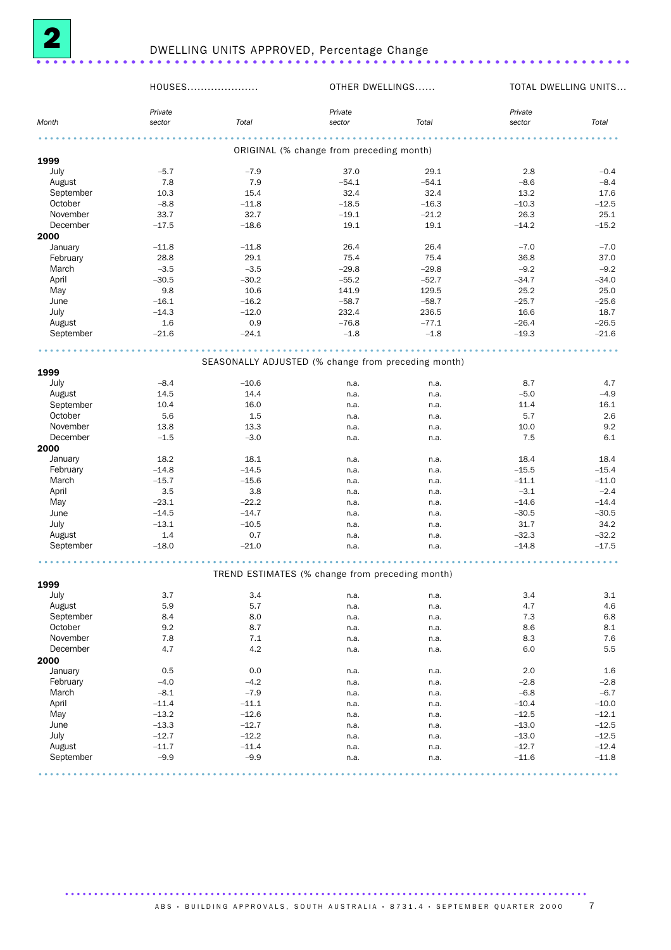

|           | HOUSES  |         | OTHER DWELLINGS                                     |         |         | TOTAL DWELLING UNITS |
|-----------|---------|---------|-----------------------------------------------------|---------|---------|----------------------|
|           | Private |         | Private                                             |         | Private |                      |
| Month     | sector  | Total   | sector                                              | Total   | sector  | Total                |
|           |         |         |                                                     |         |         |                      |
| 1999      |         |         | ORIGINAL (% change from preceding month)            |         |         |                      |
| July      | $-5.7$  | $-7.9$  | 37.0                                                | 29.1    | 2.8     | $-0.4$               |
| August    | 7.8     | 7.9     | $-54.1$                                             | $-54.1$ | $-8.6$  | $-8.4$               |
| September | 10.3    | 15.4    | 32.4                                                | 32.4    | 13.2    | 17.6                 |
| October   | $-8.8$  | $-11.8$ | $-18.5$                                             | $-16.3$ | $-10.3$ | $-12.5$              |
| November  | 33.7    | 32.7    | $-19.1$                                             | $-21.2$ | 26.3    | 25.1                 |
| December  | $-17.5$ | $-18.6$ | 19.1                                                | 19.1    | $-14.2$ | $-15.2$              |
| 2000      |         |         |                                                     |         |         |                      |
| January   | $-11.8$ | $-11.8$ | 26.4                                                | 26.4    | $-7.0$  | $-7.0$               |
| February  | 28.8    | 29.1    | 75.4                                                | 75.4    | 36.8    | 37.0                 |
| March     | $-3.5$  | $-3.5$  | $-29.8$                                             | $-29.8$ | $-9.2$  | $-9.2$               |
| April     | $-30.5$ | $-30.2$ | $-55.2$                                             | $-52.7$ | $-34.7$ | $-34.0$              |
| May       | 9.8     | 10.6    | 141.9                                               | 129.5   | 25.2    | 25.0                 |
| June      | $-16.1$ | $-16.2$ | $-58.7$                                             | $-58.7$ | $-25.7$ | $-25.6$              |
| July      | $-14.3$ | $-12.0$ | 232.4                                               | 236.5   | 16.6    | 18.7                 |
| August    | 1.6     | 0.9     | $-76.8$                                             | $-77.1$ | $-26.4$ | $-26.5$              |
| September | $-21.6$ | $-24.1$ | $-1.8$                                              | $-1.8$  | $-19.3$ | $-21.6$              |
|           |         |         |                                                     |         |         |                      |
| 1999      |         |         | SEASONALLY ADJUSTED (% change from preceding month) |         |         |                      |
| July      | $-8.4$  | $-10.6$ | n.a.                                                | n.a.    | 8.7     | 4.7                  |
| August    | 14.5    | 14.4    | n.a.                                                | n.a.    | $-5.0$  | $-4.9$               |
| September | 10.4    | 16.0    | n.a.                                                | n.a.    | 11.4    | 16.1                 |
| October   | 5.6     | 1.5     | n.a.                                                | n.a.    | 5.7     | 2.6                  |
| November  | 13.8    | 13.3    | n.a.                                                | n.a.    | 10.0    | 9.2                  |
| December  | $-1.5$  | $-3.0$  | n.a.                                                | n.a.    | 7.5     | 6.1                  |
| 2000      |         |         |                                                     |         |         |                      |
| January   | 18.2    | 18.1    | n.a.                                                | n.a.    | 18.4    | 18.4                 |
| February  | $-14.8$ | $-14.5$ | n.a.                                                | n.a.    | $-15.5$ | $-15.4$              |
| March     | $-15.7$ | $-15.6$ | n.a.                                                | n.a.    | $-11.1$ | $-11.0$              |
| April     | 3.5     | 3.8     | n.a.                                                | n.a.    | $-3.1$  | $-2.4$               |
| May       | $-23.1$ | $-22.2$ | n.a.                                                | n.a.    | $-14.6$ | $-14.4$              |
| June      | $-14.5$ | $-14.7$ | n.a.                                                | n.a.    | $-30.5$ | $-30.5$              |
| July      | $-13.1$ | $-10.5$ | n.a.                                                | n.a.    | 31.7    | 34.2                 |
| August    | $1.4\,$ | 0.7     | n.a.                                                | n.a.    | $-32.3$ | $-32.2$              |
| September | $-18.0$ | $-21.0$ | n.a.                                                | n.a.    | $-14.8$ | $-17.5$              |
|           |         |         |                                                     |         |         |                      |
| 1999      |         |         | TREND ESTIMATES (% change from preceding month)     |         |         |                      |
| July      | $3.7\,$ | $3.4\,$ | n.a.                                                | n.a.    | 3.4     | $3.1\,$              |
| August    | 5.9     | 5.7     | n.a.                                                | n.a.    | 4.7     | 4.6                  |
| September | 8.4     | 8.0     | n.a.                                                | n.a.    | 7.3     | 6.8                  |
| October   | 9.2     | 8.7     | n.a.                                                | n.a.    | 8.6     | 8.1                  |
| November  | 7.8     | 7.1     | n.a.                                                | n.a.    | 8.3     | 7.6                  |
| December  | 4.7     | 4.2     | n.a.                                                | n.a.    | 6.0     | 5.5                  |
| 2000      |         |         |                                                     |         |         |                      |
| January   | 0.5     | 0.0     | n.a.                                                | n.a.    | 2.0     | 1.6                  |
| February  | $-4.0$  | $-4.2$  | n.a.                                                | n.a.    | $-2.8$  | $-2.8$               |
| March     | $-8.1$  | $-7.9$  | n.a.                                                | n.a.    | $-6.8$  | $-6.7$               |
| April     | $-11.4$ | $-11.1$ | n.a.                                                | n.a.    | $-10.4$ | $-10.0$              |
| May       | $-13.2$ | $-12.6$ | n.a.                                                | n.a.    | $-12.5$ | $-12.1$              |
| June      | $-13.3$ | $-12.7$ | n.a.                                                | n.a.    | $-13.0$ | $-12.5$              |
| July      | $-12.7$ | $-12.2$ | n.a.                                                | n.a.    | $-13.0$ | $-12.5$              |
| August    | $-11.7$ | $-11.4$ | n.a.                                                | n.a.    | $-12.7$ | $-12.4$              |
| September | $-9.9$  | $-9.9$  | n.a.                                                | n.a.    | $-11.6$ | $-11.8$              |
|           |         |         |                                                     |         |         |                      |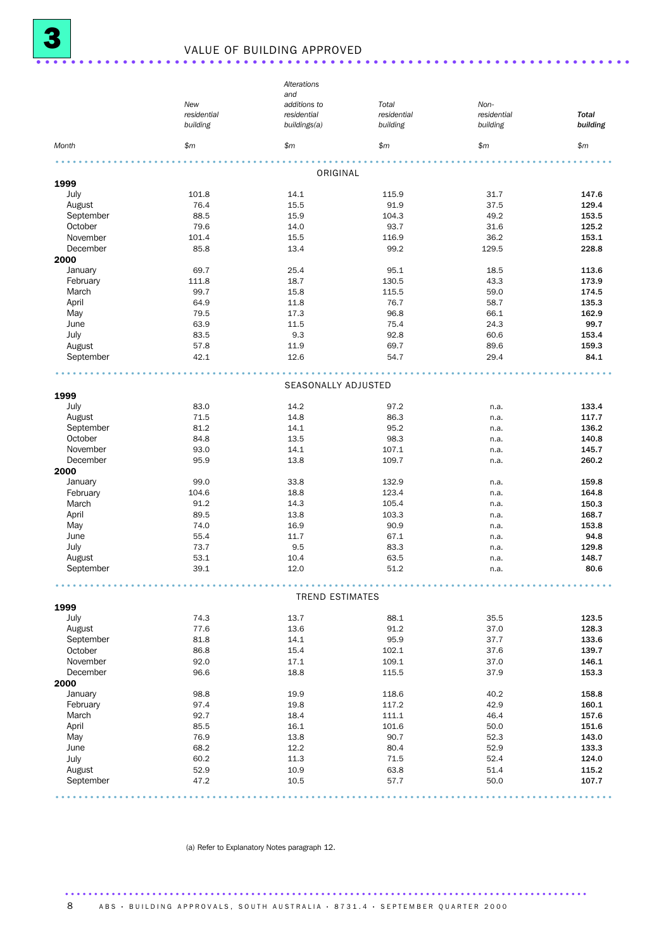## <sup>3</sup> VALUE OF BUILDING APPROVED ..................................................................... .

|           |             | Alterations            |             |             |              |
|-----------|-------------|------------------------|-------------|-------------|--------------|
|           |             | and                    |             |             |              |
|           | New         | additions to           | Total       | Non-        |              |
|           | residential | residential            | residential | residential | <b>Total</b> |
|           | building    | buildings(a)           | building    | building    | building     |
| Month     | \$m\$       | \$m\$                  | \$m\$       | \$m\$       | \$m          |
|           |             | ORIGINAL               |             |             |              |
| 1999      |             |                        |             |             |              |
| July      | 101.8       | 14.1                   | 115.9       | 31.7        | 147.6        |
| August    | 76.4        | 15.5                   | 91.9        | 37.5        | 129.4        |
| September | 88.5        | 15.9                   | 104.3       | 49.2        | 153.5        |
| October   | 79.6        | 14.0                   | 93.7        | 31.6        | 125.2        |
| November  | 101.4       | 15.5                   | 116.9       | 36.2        | 153.1        |
| December  | 85.8        | 13.4                   | 99.2        | 129.5       | 228.8        |
| 2000      |             |                        |             |             |              |
| January   | 69.7        | 25.4                   | 95.1        | 18.5        | 113.6        |
| February  | 111.8       | 18.7                   | 130.5       | 43.3        | 173.9        |
| March     | 99.7        | 15.8                   | 115.5       | 59.0        | 174.5        |
| April     | 64.9        | 11.8                   | 76.7        | 58.7        | 135.3        |
| May       | 79.5        | 17.3                   | 96.8        | 66.1        | 162.9        |
| June      | 63.9        | 11.5                   | 75.4        | 24.3        | 99.7         |
| July      | 83.5        | 9.3                    | 92.8        | 60.6        | 153.4        |
| August    | 57.8        | 11.9                   | 69.7        | 89.6        | 159.3        |
| September | 42.1        | 12.6                   | 54.7        | 29.4        | 84.1         |
|           |             | SEASONALLY ADJUSTED    |             |             |              |
| 1999      |             |                        |             |             |              |
| July      | 83.0        | 14.2                   | 97.2        | n.a.        | 133.4        |
| August    | 71.5        | 14.8                   | 86.3        | n.a.        | 117.7        |
| September | 81.2        | 14.1                   | 95.2        | n.a.        | 136.2        |
| October   | 84.8        | 13.5                   | 98.3        | n.a.        | 140.8        |
| November  | 93.0        | 14.1                   | 107.1       | n.a.        | 145.7        |
| December  | 95.9        | 13.8                   | 109.7       | n.a.        | 260.2        |
| 2000      |             |                        |             |             |              |
| January   | 99.0        | 33.8                   | 132.9       | n.a.        | 159.8        |
| February  | 104.6       | 18.8                   | 123.4       | n.a.        | 164.8        |
| March     | 91.2        | 14.3                   | 105.4       | n.a.        | 150.3        |
| April     | 89.5        | 13.8                   | 103.3       | n.a.        | 168.7        |
| May       | 74.0        | 16.9                   | 90.9        | n.a.        | 153.8        |
| June      | 55.4        | 11.7                   | 67.1        | n.a.        | 94.8         |
| July      | 73.7        | 9.5                    | 83.3        | n.a.        | 129.8        |
| August    | 53.1        | 10.4                   | 63.5        | n.a.        | 148.7        |
| September | 39.1        | 12.0                   | 51.2        | n.a.        | 80.6         |
|           |             |                        |             |             |              |
| 1999      |             | <b>TREND ESTIMATES</b> |             |             |              |
| July      | 74.3        | 13.7                   | 88.1        | 35.5        | 123.5        |
| August    | 77.6        | 13.6                   | 91.2        | 37.0        | 128.3        |
| September | 81.8        | 14.1                   | 95.9        | 37.7        | 133.6        |
| October   | 86.8        | 15.4                   | 102.1       | 37.6        | 139.7        |
| November  | 92.0        | 17.1                   | 109.1       | 37.0        | 146.1        |
| December  | 96.6        | 18.8                   | 115.5       | 37.9        | 153.3        |
| 2000      |             |                        |             |             |              |
| January   | 98.8        | 19.9                   | 118.6       | 40.2        | 158.8        |
| February  | 97.4        | 19.8                   | 117.2       | 42.9        | 160.1        |
| March     | 92.7        | 18.4                   | 111.1       | 46.4        | 157.6        |
| April     | 85.5        | 16.1                   | 101.6       | 50.0        | 151.6        |
| May       | 76.9        | 13.8                   | 90.7        | 52.3        | 143.0        |
| June      | 68.2        | 12.2                   | 80.4        | 52.9        | 133.3        |
| July      | 60.2        | 11.3                   | 71.5        | 52.4        | 124.0        |
| August    | 52.9        | 10.9                   | 63.8        | 51.4        | 115.2        |
| September | 47.2        | 10.5                   | 57.7        | 50.0        | 107.7        |
|           |             |                        |             |             |              |

(a) Refer to Explanatory Notes paragraph 12.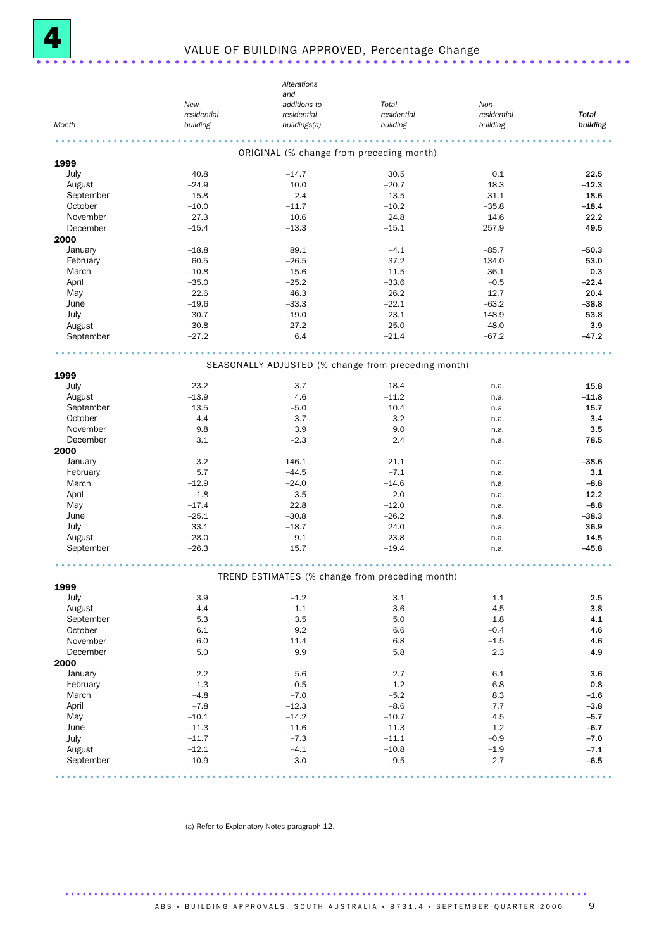

## <sup>4</sup> VALUE OF BUILDING APPROVED, Percentage Change ..................................................................... .

|                     |                    | Alterations                                         |                      |                     |              |
|---------------------|--------------------|-----------------------------------------------------|----------------------|---------------------|--------------|
|                     |                    | and                                                 |                      |                     |              |
|                     | New<br>residential | additions to<br>residential                         | Total<br>residential | Non-<br>residential | <b>Total</b> |
| Month               | building           | buildings(a)                                        | building             | building            | building     |
|                     |                    | ORIGINAL (% change from preceding month)            |                      |                     |              |
| 1999                |                    |                                                     |                      |                     |              |
| July                | 40.8               | $-14.7$                                             | 30.5                 | 0.1                 | 22.5         |
| August              | $-24.9$            | 10.0                                                | $-20.7$              | 18.3                | $-12.3$      |
| September           | 15.8               | 2.4                                                 | 13.5                 | 31.1                | 18.6         |
| October             | $-10.0$            | $-11.7$                                             | $-10.2$              | $-35.8$             | $-18.4$      |
| November            | 27.3               | 10.6                                                | 24.8                 | 14.6                | 22.2         |
| December            | $-15.4$            | $-13.3$                                             | $-15.1$              | 257.9               | 49.5         |
| 2000                |                    |                                                     |                      |                     |              |
| January             | $-18.8$            | 89.1                                                | $-4.1$               | $-85.7$             | $-50.3$      |
| February            | 60.5               | $-26.5$                                             | 37.2                 | 134.0               | 53.0         |
| March               | $-10.8$            | $-15.6$                                             | $-11.5$              | 36.1                | 0.3          |
| April               | $-35.0$            | $-25.2$                                             | $-33.6$              | $-0.5$              | $-22.4$      |
| May                 | 22.6               | 46.3                                                | 26.2                 | 12.7                | 20.4         |
| June                | $-19.6$<br>30.7    | $-33.3$<br>$-19.0$                                  | $-22.1$<br>23.1      | $-63.2$<br>148.9    | $-38.8$      |
| July                | $-30.8$            | 27.2                                                | $-25.0$              | 48.0                | 53.8<br>3.9  |
| August<br>September | $-27.2$            | 6.4                                                 | $-21.4$              | $-67.2$             | $-47.2$      |
|                     |                    |                                                     |                      |                     |              |
|                     |                    | SEASONALLY ADJUSTED (% change from preceding month) |                      |                     |              |
| 1999                |                    |                                                     |                      |                     |              |
| July                | 23.2               | $-3.7$                                              | 18.4                 | n.a.                | 15.8         |
| August              | $-13.9$            | 4.6                                                 | $-11.2$              | n.a.                | $-11.8$      |
| September           | 13.5               | $-5.0$                                              | 10.4                 | n.a.                | 15.7         |
| October             | 4.4                | $-3.7$                                              | 3.2                  | n.a.                | 3.4          |
| November            | 9.8                | 3.9                                                 | 9.0                  | n.a.                | 3.5          |
| December            | 3.1                | $-2.3$                                              | 2.4                  | n.a.                | 78.5         |
| 2000                |                    |                                                     |                      |                     |              |
| January             | 3.2                | 146.1                                               | 21.1                 | n.a.                | $-38.6$      |
| February            | 5.7                | $-44.5$                                             | $-7.1$               | n.a.                | 3.1          |
| March               | $-12.9$            | $-24.0$                                             | $-14.6$              | n.a.                | $-8.8$       |
| April               | $-1.8$             | $-3.5$                                              | $-2.0$               | n.a.                | 12.2         |
| May                 | $-17.4$            | 22.8                                                | $-12.0$              | n.a.                | $-8.8$       |
| June                | $-25.1$            | $-30.8$                                             | $-26.2$              | n.a.                | $-38.3$      |
| July                | 33.1               | $-18.7$                                             | 24.0                 | n.a.                | 36.9         |
| August              | $-28.0$            | 9.1                                                 | $-23.8$              | n.a.                | 14.5         |
| September           | $-26.3$            | 15.7                                                | $-19.4$              | n.a.                | $-45.8$      |
|                     |                    | TREND ESTIMATES (% change from preceding month)     |                      |                     |              |
| 1999                |                    |                                                     |                      |                     |              |
| July                | 3.9                | $-1.2$                                              | 3.1                  | 1.1                 | 2.5          |
| August              | 4.4                | $-1.1$                                              | 3.6                  | 4.5                 | 3.8          |
| September           | 5.3                | 3.5                                                 | 5.0                  | 1.8                 | 4.1          |
| October             | 6.1                | 9.2                                                 | 6.6                  | $-0.4$              | 4.6          |
| November            | 6.0                | 11.4                                                | 6.8                  | $-1.5$              | 4.6          |
| December            | 5.0                | 9.9                                                 | 5.8                  | 2.3                 | 4.9          |
| 2000                |                    |                                                     |                      |                     |              |
| January             | 2.2                | 5.6                                                 | 2.7                  | 6.1                 | 3.6          |
| February            | $-1.3$             | $-0.5$                                              | $-1.2$               | 6.8                 | 0.8          |
| March               | $-4.8$             | $-7.0$                                              | $-5.2$               | 8.3                 | $-1.6$       |
| April               | $-7.8$             | $-12.3$                                             | $-8.6$               | 7.7                 | $-3.8$       |
| May                 | $-10.1$            | $-14.2$                                             | $-10.7$              | 4.5                 | $-5.7$       |
| June                | $-11.3$            | $-11.6$                                             | $-11.3$              | 1.2                 | $-6.7$       |
| July                | $-11.7$            | $-7.3$                                              | $-11.1$              | $-0.9$              | $-7.0$       |
| August              | $-12.1$            | $-4.1$                                              | $-10.8$              | $-1.9$              | $-7.1$       |
| September           | $-10.9$            | $-3.0$                                              | $-9.5$               | $-2.7$              | $-6.5$       |
|                     |                    |                                                     |                      |                     |              |

(a) Refer to Explanatory Notes paragraph 12.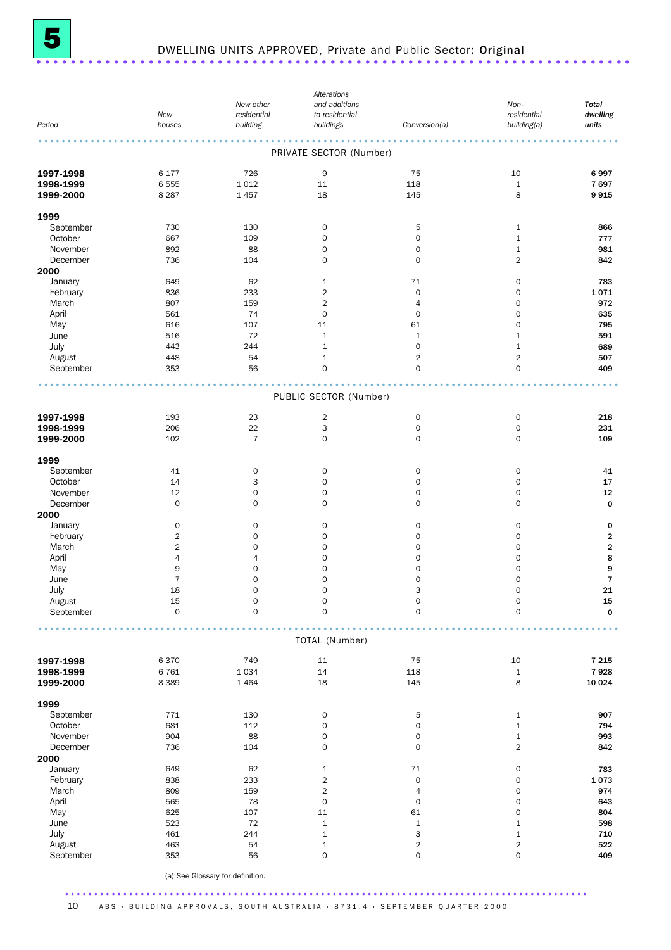

# <sup>5</sup> DWELLING UNITS APPROVED, Private and Public Sector: Original ..................................................................... .

|           |                         |                                  | Alterations             |                     |                     |                         |
|-----------|-------------------------|----------------------------------|-------------------------|---------------------|---------------------|-------------------------|
|           |                         | New other                        | and additions           |                     | Non-                | <b>Total</b>            |
|           | New                     | residential                      | to residential          |                     | residential         | dwelling                |
| Period    | houses                  | building                         | buildings               | Conversion(a)       | building(a)         | units                   |
|           |                         |                                  |                         |                     |                     |                         |
|           |                         |                                  |                         |                     |                     |                         |
|           |                         |                                  | PRIVATE SECTOR (Number) |                     |                     |                         |
|           |                         |                                  |                         |                     |                     |                         |
| 1997-1998 | 6 177                   | 726                              | 9                       | 75                  | 10                  | 6997                    |
| 1998-1999 | 6555                    | 1012                             | 11                      | 118                 | $\,1\,$             | 7697                    |
| 1999-2000 | 8 2 8 7                 | 1 4 5 7                          | 18                      | 145                 | 8                   | 9915                    |
|           |                         |                                  |                         |                     |                     |                         |
| 1999      |                         |                                  |                         |                     |                     |                         |
| September | 730                     | 130                              | $\mathsf{O}\xspace$     | 5                   | 1                   | 866                     |
|           |                         |                                  |                         |                     |                     |                         |
| October   | 667                     | 109                              | $\mathbf 0$             | $\mathbf 0$         | $1\,$               | 777                     |
| November  | 892                     | 88                               | 0                       | $\mathbf 0$         | $\mathbf 1$         | 981                     |
| December  | 736                     | 104                              | $\mathbf 0$             | $\mathbf 0$         | $\overline{2}$      | 842                     |
| 2000      |                         |                                  |                         |                     |                     |                         |
| January   | 649                     | 62                               | 1                       | 71                  | 0                   | 783                     |
| February  | 836                     | 233                              | $\overline{c}$          | $\mathbf 0$         | $\mathsf{O}\xspace$ | 1071                    |
| March     | 807                     | 159                              | 2                       | $\overline{4}$      | 0                   | 972                     |
| April     | 561                     | 74                               | $\mathsf{O}\xspace$     | $\mathbf 0$         | 0                   | 635                     |
| May       | 616                     | 107                              | 11                      | 61                  | 0                   | 795                     |
|           |                         |                                  |                         |                     |                     |                         |
| June      | 516                     | 72                               | 1                       | $\mathbf 1$         | $\mathbf 1$         | 591                     |
| July      | 443                     | 244                              | $\mathbf 1$             | $\mathbf 0$         | $\mathbf 1$         | 689                     |
| August    | 448                     | 54                               | 1                       | $\overline{c}$      | 2                   | 507                     |
| September | 353                     | 56                               | $\mathbf 0$             | $\mathbf 0$         | $\mathbf 0$         | 409                     |
|           |                         |                                  |                         |                     |                     |                         |
|           |                         |                                  |                         |                     |                     |                         |
|           |                         |                                  | PUBLIC SECTOR (Number)  |                     |                     |                         |
|           |                         |                                  |                         |                     |                     |                         |
| 1997-1998 | 193                     | 23                               | $\overline{\mathbf{c}}$ | $\mathsf{O}\xspace$ | $\mathsf O$         | 218                     |
| 1998-1999 | 206                     | 22                               | 3                       | $\mathsf{O}\xspace$ | $\mathsf{O}\xspace$ | 231                     |
| 1999-2000 | 102                     | $\overline{7}$                   | $\mathbf 0$             | $\mathbf 0$         | 0                   | 109                     |
|           |                         |                                  |                         |                     |                     |                         |
| 1999      |                         |                                  |                         |                     |                     |                         |
| September | 41                      | $\mathsf{O}\xspace$              | $\mathbf 0$             | $\mathsf{O}\xspace$ | $\mathsf{O}\xspace$ | 41                      |
| October   | 14                      | 3                                | $\mathsf{O}\xspace$     | $\mathsf{O}\xspace$ | 0                   | 17                      |
| November  | 12                      |                                  | $\mathbf 0$             | $\mathbf 0$         |                     |                         |
|           |                         | $\mathsf{O}\xspace$              |                         |                     | 0                   | 12                      |
| December  | $\mathbf 0$             | $\mathbf 0$                      | $\mathbf 0$             | $\mathbf 0$         | 0                   | $\mathbf 0$             |
| 2000      |                         |                                  |                         |                     |                     |                         |
| January   | $\mathbf 0$             | $\mathbf 0$                      | $\mathbf 0$             | $\mathbf 0$         | 0                   | $\mathbf 0$             |
| February  | $\overline{\mathbf{c}}$ | 0                                | 0                       | $\mathbf 0$         | 0                   | $\overline{\mathbf{2}}$ |
| March     | $\overline{\mathbf{c}}$ | $\mathbf 0$                      | 0                       | $\mathbf 0$         | 0                   | 2                       |
| April     | 4                       | $\overline{4}$                   | $\mathsf{O}\xspace$     | $\mathbf 0$         | 0                   | 8                       |
| May       | $\boldsymbol{9}$        | $\mathbf 0$                      | 0                       | $\mathbf 0$         | 0                   | 9                       |
| June      | $\overline{7}$          | $\mathbf 0$                      | 0                       | $\mathbf 0$         | $\mathbf 0$         | $\overline{7}$          |
| July      | 18                      | $\mathsf{O}\xspace$              | $\mathbf 0$             | 3                   | $\mathbf 0$         | 21                      |
| August    |                         |                                  |                         |                     |                     |                         |
|           | $15\,$                  | $\mathsf{O}\xspace$              | $\mathsf{O}\xspace$     | $\mathsf{O}\xspace$ | $\mathsf{O}\xspace$ | 15                      |
| September | $\mathsf{O}\xspace$     | $\mathsf{O}\xspace$              | $\mathbf 0$             | $\mathbf 0$         | $\mathsf{O}\xspace$ | $\mathbf 0$             |
|           |                         |                                  |                         |                     |                     |                         |
|           |                         |                                  |                         |                     |                     |                         |
|           |                         |                                  | TOTAL (Number)          |                     |                     |                         |
|           |                         |                                  |                         |                     |                     |                         |
| 1997-1998 | 6370                    | 749                              | $11\,$                  | 75                  | 10                  | 7 2 1 5                 |
| 1998-1999 | 6761                    | 1034                             | $14\,$                  | 118                 | $\mathtt 1$         | 7928                    |
| 1999-2000 | 8 3 8 9                 | 1 4 6 4                          | 18                      | 145                 | 8                   | 10 0 24                 |
|           |                         |                                  |                         |                     |                     |                         |
| 1999      |                         |                                  |                         |                     |                     |                         |
| September | 771                     | 130                              | 0                       | 5                   | $\mathbf 1$         | 907                     |
| October   | 681                     | 112                              | 0                       | $\mathsf{O}\xspace$ | $\mathbf 1$         | 794                     |
| November  | 904                     | 88                               | 0                       | $\mathsf{O}\xspace$ | $\mathbf 1$         | 993                     |
| December  | 736                     | 104                              | 0                       | $\mathsf{O}\xspace$ | 2                   | 842                     |
| 2000      |                         |                                  |                         |                     |                     |                         |
| January   | 649                     | 62                               | 1                       | $71 \,$             | 0                   | 783                     |
|           |                         |                                  |                         |                     |                     |                         |
| February  | 838                     | 233                              | $\overline{2}$          | $\mathsf{O}\xspace$ | 0                   | 1073                    |
| March     | 809                     | 159                              | $\overline{c}$          | 4                   | 0                   | 974                     |
| April     | 565                     | 78                               | $\mathsf{O}\xspace$     | $\mathsf{O}\xspace$ | $\mathsf{O}\xspace$ | 643                     |
| May       | 625                     | 107                              | 11                      | 61                  | 0                   | 804                     |
| June      | 523                     | 72                               | 1                       | $\mathbf 1$         | $\mathbf 1$         | 598                     |
| July      | 461                     | 244                              | $1\,$                   | 3                   | $\mathbf 1$         | 710                     |
| August    | 463                     | 54                               | $1\,$                   | $\overline{2}$      | 2                   | 522                     |
| September | 353                     | 56                               | 0                       | $\mathsf{O}\xspace$ | 0                   | 409                     |
|           |                         |                                  |                         |                     |                     |                         |
|           |                         | (a) See Glossary for definition. |                         |                     |                     |                         |
|           |                         |                                  |                         |                     |                     |                         |

10 ABS · BUILDING APPROVALS, SOUTH AUSTRALIA · 8731.4 · SEPTEMBER QUARTER 2000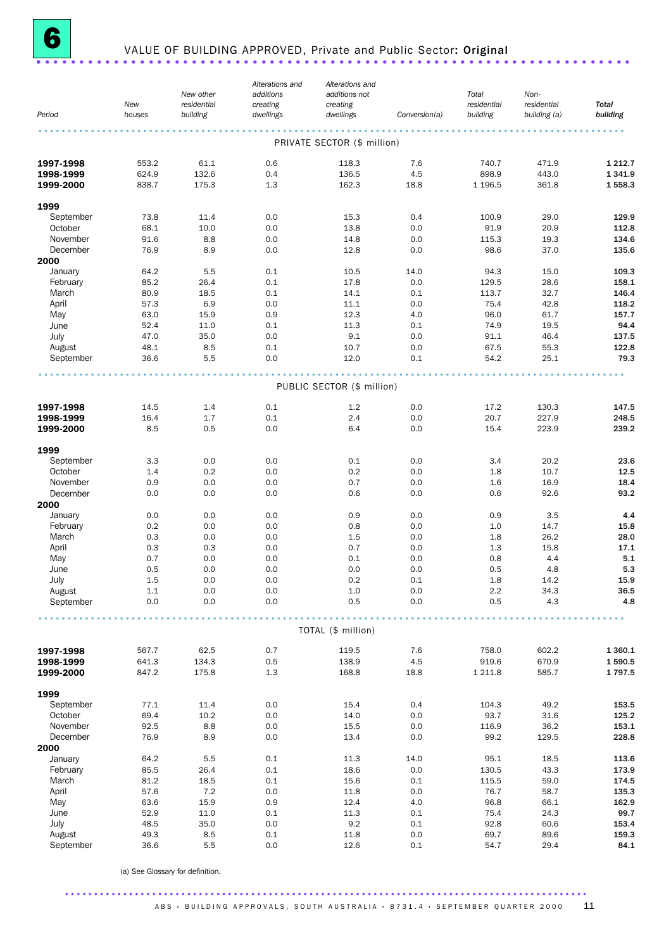

# <sup>6</sup> VALUE OF BUILDING APPROVED, Private and Public Sector: Original ..................................................................... .

|           | New     | New other<br>residential | Alterations and<br>additions<br>creating | Alterations and<br>additions not<br>creating |               | Total<br>residential | Non-<br>residential | <b>Total</b> |
|-----------|---------|--------------------------|------------------------------------------|----------------------------------------------|---------------|----------------------|---------------------|--------------|
| Period    | houses  | building                 | dwellings                                | dwellings                                    | Conversion(a) | building             | building (a)        | building     |
|           |         |                          |                                          | PRIVATE SECTOR (\$ million)                  |               |                      |                     |              |
| 1997-1998 | 553.2   | 61.1                     | 0.6                                      | 118.3                                        | 7.6           | 740.7                | 471.9               | 1 2 1 2 . 7  |
| 1998-1999 | 624.9   | 132.6                    | 0.4                                      | 136.5                                        | 4.5           | 898.9                | 443.0               | 1 3 4 1.9    |
| 1999-2000 | 838.7   | 175.3                    | 1.3                                      | 162.3                                        | 18.8          | 1 1 96.5             | 361.8               | 1558.3       |
| 1999      |         |                          |                                          |                                              |               |                      |                     |              |
| September | 73.8    | 11.4                     | 0.0                                      | 15.3                                         | 0.4           | 100.9                | 29.0                | 129.9        |
| October   | 68.1    | 10.0                     | 0.0                                      | 13.8                                         | 0.0           | 91.9                 | 20.9                | 112.8        |
| November  | 91.6    | 8.8                      | 0.0                                      | 14.8                                         | 0.0           | 115.3                | 19.3                | 134.6        |
| December  | 76.9    | 8.9                      | 0.0                                      | 12.8                                         | 0.0           | 98.6                 | 37.0                | 135.6        |
| 2000      |         |                          |                                          |                                              |               |                      |                     |              |
| January   | 64.2    | 5.5                      | 0.1                                      | 10.5                                         | 14.0          | 94.3                 | 15.0                | 109.3        |
| February  | 85.2    | 26.4                     | 0.1                                      | 17.8                                         | 0.0           | 129.5                | 28.6                | 158.1        |
| March     | 80.9    | 18.5                     | 0.1                                      | 14.1                                         | 0.1           | 113.7                | 32.7                | 146.4        |
| April     | 57.3    | 6.9                      | 0.0                                      | 11.1                                         | 0.0           | 75.4                 | 42.8                | 118.2        |
| May       | 63.0    | 15.9                     | 0.9                                      | 12.3                                         | 4.0           | 96.0                 | 61.7                | 157.7        |
| June      | 52.4    | 11.0                     | 0.1                                      | 11.3                                         | 0.1           | 74.9                 | 19.5                | 94.4         |
| July      | 47.0    | 35.0                     | 0.0                                      | 9.1                                          | 0.0           | 91.1                 | 46.4                | 137.5        |
| August    | 48.1    | 8.5                      | 0.1                                      | 10.7                                         | 0.0           | 67.5                 | 55.3                | 122.8        |
| September | 36.6    | 5.5                      | 0.0                                      | 12.0                                         | 0.1           | 54.2                 | 25.1                | 79.3         |
|           |         |                          |                                          | PUBLIC SECTOR (\$ million)                   |               |                      |                     |              |
|           |         |                          |                                          |                                              |               |                      |                     |              |
| 1997-1998 | 14.5    | 1.4                      | 0.1                                      | 1.2                                          | 0.0           | 17.2                 | 130.3               | 147.5        |
| 1998-1999 | 16.4    | 1.7                      | 0.1                                      | 2.4                                          | 0.0           | 20.7                 | 227.9               | 248.5        |
| 1999-2000 | 8.5     | 0.5                      | 0.0                                      | 6.4                                          | 0.0           | 15.4                 | 223.9               | 239.2        |
| 1999      |         |                          |                                          |                                              |               |                      |                     |              |
| September | 3.3     | 0.0                      | 0.0                                      | 0.1                                          | 0.0           | 3.4                  | 20.2                | 23.6         |
| October   | 1.4     | 0.2                      | 0.0                                      | 0.2                                          | 0.0           | 1.8                  | 10.7                | 12.5         |
| November  | 0.9     | 0.0                      | 0.0                                      | 0.7                                          | 0.0           | 1.6                  | 16.9                | 18.4         |
| December  | 0.0     | 0.0                      | 0.0                                      | 0.6                                          | 0.0           | 0.6                  | 92.6                | 93.2         |
| 2000      |         |                          |                                          |                                              |               |                      |                     |              |
| January   | 0.0     | 0.0                      | 0.0                                      | 0.9                                          | 0.0           | 0.9                  | 3.5                 | 4.4          |
| February  | 0.2     | 0.0                      | 0.0                                      | 0.8                                          | 0.0           | 1.0                  | 14.7                | 15.8         |
| March     | 0.3     | 0.0                      | 0.0                                      | 1.5                                          | 0.0           | 1.8                  | 26.2                | 28.0         |
| April     | 0.3     | 0.3                      | 0.0                                      | 0.7                                          | 0.0           | 1.3                  | 15.8                | 17.1         |
| May       | 0.7     | 0.0                      | 0.0                                      | 0.1                                          | 0.0           | 0.8                  | 4.4                 | 5.1          |
| June      | 0.5     | 0.0                      | 0.0                                      | 0.0                                          | 0.0           | 0.5                  | 4.8                 | 5.3          |
| July      | 1.5     | 0.0                      | 0.0                                      | 0.2                                          | 0.1           | 1.8                  | 14.2                | 15.9         |
| August    | $1.1\,$ | 0.0                      | $0.0\,$                                  | $1.0\,$                                      | $0.0\,$       | $2.2\,$              | 34.3                | 36.5         |
| September | 0.0     | 0.0                      | 0.0                                      | 0.5                                          | 0.0           | 0.5                  | 4.3                 | 4.8          |
|           |         |                          |                                          | TOTAL (\$ million)                           |               |                      |                     |              |
|           |         |                          |                                          |                                              |               |                      |                     |              |
| 1997-1998 | 567.7   | 62.5                     | 0.7                                      | 119.5                                        | 7.6           | 758.0                | 602.2               | 1 3 6 0.1    |
| 1998-1999 | 641.3   | 134.3                    | 0.5                                      | 138.9                                        | 4.5           | 919.6                | 670.9               | 1590.5       |
| 1999-2000 | 847.2   | 175.8                    | 1.3                                      | 168.8                                        | 18.8          | 1 2 1 1.8            | 585.7               | 1797.5       |
| 1999      |         |                          |                                          |                                              |               |                      |                     |              |
| September | 77.1    | 11.4                     | 0.0                                      | 15.4                                         | 0.4           | 104.3                | 49.2                | 153.5        |
| October   | 69.4    | 10.2                     | 0.0                                      | 14.0                                         | 0.0           | 93.7                 | 31.6                | 125.2        |
| November  | 92.5    | 8.8                      | 0.0                                      | 15.5                                         | 0.0           | 116.9                | 36.2                | 153.1        |
| December  | 76.9    | 8.9                      | 0.0                                      | 13.4                                         | 0.0           | 99.2                 | 129.5               | 228.8        |
| 2000      |         |                          |                                          |                                              |               |                      |                     |              |
| January   | 64.2    | 5.5                      | 0.1                                      | 11.3                                         | 14.0          | 95.1                 | 18.5                | 113.6        |
| February  | 85.5    | 26.4                     | 0.1                                      | 18.6                                         | 0.0           | 130.5                | 43.3                | 173.9        |
| March     | 81.2    | 18.5                     | 0.1                                      | 15.6                                         | 0.1           | 115.5                | 59.0                | 174.5        |
| April     | 57.6    | 7.2                      | 0.0                                      | 11.8                                         | 0.0           | 76.7                 | 58.7                | 135.3        |
| May       | 63.6    | 15.9                     | 0.9                                      | 12.4                                         | 4.0           | 96.8                 | 66.1                | 162.9        |
| June      | 52.9    | 11.0                     | 0.1                                      | 11.3                                         | 0.1           | 75.4                 | 24.3                | 99.7         |
| July      | 48.5    | 35.0                     | 0.0                                      | 9.2                                          | 0.1           | 92.8                 | 60.6                | 153.4        |
| August    | 49.3    | 8.5                      | 0.1                                      | 11.8                                         | 0.0           | 69.7                 | 89.6                | 159.3        |
| September | 36.6    | 5.5                      | 0.0                                      | 12.6                                         | 0.1           | 54.7                 | 29.4                | 84.1         |

(a) See Glossary for definition.

#### ..........................................................................................  $ABS$  · BUILDING APPROVALS, SOUTH AUSTRALIA · 8731.4 · SEPTEMBER QUARTER 2000 11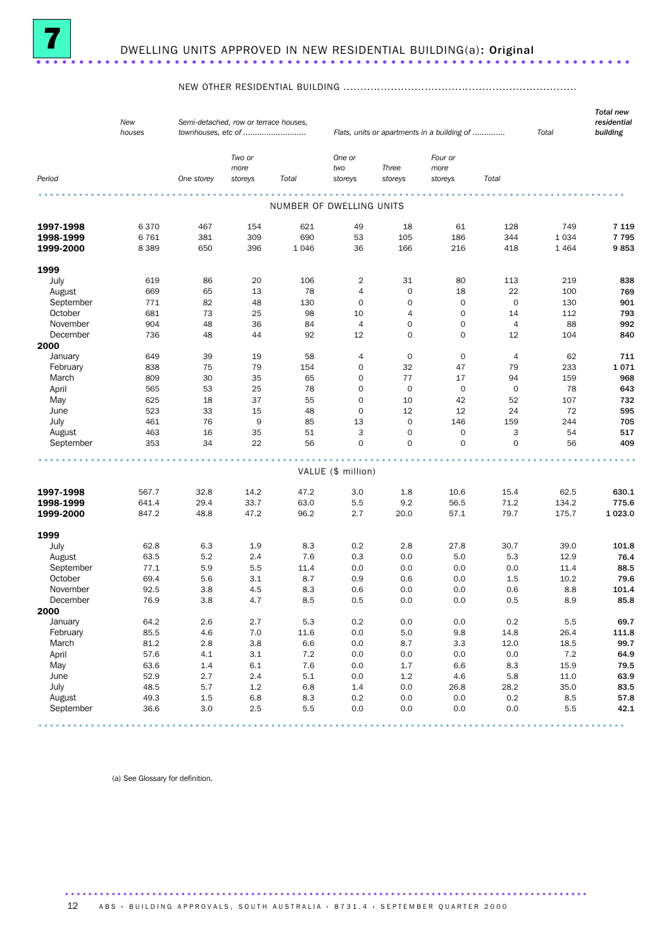

### NEW OTHER RESIDENTIAL BUILDING .....................................................................

| New<br>houses |                                                                                                                                                                                                                                  | Semi-detached, row or terrace houses,                                                                                                                                                              |                                                                                                                                                                                                     |                                                                                                                                                                                                                               |                                                                                                                                                                                                                             |                                                                                                                                                                                                                                                                                                                     |                                                                                                                                                                                                                    | Total                                                                                                                                                                                                                                                                             | residential<br>building                                                                                                                                                                                               |
|---------------|----------------------------------------------------------------------------------------------------------------------------------------------------------------------------------------------------------------------------------|----------------------------------------------------------------------------------------------------------------------------------------------------------------------------------------------------|-----------------------------------------------------------------------------------------------------------------------------------------------------------------------------------------------------|-------------------------------------------------------------------------------------------------------------------------------------------------------------------------------------------------------------------------------|-----------------------------------------------------------------------------------------------------------------------------------------------------------------------------------------------------------------------------|---------------------------------------------------------------------------------------------------------------------------------------------------------------------------------------------------------------------------------------------------------------------------------------------------------------------|--------------------------------------------------------------------------------------------------------------------------------------------------------------------------------------------------------------------|-----------------------------------------------------------------------------------------------------------------------------------------------------------------------------------------------------------------------------------------------------------------------------------|-----------------------------------------------------------------------------------------------------------------------------------------------------------------------------------------------------------------------|
|               | One storey                                                                                                                                                                                                                       | Two or<br>more<br>storeys                                                                                                                                                                          | Total                                                                                                                                                                                               | One or<br>two<br>storeys                                                                                                                                                                                                      | Three<br>storeys                                                                                                                                                                                                            | Four or<br>more<br>storeys                                                                                                                                                                                                                                                                                          | Total                                                                                                                                                                                                              |                                                                                                                                                                                                                                                                                   |                                                                                                                                                                                                                       |
|               |                                                                                                                                                                                                                                  |                                                                                                                                                                                                    |                                                                                                                                                                                                     |                                                                                                                                                                                                                               |                                                                                                                                                                                                                             |                                                                                                                                                                                                                                                                                                                     |                                                                                                                                                                                                                    |                                                                                                                                                                                                                                                                                   |                                                                                                                                                                                                                       |
|               |                                                                                                                                                                                                                                  |                                                                                                                                                                                                    |                                                                                                                                                                                                     |                                                                                                                                                                                                                               |                                                                                                                                                                                                                             |                                                                                                                                                                                                                                                                                                                     |                                                                                                                                                                                                                    |                                                                                                                                                                                                                                                                                   |                                                                                                                                                                                                                       |
| 6370          | 467                                                                                                                                                                                                                              | 154                                                                                                                                                                                                | 621                                                                                                                                                                                                 | 49                                                                                                                                                                                                                            | 18                                                                                                                                                                                                                          | 61                                                                                                                                                                                                                                                                                                                  | 128                                                                                                                                                                                                                | 749                                                                                                                                                                                                                                                                               | 7 1 1 9                                                                                                                                                                                                               |
| 6761          | 381                                                                                                                                                                                                                              | 309                                                                                                                                                                                                | 690                                                                                                                                                                                                 | 53                                                                                                                                                                                                                            | 105                                                                                                                                                                                                                         | 186                                                                                                                                                                                                                                                                                                                 | 344                                                                                                                                                                                                                | 1 0 3 4                                                                                                                                                                                                                                                                           | 7795                                                                                                                                                                                                                  |
| 8 3 8 9       | 650                                                                                                                                                                                                                              | 396                                                                                                                                                                                                | 1046                                                                                                                                                                                                | 36                                                                                                                                                                                                                            | 166                                                                                                                                                                                                                         | 216                                                                                                                                                                                                                                                                                                                 | 418                                                                                                                                                                                                                | 1464                                                                                                                                                                                                                                                                              | 9853                                                                                                                                                                                                                  |
|               |                                                                                                                                                                                                                                  |                                                                                                                                                                                                    |                                                                                                                                                                                                     |                                                                                                                                                                                                                               |                                                                                                                                                                                                                             |                                                                                                                                                                                                                                                                                                                     |                                                                                                                                                                                                                    |                                                                                                                                                                                                                                                                                   |                                                                                                                                                                                                                       |
|               |                                                                                                                                                                                                                                  |                                                                                                                                                                                                    |                                                                                                                                                                                                     |                                                                                                                                                                                                                               |                                                                                                                                                                                                                             |                                                                                                                                                                                                                                                                                                                     |                                                                                                                                                                                                                    |                                                                                                                                                                                                                                                                                   | 838                                                                                                                                                                                                                   |
|               |                                                                                                                                                                                                                                  |                                                                                                                                                                                                    |                                                                                                                                                                                                     |                                                                                                                                                                                                                               |                                                                                                                                                                                                                             |                                                                                                                                                                                                                                                                                                                     |                                                                                                                                                                                                                    |                                                                                                                                                                                                                                                                                   | 769                                                                                                                                                                                                                   |
|               |                                                                                                                                                                                                                                  |                                                                                                                                                                                                    |                                                                                                                                                                                                     |                                                                                                                                                                                                                               |                                                                                                                                                                                                                             |                                                                                                                                                                                                                                                                                                                     |                                                                                                                                                                                                                    |                                                                                                                                                                                                                                                                                   | 901                                                                                                                                                                                                                   |
|               |                                                                                                                                                                                                                                  |                                                                                                                                                                                                    |                                                                                                                                                                                                     |                                                                                                                                                                                                                               |                                                                                                                                                                                                                             |                                                                                                                                                                                                                                                                                                                     |                                                                                                                                                                                                                    |                                                                                                                                                                                                                                                                                   | 793                                                                                                                                                                                                                   |
|               |                                                                                                                                                                                                                                  |                                                                                                                                                                                                    |                                                                                                                                                                                                     |                                                                                                                                                                                                                               |                                                                                                                                                                                                                             |                                                                                                                                                                                                                                                                                                                     |                                                                                                                                                                                                                    |                                                                                                                                                                                                                                                                                   | 992                                                                                                                                                                                                                   |
|               |                                                                                                                                                                                                                                  |                                                                                                                                                                                                    |                                                                                                                                                                                                     |                                                                                                                                                                                                                               |                                                                                                                                                                                                                             |                                                                                                                                                                                                                                                                                                                     |                                                                                                                                                                                                                    |                                                                                                                                                                                                                                                                                   | 840                                                                                                                                                                                                                   |
|               |                                                                                                                                                                                                                                  |                                                                                                                                                                                                    |                                                                                                                                                                                                     |                                                                                                                                                                                                                               |                                                                                                                                                                                                                             |                                                                                                                                                                                                                                                                                                                     |                                                                                                                                                                                                                    |                                                                                                                                                                                                                                                                                   |                                                                                                                                                                                                                       |
|               |                                                                                                                                                                                                                                  |                                                                                                                                                                                                    |                                                                                                                                                                                                     |                                                                                                                                                                                                                               |                                                                                                                                                                                                                             |                                                                                                                                                                                                                                                                                                                     |                                                                                                                                                                                                                    |                                                                                                                                                                                                                                                                                   | 711                                                                                                                                                                                                                   |
|               |                                                                                                                                                                                                                                  |                                                                                                                                                                                                    |                                                                                                                                                                                                     |                                                                                                                                                                                                                               |                                                                                                                                                                                                                             |                                                                                                                                                                                                                                                                                                                     |                                                                                                                                                                                                                    |                                                                                                                                                                                                                                                                                   | 1071                                                                                                                                                                                                                  |
|               |                                                                                                                                                                                                                                  |                                                                                                                                                                                                    |                                                                                                                                                                                                     |                                                                                                                                                                                                                               |                                                                                                                                                                                                                             |                                                                                                                                                                                                                                                                                                                     |                                                                                                                                                                                                                    |                                                                                                                                                                                                                                                                                   | 968                                                                                                                                                                                                                   |
|               |                                                                                                                                                                                                                                  |                                                                                                                                                                                                    |                                                                                                                                                                                                     |                                                                                                                                                                                                                               |                                                                                                                                                                                                                             |                                                                                                                                                                                                                                                                                                                     |                                                                                                                                                                                                                    |                                                                                                                                                                                                                                                                                   | 643                                                                                                                                                                                                                   |
|               |                                                                                                                                                                                                                                  |                                                                                                                                                                                                    |                                                                                                                                                                                                     |                                                                                                                                                                                                                               |                                                                                                                                                                                                                             |                                                                                                                                                                                                                                                                                                                     |                                                                                                                                                                                                                    |                                                                                                                                                                                                                                                                                   | 732                                                                                                                                                                                                                   |
|               |                                                                                                                                                                                                                                  |                                                                                                                                                                                                    |                                                                                                                                                                                                     |                                                                                                                                                                                                                               |                                                                                                                                                                                                                             |                                                                                                                                                                                                                                                                                                                     |                                                                                                                                                                                                                    |                                                                                                                                                                                                                                                                                   | 595                                                                                                                                                                                                                   |
|               |                                                                                                                                                                                                                                  |                                                                                                                                                                                                    |                                                                                                                                                                                                     |                                                                                                                                                                                                                               |                                                                                                                                                                                                                             |                                                                                                                                                                                                                                                                                                                     |                                                                                                                                                                                                                    |                                                                                                                                                                                                                                                                                   | 705                                                                                                                                                                                                                   |
|               |                                                                                                                                                                                                                                  |                                                                                                                                                                                                    |                                                                                                                                                                                                     |                                                                                                                                                                                                                               |                                                                                                                                                                                                                             |                                                                                                                                                                                                                                                                                                                     |                                                                                                                                                                                                                    |                                                                                                                                                                                                                                                                                   | 517                                                                                                                                                                                                                   |
| 353           | 34                                                                                                                                                                                                                               | 22                                                                                                                                                                                                 | 56                                                                                                                                                                                                  | $\mathbf 0$                                                                                                                                                                                                                   | $\mathbf 0$                                                                                                                                                                                                                 | 0                                                                                                                                                                                                                                                                                                                   | $\mathbf 0$                                                                                                                                                                                                        | 56                                                                                                                                                                                                                                                                                | 409                                                                                                                                                                                                                   |
|               |                                                                                                                                                                                                                                  |                                                                                                                                                                                                    |                                                                                                                                                                                                     |                                                                                                                                                                                                                               |                                                                                                                                                                                                                             |                                                                                                                                                                                                                                                                                                                     |                                                                                                                                                                                                                    |                                                                                                                                                                                                                                                                                   |                                                                                                                                                                                                                       |
|               |                                                                                                                                                                                                                                  |                                                                                                                                                                                                    |                                                                                                                                                                                                     |                                                                                                                                                                                                                               |                                                                                                                                                                                                                             |                                                                                                                                                                                                                                                                                                                     |                                                                                                                                                                                                                    |                                                                                                                                                                                                                                                                                   |                                                                                                                                                                                                                       |
|               |                                                                                                                                                                                                                                  |                                                                                                                                                                                                    |                                                                                                                                                                                                     |                                                                                                                                                                                                                               |                                                                                                                                                                                                                             |                                                                                                                                                                                                                                                                                                                     |                                                                                                                                                                                                                    |                                                                                                                                                                                                                                                                                   | 630.1                                                                                                                                                                                                                 |
|               |                                                                                                                                                                                                                                  |                                                                                                                                                                                                    |                                                                                                                                                                                                     |                                                                                                                                                                                                                               |                                                                                                                                                                                                                             |                                                                                                                                                                                                                                                                                                                     |                                                                                                                                                                                                                    |                                                                                                                                                                                                                                                                                   | 775.6                                                                                                                                                                                                                 |
| 847.2         | 48.8                                                                                                                                                                                                                             | 47.2                                                                                                                                                                                               | 96.2                                                                                                                                                                                                | 2.7                                                                                                                                                                                                                           | 20.0                                                                                                                                                                                                                        | 57.1                                                                                                                                                                                                                                                                                                                | 79.7                                                                                                                                                                                                               | 175.7                                                                                                                                                                                                                                                                             | 1023.0                                                                                                                                                                                                                |
|               |                                                                                                                                                                                                                                  |                                                                                                                                                                                                    |                                                                                                                                                                                                     |                                                                                                                                                                                                                               |                                                                                                                                                                                                                             |                                                                                                                                                                                                                                                                                                                     |                                                                                                                                                                                                                    |                                                                                                                                                                                                                                                                                   |                                                                                                                                                                                                                       |
|               |                                                                                                                                                                                                                                  |                                                                                                                                                                                                    |                                                                                                                                                                                                     |                                                                                                                                                                                                                               |                                                                                                                                                                                                                             |                                                                                                                                                                                                                                                                                                                     |                                                                                                                                                                                                                    |                                                                                                                                                                                                                                                                                   | 101.8                                                                                                                                                                                                                 |
|               |                                                                                                                                                                                                                                  |                                                                                                                                                                                                    |                                                                                                                                                                                                     |                                                                                                                                                                                                                               |                                                                                                                                                                                                                             |                                                                                                                                                                                                                                                                                                                     |                                                                                                                                                                                                                    |                                                                                                                                                                                                                                                                                   | 76.4                                                                                                                                                                                                                  |
|               |                                                                                                                                                                                                                                  |                                                                                                                                                                                                    |                                                                                                                                                                                                     |                                                                                                                                                                                                                               |                                                                                                                                                                                                                             |                                                                                                                                                                                                                                                                                                                     |                                                                                                                                                                                                                    |                                                                                                                                                                                                                                                                                   | 88.5                                                                                                                                                                                                                  |
|               |                                                                                                                                                                                                                                  |                                                                                                                                                                                                    |                                                                                                                                                                                                     |                                                                                                                                                                                                                               |                                                                                                                                                                                                                             |                                                                                                                                                                                                                                                                                                                     |                                                                                                                                                                                                                    |                                                                                                                                                                                                                                                                                   | 79.6                                                                                                                                                                                                                  |
|               |                                                                                                                                                                                                                                  |                                                                                                                                                                                                    |                                                                                                                                                                                                     |                                                                                                                                                                                                                               |                                                                                                                                                                                                                             |                                                                                                                                                                                                                                                                                                                     |                                                                                                                                                                                                                    |                                                                                                                                                                                                                                                                                   | 101.4                                                                                                                                                                                                                 |
|               |                                                                                                                                                                                                                                  |                                                                                                                                                                                                    |                                                                                                                                                                                                     |                                                                                                                                                                                                                               |                                                                                                                                                                                                                             |                                                                                                                                                                                                                                                                                                                     |                                                                                                                                                                                                                    |                                                                                                                                                                                                                                                                                   | 85.8                                                                                                                                                                                                                  |
|               |                                                                                                                                                                                                                                  |                                                                                                                                                                                                    |                                                                                                                                                                                                     |                                                                                                                                                                                                                               |                                                                                                                                                                                                                             |                                                                                                                                                                                                                                                                                                                     |                                                                                                                                                                                                                    |                                                                                                                                                                                                                                                                                   |                                                                                                                                                                                                                       |
|               |                                                                                                                                                                                                                                  |                                                                                                                                                                                                    |                                                                                                                                                                                                     |                                                                                                                                                                                                                               |                                                                                                                                                                                                                             |                                                                                                                                                                                                                                                                                                                     |                                                                                                                                                                                                                    |                                                                                                                                                                                                                                                                                   | 69.7                                                                                                                                                                                                                  |
|               |                                                                                                                                                                                                                                  |                                                                                                                                                                                                    |                                                                                                                                                                                                     |                                                                                                                                                                                                                               |                                                                                                                                                                                                                             |                                                                                                                                                                                                                                                                                                                     |                                                                                                                                                                                                                    |                                                                                                                                                                                                                                                                                   |                                                                                                                                                                                                                       |
|               |                                                                                                                                                                                                                                  |                                                                                                                                                                                                    |                                                                                                                                                                                                     |                                                                                                                                                                                                                               |                                                                                                                                                                                                                             |                                                                                                                                                                                                                                                                                                                     |                                                                                                                                                                                                                    |                                                                                                                                                                                                                                                                                   | 111.8<br>99.7                                                                                                                                                                                                         |
|               |                                                                                                                                                                                                                                  |                                                                                                                                                                                                    |                                                                                                                                                                                                     |                                                                                                                                                                                                                               |                                                                                                                                                                                                                             |                                                                                                                                                                                                                                                                                                                     |                                                                                                                                                                                                                    |                                                                                                                                                                                                                                                                                   | 64.9                                                                                                                                                                                                                  |
|               |                                                                                                                                                                                                                                  |                                                                                                                                                                                                    |                                                                                                                                                                                                     |                                                                                                                                                                                                                               |                                                                                                                                                                                                                             |                                                                                                                                                                                                                                                                                                                     |                                                                                                                                                                                                                    |                                                                                                                                                                                                                                                                                   | 79.5                                                                                                                                                                                                                  |
|               |                                                                                                                                                                                                                                  |                                                                                                                                                                                                    |                                                                                                                                                                                                     |                                                                                                                                                                                                                               |                                                                                                                                                                                                                             |                                                                                                                                                                                                                                                                                                                     |                                                                                                                                                                                                                    |                                                                                                                                                                                                                                                                                   | 63.9                                                                                                                                                                                                                  |
|               |                                                                                                                                                                                                                                  |                                                                                                                                                                                                    |                                                                                                                                                                                                     |                                                                                                                                                                                                                               |                                                                                                                                                                                                                             |                                                                                                                                                                                                                                                                                                                     |                                                                                                                                                                                                                    |                                                                                                                                                                                                                                                                                   | 83.5                                                                                                                                                                                                                  |
|               |                                                                                                                                                                                                                                  |                                                                                                                                                                                                    |                                                                                                                                                                                                     |                                                                                                                                                                                                                               |                                                                                                                                                                                                                             |                                                                                                                                                                                                                                                                                                                     |                                                                                                                                                                                                                    |                                                                                                                                                                                                                                                                                   | 57.8                                                                                                                                                                                                                  |
| 36.6          | 3.0                                                                                                                                                                                                                              | 2.5                                                                                                                                                                                                | 5.5                                                                                                                                                                                                 | 0.0                                                                                                                                                                                                                           | 0.0                                                                                                                                                                                                                         | 0.0                                                                                                                                                                                                                                                                                                                 | 0.0                                                                                                                                                                                                                | 5.5                                                                                                                                                                                                                                                                               | 42.1                                                                                                                                                                                                                  |
|               | 619<br>669<br>771<br>681<br>904<br>736<br>649<br>838<br>809<br>565<br>625<br>523<br>461<br>463<br>567.7<br>641.4<br>62.8<br>63.5<br>77.1<br>69.4<br>92.5<br>76.9<br>64.2<br>85.5<br>81.2<br>57.6<br>63.6<br>52.9<br>48.5<br>49.3 | 86<br>65<br>82<br>73<br>48<br>48<br>39<br>75<br>30<br>53<br>18<br>33<br>76<br>16<br>32.8<br>29.4<br>6.3<br>5.2<br>5.9<br>5.6<br>3.8<br>3.8<br>2.6<br>4.6<br>2.8<br>4.1<br>1.4<br>2.7<br>5.7<br>1.5 | 20<br>13<br>48<br>25<br>36<br>44<br>19<br>79<br>35<br>25<br>37<br>15<br>9<br>35<br>14.2<br>33.7<br>1.9<br>2.4<br>5.5<br>3.1<br>4.5<br>4.7<br>2.7<br>$7.0$<br>3.8<br>3.1<br>6.1<br>2.4<br>1.2<br>6.8 | townhouses, etc of<br>106<br>78<br>130<br>98<br>84<br>92<br>58<br>154<br>65<br>78<br>55<br>48<br>85<br>51<br>47.2<br>63.0<br>8.3<br>7.6<br>11.4<br>8.7<br>8.3<br>8.5<br>5.3<br>11.6<br>6.6<br>7.2<br>7.6<br>5.1<br>6.8<br>8.3 | 2<br>4<br>0<br>10<br>4<br>12<br>4<br>0<br>$\mathbf 0$<br>0<br>$\mathbf 0$<br>$\mathbf 0$<br>13<br>3<br>3.0<br>5.5<br>0.2<br>0.3<br>0.0<br>0.9<br>0.6<br>0.5<br>$0.2\,$<br>0.0<br>0.0<br>0.0<br>0.0<br>0.0<br>$1.4\,$<br>0.2 | NUMBER OF DWELLING UNITS<br>31<br>$\mathbf 0$<br>$\mathbf 0$<br>4<br>$\mathbf 0$<br>$\mathbf 0$<br>0<br>32<br>77<br>$\mathbf 0$<br>10<br>12<br>$\mathbf 0$<br>$\mathbf 0$<br>VALUE (\$ million)<br>1.8<br>9.2<br>2.8<br>0.0<br>0.0<br>0.6<br>0.0<br>0.0<br>0.0<br>$5.0\,$<br>8.7<br>0.0<br>1.7<br>1.2<br>0.0<br>0.0 | 80<br>18<br>$\mathbf 0$<br>0<br>0<br>0<br>0<br>47<br>17<br>$\mathbf 0$<br>42<br>12<br>146<br>0<br>10.6<br>56.5<br>27.8<br>5.0<br>0.0<br>0.0<br>0.0<br>0.0<br>0.0<br>9.8<br>3.3<br>0.0<br>6.6<br>4.6<br>26.8<br>0.0 | Flats, units or apartments in a building of<br>113<br>22<br>$\mathbf 0$<br>14<br>$\overline{4}$<br>12<br>4<br>79<br>94<br>0<br>52<br>24<br>159<br>3<br>15.4<br>71.2<br>30.7<br>5.3<br>0.0<br>1.5<br>0.6<br>0.5<br>$0.2\,$<br>14.8<br>12.0<br>0.0<br>8.3<br>5.8<br>28.2<br>$0.2\,$ | 219<br>100<br>130<br>112<br>88<br>104<br>62<br>233<br>159<br>78<br>107<br>72<br>244<br>54<br>62.5<br>134.2<br>39.0<br>12.9<br>11.4<br>10.2<br>8.8<br>8.9<br>5.5<br>26.4<br>18.5<br>7.2<br>15.9<br>11.0<br>35.0<br>8.5 |

(a) See Glossary for definition.

12 A B S · BUILDING APPROVALS, SOUTH AUSTRALIA · 8731.4 · SEPTEMBER QUARTER 2000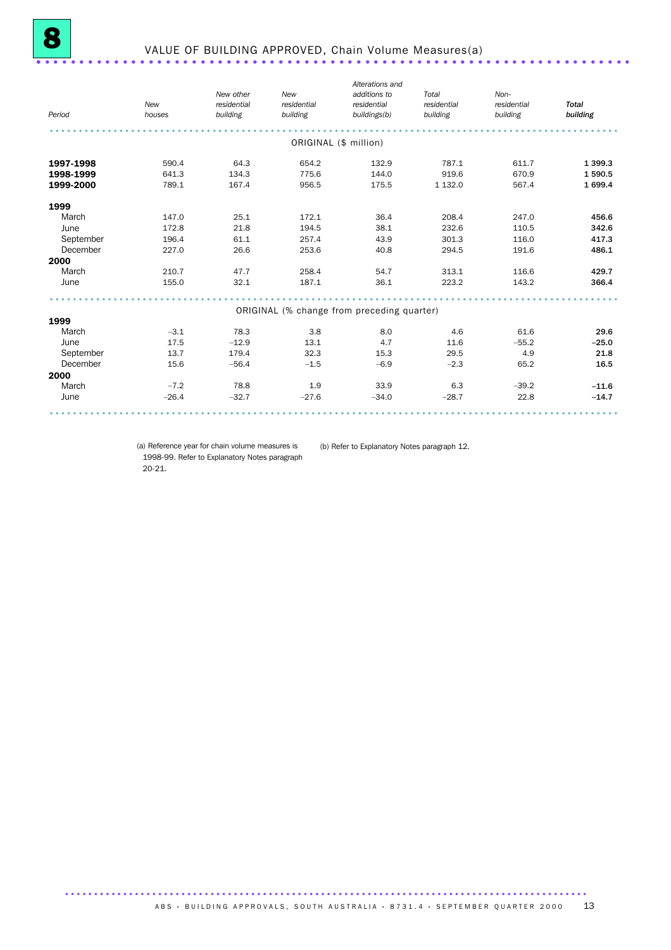| Period    | New<br>houses | New other<br>residential<br>building | New<br>residential<br>building             | Alterations and<br>additions to<br>residential<br>buildings(b) | Total<br>residential<br>building | Non-<br>residential<br>building | <b>Total</b><br>building |
|-----------|---------------|--------------------------------------|--------------------------------------------|----------------------------------------------------------------|----------------------------------|---------------------------------|--------------------------|
|           |               |                                      | ORIGINAL (\$ million)                      |                                                                |                                  |                                 |                          |
| 1997-1998 | 590.4         | 64.3                                 | 654.2                                      | 132.9                                                          | 787.1                            | 611.7                           | 1 3 9 9.3                |
| 1998-1999 | 641.3         | 134.3                                | 775.6                                      | 144.0                                                          | 919.6                            | 670.9                           | 1 590.5                  |
| 1999-2000 | 789.1         | 167.4                                | 956.5                                      | 175.5                                                          | 1 1 3 2.0                        | 567.4                           | 1 699.4                  |
| 1999      |               |                                      |                                            |                                                                |                                  |                                 |                          |
| March     | 147.0         | 25.1                                 | 172.1                                      | 36.4                                                           | 208.4                            | 247.0                           | 456.6                    |
| June      | 172.8         | 21.8                                 | 194.5                                      | 38.1                                                           | 232.6                            | 110.5                           | 342.6                    |
| September | 196.4         | 61.1                                 | 257.4                                      | 43.9                                                           | 301.3                            | 116.0                           | 417.3                    |
| December  | 227.0         | 26.6                                 | 253.6                                      | 40.8                                                           | 294.5                            | 191.6                           | 486.1                    |
| 2000      |               |                                      |                                            |                                                                |                                  |                                 |                          |
| March     | 210.7         | 47.7                                 | 258.4                                      | 54.7                                                           | 313.1                            | 116.6                           | 429.7                    |
| June      | 155.0         | 32.1                                 | 187.1                                      | 36.1                                                           | 223.2                            | 143.2                           | 366.4                    |
|           |               |                                      | ORIGINAL (% change from preceding quarter) |                                                                |                                  |                                 |                          |
| 1999      |               |                                      |                                            |                                                                |                                  |                                 |                          |
| March     | $-3.1$        | 78.3                                 | 3.8                                        | 8.0                                                            | 4.6                              | 61.6                            | 29.6                     |
| June      | 17.5          | $-12.9$                              | 13.1                                       | 4.7                                                            | 11.6                             | $-55.2$                         | $-25.0$                  |
| September | 13.7          | 179.4                                | 32.3                                       | 15.3                                                           | 29.5                             | 4.9                             | 21.8                     |
| December  | 15.6          | $-56.4$                              | $-1.5$                                     | $-6.9$                                                         | $-2.3$                           | 65.2                            | 16.5                     |
| 2000      |               |                                      |                                            |                                                                |                                  |                                 |                          |
| March     | $-7.2$        | 78.8                                 | 1.9                                        | 33.9                                                           | 6.3                              | $-39.2$                         | $-11.6$                  |
| June      | $-26.4$       | $-32.7$                              | $-27.6$                                    | $-34.0$                                                        | $-28.7$                          | 22.8                            | $-14.7$                  |
|           |               |                                      |                                            |                                                                |                                  |                                 |                          |

(a) Reference year for chain volume measures is 1998-99. Refer to Explanatory Notes paragraph 20-21.

(b) Refer to Explanatory Notes paragraph 12.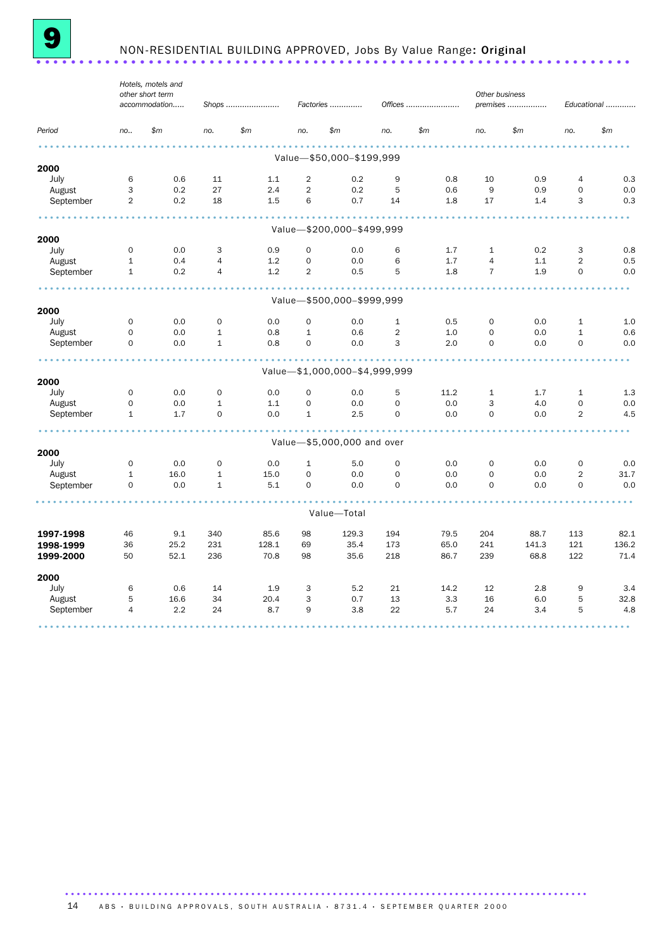

# <sup>9</sup> NON-RESIDENTIAL BUILDING APPROVED, Jobs By Value Range: Original ..................................................................... .

|           |                | Hotels, motels and<br>other short term<br>accommodation |                | Shops |                     | Factories                     |                | Offices | Other business | premises |                | Educational |
|-----------|----------------|---------------------------------------------------------|----------------|-------|---------------------|-------------------------------|----------------|---------|----------------|----------|----------------|-------------|
| Period    | no.            | \$m\$                                                   | no.            | \$m\$ | no.                 | \$m\$                         | no.            | \$m\$   | no.            | \$m\$    | no.            | \$m\$       |
|           |                |                                                         |                |       |                     | Value-\$50,000-\$199,999      |                |         |                |          |                |             |
| 2000      |                |                                                         |                |       |                     |                               |                |         |                |          |                |             |
| July      | 6              | 0.6                                                     | 11             | 1.1   | $\overline{2}$      | 0.2                           | 9              | 0.8     | 10             | 0.9      | 4              | 0.3         |
| August    | 3              | 0.2                                                     | 27             | 2.4   | $\overline{2}$      | 0.2                           | 5              | 0.6     | 9              | 0.9      | $\mathbf 0$    | 0.0         |
| September | $\overline{2}$ | 0.2                                                     | 18             | 1.5   | 6                   | 0.7                           | 14             | 1.8     | 17             | 1.4      | 3              | 0.3         |
|           |                |                                                         |                |       |                     |                               |                |         |                |          |                |             |
| 2000      |                |                                                         |                |       |                     | Value-\$200,000-\$499,999     |                |         |                |          |                |             |
| July      | $\mathbf 0$    | 0.0                                                     | 3              | 0.9   | $\mathbf 0$         | 0.0                           | 6              | 1.7     | $\mathbf{1}$   | 0.2      | 3              | 0.8         |
| August    | $\mathbf{1}$   | 0.4                                                     | $\overline{4}$ | 1.2   | $\mathbf 0$         | 0.0                           | 6              | 1.7     | $\overline{4}$ | 1.1      | $\overline{2}$ | 0.5         |
| September | $\mathbf{1}$   | 0.2                                                     | $\overline{4}$ | 1.2   | $\overline{2}$      | 0.5                           | 5              | 1.8     | $\overline{7}$ | 1.9      | 0              | 0.0         |
|           |                |                                                         |                |       |                     |                               |                |         |                |          |                |             |
| 2000      |                |                                                         |                |       |                     | Value-\$500,000-\$999,999     |                |         |                |          |                |             |
| July      | $\mathbf 0$    | 0.0                                                     | 0              | 0.0   | $\mathbf 0$         | 0.0                           | $\mathbf{1}$   | 0.5     | 0              | 0.0      | $\mathbf{1}$   | 1.0         |
| August    | 0              | 0.0                                                     | $\mathbf{1}$   | 0.8   | $\mathbf{1}$        | 0.6                           | $\overline{2}$ | 1.0     | $\mathbf 0$    | 0.0      | $\mathbf{1}$   | 0.6         |
| September | $\circ$        | 0.0                                                     | $\mathbf{1}$   | 0.8   | $\mathbf 0$         | 0.0                           | 3              | 2.0     | $\mathbf 0$    | 0.0      | $\mathbf 0$    | 0.0         |
|           |                |                                                         |                |       |                     | Value-\$1,000,000-\$4,999,999 |                |         |                |          |                |             |
| 2000      |                |                                                         |                |       |                     |                               |                |         |                |          |                |             |
| July      | $\mathbf 0$    | 0.0                                                     | $\mathbf 0$    | 0.0   | $\mathbf 0$         | 0.0                           | 5              | 11.2    | $\mathbf{1}$   | 1.7      | $\mathbf{1}$   | 1.3         |
| August    | 0              | 0.0                                                     | $\mathbf 1$    | 1.1   | $\mathsf{O}\xspace$ | 0.0                           | $\mathbf 0$    | 0.0     | 3              | 4.0      | $\mathbf 0$    | 0.0         |
| September | $\mathbf{1}$   | 1.7                                                     | $\Omega$       | 0.0   | $\mathbf{1}$        | 2.5                           | $\Omega$       | 0.0     | $\Omega$       | 0.0      | $\overline{2}$ | 4.5         |
|           |                |                                                         |                |       |                     | Value-\$5,000,000 and over    |                |         |                |          |                |             |
| 2000      |                |                                                         |                |       |                     |                               |                |         |                |          |                |             |
| July      | $\mathbf 0$    | 0.0                                                     | $\mathbf 0$    | 0.0   | $\mathbf{1}$        | 5.0                           | $\mathbf 0$    | 0.0     | $\mathbf 0$    | 0.0      | $\mathbf 0$    | 0.0         |
| August    | $\mathbf{1}$   | 16.0                                                    | $\mathbf{1}$   | 15.0  | $\mathbf 0$         | 0.0                           | $\mathbf 0$    | 0.0     | $\mathbf 0$    | 0.0      | $\overline{2}$ | 31.7        |
| September | $\circ$        | 0.0                                                     | $\mathbf{1}$   | 5.1   | $\mathbf 0$         | 0.0                           | $\mathbf 0$    | 0.0     | $\mathbf 0$    | 0.0      | $\mathbf 0$    | 0.0         |
|           |                |                                                         |                |       |                     | Value-Total                   |                |         |                |          |                |             |
| 1997-1998 | 46             | 9.1                                                     | 340            | 85.6  | 98                  | 129.3                         | 194            | 79.5    | 204            | 88.7     | 113            | 82.1        |
| 1998-1999 | 36             | 25.2                                                    | 231            | 128.1 | 69                  | 35.4                          | 173            | 65.0    | 241            | 141.3    | 121            | 136.2       |
| 1999-2000 | 50             | 52.1                                                    | 236            | 70.8  | 98                  | 35.6                          | 218            | 86.7    | 239            | 68.8     | 122            | 71.4        |
| 2000      |                |                                                         |                |       |                     |                               |                |         |                |          |                |             |
| July      | 6              | 0.6                                                     | 14             | 1.9   | 3                   | 5.2                           | 21             | 14.2    | 12             | 2.8      | 9              | 3.4         |
| August    | 5              | 16.6                                                    | 34             | 20.4  | 3                   | 0.7                           | 13             | 3.3     | 16             | 6.0      | 5              | 32.8        |
| September | 4              | 2.2                                                     | 24             | 8.7   | 9                   | 3.8                           | 22             | 5.7     | 24             | 3.4      | 5              | 4.8         |
|           |                |                                                         |                |       |                     |                               |                |         |                |          |                |             |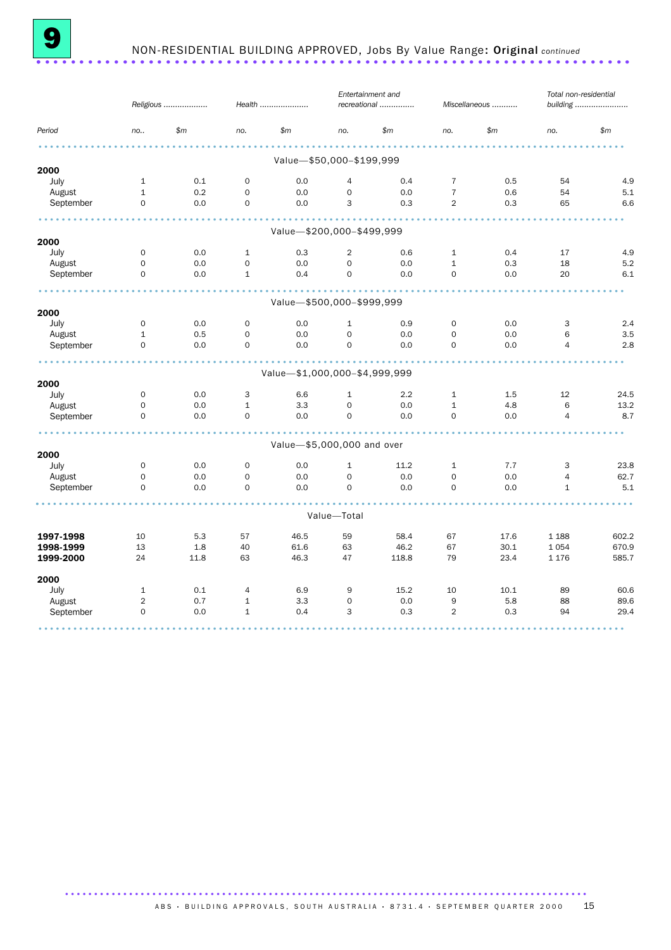

### 9 NON-RESIDENTIAL BUILDING APPROVED, Jobs By Value Range: Original *continued* ..................................................................... .

|                        |                     | Religious   |              | Health                        |                     | Entertainment and<br>recreational |                | Miscellaneous | Total non-residential | building       |
|------------------------|---------------------|-------------|--------------|-------------------------------|---------------------|-----------------------------------|----------------|---------------|-----------------------|----------------|
| Period                 | no                  | \$m\$       | no.          | \$m\$                         | no.                 | \$m\$                             | no.            | \$m\$         | no.                   | \$m\$          |
|                        |                     |             |              | Value-\$50,000-\$199,999      |                     |                                   |                |               |                       |                |
| 2000                   |                     |             |              |                               |                     |                                   |                |               |                       |                |
| July                   | $\mathbf{1}$        | 0.1         | $\mathbf{O}$ | 0.0                           | 4                   | 0.4                               | $\overline{7}$ | 0.5           | 54                    | 4.9            |
| August                 | $\mathbf{1}$        | 0.2         | $\mathbf{O}$ | 0.0                           | $\mathbf 0$         | 0.0                               | $\overline{7}$ | 0.6           | 54                    | 5.1            |
| September              | $\mathbf 0$         | 0.0         | $\mathbf{O}$ | 0.0                           | 3                   | 0.3                               | 2              | 0.3           | 65                    | 6.6            |
|                        |                     |             |              | Value-\$200,000-\$499,999     |                     |                                   |                |               |                       |                |
| 2000                   |                     |             |              |                               |                     |                                   |                |               |                       |                |
| July                   | $\mathbf 0$         | 0.0         | $\mathbf{1}$ | 0.3                           | $\overline{2}$      | 0.6                               | $\mathbf{1}$   | 0.4           | 17                    | 4.9            |
| August                 | $\mathbf 0$         | 0.0         | 0            | 0.0                           | $\mathbf 0$         | 0.0                               | $\mathbf{1}$   | 0.3           | 18                    | 5.2            |
| September              | $\mathbf 0$         | 0.0         | $\mathbf{1}$ | 0.4                           | $\mathbf 0$         | 0.0                               | $\mathbf 0$    | 0.0           | 20                    | 6.1            |
|                        |                     |             |              |                               |                     |                                   |                |               |                       |                |
| 2000                   |                     |             |              | Value-\$500,000-\$999,999     |                     |                                   |                |               |                       |                |
| July                   | $\mathbf 0$         | 0.0         | $\mathsf{O}$ | 0.0                           | $\mathbf{1}$        | 0.9                               | $\mathbf 0$    | 0.0           | 3                     | 2.4            |
| August                 | $\mathbf{1}$        | 0.5         | 0            | 0.0                           | $\mathbf 0$         | 0.0                               | $\mathbf 0$    | 0.0           | 6                     | 3.5            |
| September              | $\Omega$            | 0.0         | $\Omega$     | 0.0                           | $\Omega$            | 0.0                               | $\Omega$       | 0.0           | $\overline{4}$        | 2.8            |
|                        |                     |             |              | Value-\$1,000,000-\$4,999,999 |                     |                                   |                |               |                       |                |
| 2000                   |                     |             |              |                               |                     |                                   |                |               |                       |                |
| July                   | $\mathbf 0$         | 0.0         | 3            | 6.6                           | $\mathbf{1}$        | 2.2                               | $\mathbf{1}$   | 1.5           | 12                    | 24.5           |
| August                 | $\mathsf{O}\xspace$ | 0.0         | $\mathbf 1$  | 3.3                           | $\mathsf{O}\xspace$ | 0.0                               | $\mathbf{1}$   | 4.8           | 6                     | 13.2           |
| September              | $\mathbf 0$         | 0.0         | 0            | 0.0                           | $\mathbf 0$         | 0.0                               | $\mathbf 0$    | 0.0           | $\overline{4}$        | 8.7            |
|                        |                     |             |              | Value-\$5,000,000 and over    |                     |                                   |                |               |                       |                |
| 2000                   |                     |             |              |                               |                     |                                   |                |               |                       |                |
| July                   | $\mathbf 0$         | 0.0         | $\mathbf 0$  | 0.0                           | $\mathbf{1}$        | 11.2                              | $\mathbf{1}$   | 7.7           | 3                     | 23.8           |
| August                 | 0                   | 0.0         | 0            | 0.0                           | $\mathsf{O}\xspace$ | 0.0                               | $\mathbf 0$    | 0.0           | $\overline{4}$        | 62.7           |
| September              | $\mathbf 0$         | 0.0         | $\mathbf 0$  | 0.0                           | $\mathbf 0$         | 0.0                               | $\mathbf 0$    | 0.0           | $\mathbf{1}$          | 5.1            |
|                        |                     |             |              |                               | Value-Total         |                                   |                |               |                       |                |
|                        |                     |             |              |                               |                     |                                   |                |               |                       |                |
| 1997-1998              | 10                  | 5.3         | 57           | 46.5                          | 59                  | 58.4                              | 67             | 17.6          | 1 1 8 8               | 602.2          |
| 1998-1999<br>1999-2000 | 13<br>24            | 1.8<br>11.8 | 40<br>63     | 61.6<br>46.3                  | 63<br>47            | 46.2<br>118.8                     | 67<br>79       | 30.1<br>23.4  | 1054<br>1 1 7 6       | 670.9<br>585.7 |
| 2000                   |                     |             |              |                               |                     |                                   |                |               |                       |                |
| July                   | $\mathbf{1}$        | 0.1         | 4            | 6.9                           | 9                   | 15.2                              | 10             | 10.1          | 89                    | 60.6           |
| August                 | $\overline{2}$      | 0.7         | $\mathbf{1}$ | 3.3                           | $\mathbf 0$         | 0.0                               | 9              | 5.8           | 88                    | 89.6           |
| September              | $\mathbf 0$         | 0.0         | $\mathbf{1}$ | 0.4                           | 3                   | 0.3                               | $\overline{2}$ | 0.3           | 94                    | 29.4           |
|                        |                     |             |              |                               |                     |                                   |                |               |                       |                |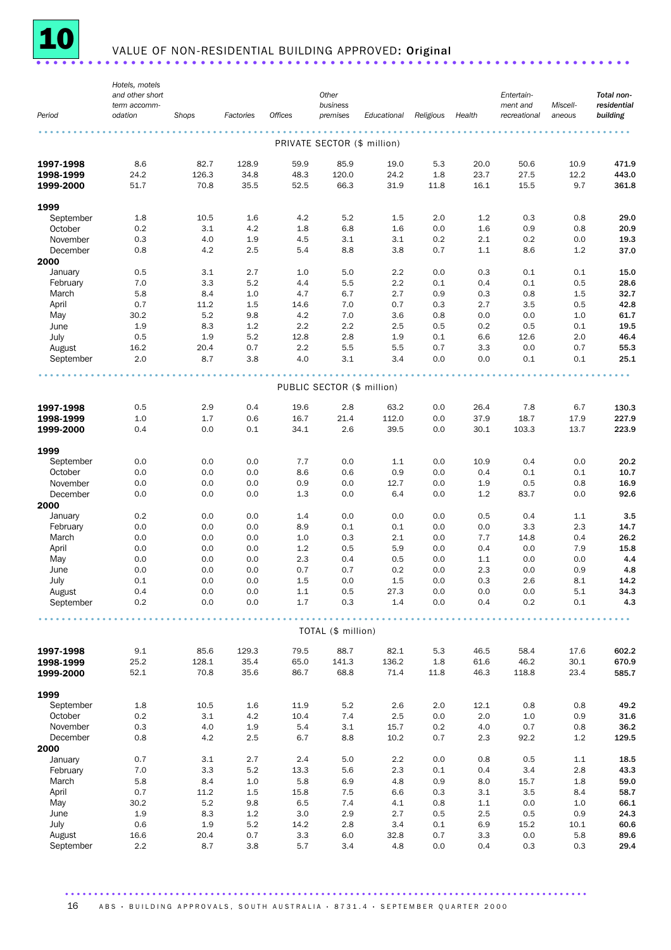

# <u>10 value of non-residential building approved:</u> Original .......................

|                   | Hotels, motels          |            |            |                |                             |             |            |            |                          |                    |                         |
|-------------------|-------------------------|------------|------------|----------------|-----------------------------|-------------|------------|------------|--------------------------|--------------------|-------------------------|
|                   | and other short         |            |            |                | Other                       |             |            |            | Entertain-               |                    | Total non-              |
| Period            | term accomm-<br>odation | Shops      | Factories  | <b>Offices</b> | business<br>premises        | Educational | Religious  | Health     | ment and<br>recreational | Miscell-<br>aneous | residential<br>building |
|                   |                         |            |            |                |                             |             |            |            |                          |                    |                         |
|                   |                         |            |            |                |                             |             |            |            |                          |                    |                         |
|                   |                         |            |            |                | PRIVATE SECTOR (\$ million) |             |            |            |                          |                    |                         |
| 1997-1998         | 8.6                     | 82.7       | 128.9      | 59.9           | 85.9                        | 19.0        | 5.3        | 20.0       | 50.6                     | 10.9               | 471.9                   |
| 1998-1999         | 24.2                    | 126.3      | 34.8       | 48.3           | 120.0                       | 24.2        | 1.8        | 23.7       | 27.5                     | 12.2               | 443.0                   |
| 1999-2000         | 51.7                    | 70.8       | 35.5       | 52.5           | 66.3                        | 31.9        | 11.8       | 16.1       | 15.5                     | 9.7                | 361.8                   |
|                   |                         |            |            |                |                             |             |            |            |                          |                    |                         |
| 1999              |                         |            |            |                |                             |             |            |            |                          |                    |                         |
| September         | 1.8                     | 10.5       | 1.6        | 4.2            | 5.2                         | 1.5         | 2.0        | 1.2        | 0.3                      | 0.8                | 29.0                    |
| October           | 0.2                     | 3.1        | 4.2        | 1.8            | 6.8                         | 1.6         | 0.0        | 1.6        | 0.9                      | 0.8                | 20.9                    |
| November          | 0.3                     | 4.0        | 1.9        | 4.5            | 3.1                         | 3.1         | 0.2        | 2.1        | 0.2                      | 0.0                | 19.3                    |
| December          | 0.8                     | 4.2        | 2.5        | 5.4            | 8.8                         | 3.8         | 0.7        | 1.1        | 8.6                      | 1.2                | 37.0                    |
| 2000              |                         |            |            |                |                             |             |            |            |                          |                    |                         |
| January           | 0.5                     | 3.1        | 2.7        | 1.0            | 5.0                         | 2.2         | 0.0        | 0.3        | 0.1                      | 0.1                | 15.0                    |
| February<br>March | 7.0<br>5.8              | 3.3<br>8.4 | 5.2<br>1.0 | 4.4<br>4.7     | 5.5<br>6.7                  | 2.2<br>2.7  | 0.1<br>0.9 | 0.4<br>0.3 | 0.1<br>0.8               | 0.5<br>1.5         | 28.6<br>32.7            |
| April             | 0.7                     | 11.2       | 1.5        | 14.6           | 7.0                         | 0.7         | 0.3        | 2.7        | 3.5                      | 0.5                | 42.8                    |
| May               | 30.2                    | 5.2        | 9.8        | 4.2            | 7.0                         | 3.6         | 0.8        | 0.0        | 0.0                      | 1.0                | 61.7                    |
| June              | 1.9                     | 8.3        | 1.2        | 2.2            | 2.2                         | 2.5         | 0.5        | 0.2        | 0.5                      | 0.1                | 19.5                    |
| July              | 0.5                     | 1.9        | 5.2        | 12.8           | 2.8                         | 1.9         | 0.1        | 6.6        | 12.6                     | 2.0                | 46.4                    |
| August            | 16.2                    | 20.4       | 0.7        | 2.2            | 5.5                         | 5.5         | 0.7        | 3.3        | 0.0                      | 0.7                | 55.3                    |
| September         | 2.0                     | 8.7        | 3.8        | 4.0            | 3.1                         | 3.4         | 0.0        | 0.0        | 0.1                      | 0.1                | 25.1                    |
|                   |                         |            |            |                |                             |             |            |            |                          |                    |                         |
|                   |                         |            |            |                |                             |             |            |            |                          |                    |                         |
|                   |                         |            |            |                | PUBLIC SECTOR (\$ million)  |             |            |            |                          |                    |                         |
| 1997-1998         | 0.5                     | 2.9        | 0.4        | 19.6           | 2.8                         | 63.2        | 0.0        | 26.4       | 7.8                      | 6.7                | 130.3                   |
| 1998-1999         | 1.0                     | 1.7        | 0.6        | 16.7           | 21.4                        | 112.0       | 0.0        | 37.9       | 18.7                     | 17.9               | 227.9                   |
| 1999-2000         | 0.4                     | 0.0        | 0.1        | 34.1           | 2.6                         | 39.5        | 0.0        | 30.1       | 103.3                    | 13.7               | 223.9                   |
|                   |                         |            |            |                |                             |             |            |            |                          |                    |                         |
| 1999              |                         |            |            |                |                             |             |            |            |                          |                    |                         |
| September         | 0.0                     | 0.0        | 0.0        | 7.7            | 0.0                         | 1.1         | 0.0        | 10.9       | 0.4                      | 0.0                | 20.2                    |
| October           | 0.0                     | 0.0        | 0.0        | 8.6            | 0.6                         | 0.9         | 0.0        | 0.4        | 0.1                      | 0.1                | 10.7                    |
| November          | 0.0                     | 0.0        | 0.0        | 0.9            | 0.0                         | 12.7        | 0.0        | 1.9        | 0.5                      | 0.8                | 16.9                    |
| December          | 0.0                     | 0.0        | 0.0        | 1.3            | 0.0                         | 6.4         | 0.0        | 1.2        | 83.7                     | 0.0                | 92.6                    |
| 2000              |                         |            |            |                |                             |             |            |            |                          |                    |                         |
| January           | 0.2                     | 0.0        | 0.0        | 1.4            | 0.0                         | 0.0         | 0.0        | 0.5        | 0.4                      | 1.1                | 3.5                     |
| February          | 0.0                     | 0.0        | 0.0        | 8.9            | 0.1                         | 0.1         | 0.0        | 0.0        | 3.3                      | 2.3                | 14.7                    |
| March             | 0.0                     | 0.0        | 0.0        | 1.0            | 0.3                         | 2.1         | 0.0        | 7.7        | 14.8                     | 0.4                | 26.2                    |
| April<br>May      | 0.0<br>0.0              | 0.0<br>0.0 | 0.0<br>0.0 | 1.2<br>2.3     | 0.5<br>0.4                  | 5.9<br>0.5  | 0.0        | 0.4        | 0.0<br>0.0               | 7.9<br>0.0         | 15.8<br>4.4             |
| June              | 0.0                     | 0.0        | 0.0        | 0.7            | 0.7                         | 0.2         | 0.0<br>0.0 | 1.1<br>2.3 | 0.0                      | 0.9                | 4.8                     |
| July              | 0.1                     | 0.0        | 0.0        | 1.5            | 0.0                         | 1.5         | 0.0        | 0.3        | 2.6                      | 8.1                | 14.2                    |
| August            | 0.4                     | 0.0        | 0.0        | $1.1\,$        | 0.5                         | 27.3        | 0.0        | 0.0        | 0.0                      | 5.1                | 34.3                    |
| September         | 0.2                     | 0.0        | 0.0        | 1.7            | 0.3                         | 1.4         | 0.0        | 0.4        | 0.2                      | 0.1                | 4.3                     |
|                   |                         |            |            |                |                             |             |            |            |                          |                    |                         |
|                   |                         |            |            |                |                             |             |            |            |                          |                    |                         |
|                   |                         |            |            |                | TOTAL (\$ million)          |             |            |            |                          |                    |                         |
| 1997-1998         | 9.1                     | 85.6       | 129.3      | 79.5           | 88.7                        | 82.1        | 5.3        | 46.5       | 58.4                     | 17.6               | 602.2                   |
| 1998-1999         | 25.2                    | 128.1      | 35.4       | 65.0           | 141.3                       | 136.2       | 1.8        | 61.6       | 46.2                     | 30.1               | 670.9                   |
| 1999-2000         | 52.1                    | 70.8       | 35.6       | 86.7           | 68.8                        | 71.4        | 11.8       | 46.3       | 118.8                    | 23.4               | 585.7                   |
|                   |                         |            |            |                |                             |             |            |            |                          |                    |                         |
| 1999              |                         |            |            |                |                             |             |            |            |                          |                    |                         |
| September         | 1.8                     | 10.5       | 1.6        | 11.9           | 5.2                         | 2.6         | 2.0        | 12.1       | 0.8                      | 0.8                | 49.2                    |
| October           | 0.2                     | 3.1        | 4.2        | 10.4           | 7.4                         | 2.5         | 0.0        | 2.0        | 1.0                      | 0.9                | 31.6                    |
| November          | 0.3                     | 4.0        | 1.9        | 5.4            | 3.1                         | 15.7        | 0.2        | 4.0        | 0.7                      | 0.8                | 36.2                    |
| December          | 0.8                     | 4.2        | 2.5        | 6.7            | 8.8                         | 10.2        | 0.7        | 2.3        | 92.2                     | 1.2                | 129.5                   |
| 2000              |                         |            |            |                |                             |             |            |            |                          |                    |                         |
| January           | 0.7                     | 3.1        | 2.7        | 2.4            | 5.0                         | 2.2         | 0.0        | 0.8        | 0.5                      | $1.1\,$            | 18.5                    |
| February          | 7.0                     | 3.3        | 5.2        | 13.3           | 5.6                         | 2.3         | 0.1        | 0.4        | 3.4                      | 2.8                | 43.3                    |
| March             | 5.8                     | 8.4        | 1.0        | 5.8            | 6.9                         | 4.8         | 0.9        | 8.0        | 15.7                     | 1.8                | 59.0                    |
| April             | 0.7                     | 11.2       | $1.5\,$    | 15.8           | 7.5                         | 6.6         | 0.3        | 3.1        | 3.5                      | 8.4                | 58.7                    |
| May               | 30.2                    | 5.2        | 9.8        | 6.5            | 7.4                         | 4.1         | 0.8        | 1.1        | 0.0                      | 1.0                | 66.1                    |
| June              | 1.9                     | 8.3        | 1.2        | 3.0            | 2.9                         | 2.7         | 0.5        | 2.5        | 0.5                      | 0.9                | 24.3                    |
| July              | 0.6                     | 1.9        | 5.2        | 14.2           | 2.8                         | 3.4         | 0.1        | 6.9        | 15.2                     | 10.1               | 60.6                    |
| August            | 16.6                    | 20.4       | 0.7        | 3.3            | 6.0                         | 32.8        | 0.7        | 3.3        | 0.0                      | 5.8                | 89.6                    |
| September         | 2.2                     | 8.7        | 3.8        | 5.7            | 3.4                         | 4.8         | 0.0        | 0.4        | 0.3                      | 0.3                | 29.4                    |

.......................................................................................... 16 ABS · BUILDING APPROVALS, SOUTH AUSTRALIA · 8731.4 · SEPTEMBER QUARTER 2000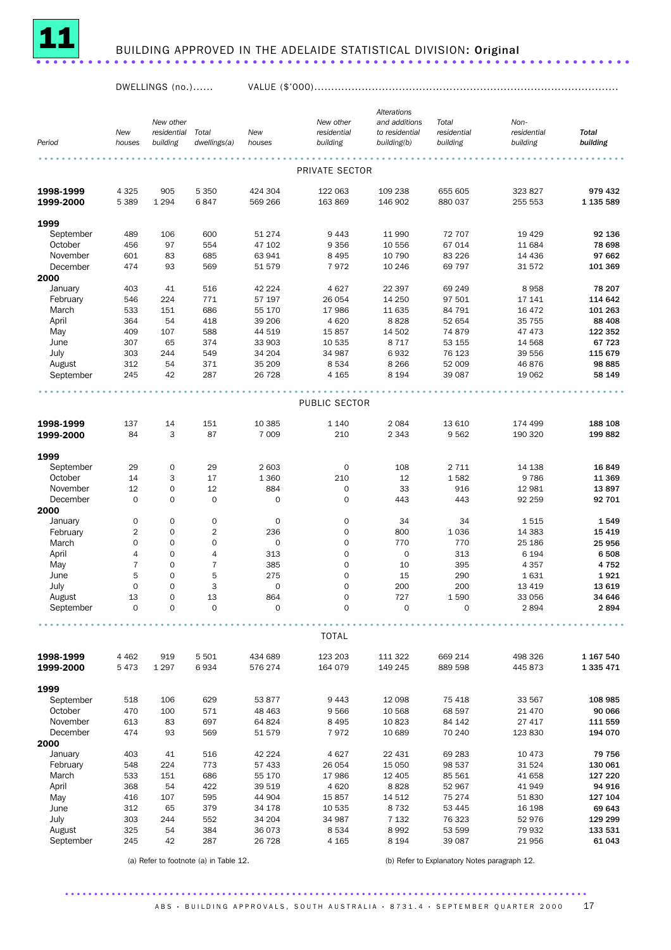

## <sup>11</sup> BUILDING APPROVED IN THE ADELAIDE STATISTICAL DIVISION: Original ..................................................................... .

DWELLINGS (no.)...... VALUE (\$'000)..........................................................................................

|                        |                     |                          |                     |                    |                                 | Alterations        |                    |                    |                        |
|------------------------|---------------------|--------------------------|---------------------|--------------------|---------------------------------|--------------------|--------------------|--------------------|------------------------|
|                        |                     | New other                |                     |                    | New other                       | and additions      | Total              | Non-               |                        |
|                        | New                 | residential Total        |                     | New                | residential                     | to residential     | residential        | residential        | <b>Total</b>           |
| Period                 | houses              | building                 | dwellings(a)        | houses             | building                        | building(b)        | building           | building           | building               |
|                        |                     |                          |                     |                    |                                 |                    |                    |                    |                        |
|                        |                     |                          |                     |                    | PRIVATE SECTOR                  |                    |                    |                    |                        |
| 1998-1999              | 4 3 2 5             | 905                      | 5 3 5 0             | 424 304            | 122 063                         | 109 238            | 655 605            | 323 827            | 979 432                |
| 1999-2000              | 5 3 8 9             | 1 2 9 4                  | 6847                | 569 266            | 163 869                         | 146 902            | 880 037            | 255 553            | 1 135 589              |
| 1999                   |                     |                          |                     |                    |                                 |                    |                    |                    |                        |
| September              | 489                 | 106                      | 600                 | 51 274             | 9443                            | 11 990             | 72 707             | 19 4 29            | 92 136                 |
| October                | 456                 | 97                       | 554                 | 47 102             | 9 3 5 6                         | 10 556             | 67 014             | 11 684             | 78 698                 |
| November               | 601                 | 83                       | 685                 | 63 941             | 8 4 9 5                         | 10 790             | 83 2 26            | 14 4 36            | 97 662                 |
| December               | 474                 | 93                       | 569                 | 51 579             | 7972                            | 10 246             | 69 797             | 31 572             | 101 369                |
| 2000                   |                     |                          |                     |                    |                                 |                    |                    |                    |                        |
| January                | 403                 | 41                       | 516                 | 42 2 2 4           | 4627                            | 22 397             | 69 249             | 8958               | 78 207                 |
| February               | 546                 | 224                      | 771                 | 57 197             | 26 054                          | 14 250             | 97 501             | 17 141             | 114 642                |
| March<br>April         | 533<br>364          | 151<br>54                | 686<br>418          | 55 170<br>39 206   | 17986<br>4 6 20                 | 11 635<br>8828     | 84 791<br>52 654   | 16 472<br>35 755   | 101 263<br>88 408      |
| May                    | 409                 | 107                      | 588                 | 44 519             | 15857                           | 14 502             | 74 879             | 47 473             | 122 352                |
| June                   | 307                 | 65                       | 374                 | 33 903             | 10 535                          | 8 7 1 7            | 53 155             | 14 5 68            | 67 723                 |
| July                   | 303                 | 244                      | 549                 | 34 204             | 34 987                          | 6932               | 76 123             | 39 556             | 115 679                |
| August                 | 312                 | 54                       | 371                 | 35 209             | 8 5 3 4                         | 8 2 6 6            | 52 009             | 46876              | 98 885                 |
| September              | 245                 | 42                       | 287                 | 26 7 28            | 4 1 65                          | 8 1 9 4            | 39 087             | 19 062             | 58 149                 |
|                        |                     |                          |                     |                    |                                 |                    |                    |                    |                        |
|                        |                     |                          |                     |                    | PUBLIC SECTOR                   |                    |                    |                    |                        |
| 1998-1999              | 137                 | 14                       | 151                 | 10 3 85            | 1 1 4 0                         | 2 0 8 4            | 13 610             | 174 499            | 188 108                |
| 1999-2000              | 84                  | 3                        | 87                  | 7 0 0 9            | 210                             | 2 3 4 3            | 9562               | 190 320            | 199 882                |
|                        |                     |                          |                     |                    |                                 |                    |                    |                    |                        |
| 1999                   |                     |                          |                     |                    |                                 |                    |                    |                    |                        |
| September              | 29                  | $\mathbf 0$              | 29                  | 2 603              | $\mathbf 0$                     | 108                | 2 7 1 1            | 14 138             | 16849                  |
| October<br>November    | 14                  | 3<br>$\mathsf{O}\xspace$ | 17                  | 1 3 6 0            | 210                             | 12                 | 1582               | 9786               | 11 369                 |
| December               | 12<br>$\mathbf 0$   | $\mathbf 0$              | 12<br>$\mathbf 0$   | 884<br>$\mathbf 0$ | $\mathsf{O}\xspace$<br>0        | 33<br>443          | 916<br>443         | 12 981<br>92 259   | 13897<br>92 701        |
| 2000                   |                     |                          |                     |                    |                                 |                    |                    |                    |                        |
| January                | $\mathsf{O}\xspace$ | $\mathbf 0$              | 0                   | 0                  | $\mathsf{O}\xspace$             | 34                 | 34                 | 1515               | 1549                   |
| February               | 2                   | $\mathbf 0$              | $\overline{2}$      | 236                | 0                               | 800                | 1 0 3 6            | 14 3 8 3           | 15 4 19                |
| March                  | 0                   | $\overline{0}$           | $\mathsf{O}\xspace$ | $\mathbf 0$        | 0                               | 770                | 770                | 25 186             | 25 956                 |
| April                  | 4                   | $\mathbf 0$              | 4                   | 313                | 0                               | $\mathbf 0$        | 313                | 6 1 9 4            | 6508                   |
| May                    | $\overline{7}$      | $\mathbf 0$              | $\overline{7}$      | 385                | 0                               | 10                 | 395                | 4 3 5 7            | 4752                   |
| June                   | 5                   | $\mathbf 0$              | 5                   | 275                | $\mathbf 0$                     | 15                 | 290                | 1631               | 1921                   |
| July                   | $\mathbf 0$         | $\mathbf 0$              | 3                   | $\mathbf 0$        | 0                               | 200                | 200                | 13 4 19            | 13 619                 |
| August                 | 13<br>$\mathbf 0$   | $\mathbf 0$<br>$\Omega$  | 13<br>$\mathbf 0$   | 864                | $\mathsf{O}\xspace$<br>$\Omega$ | 727                | 1 5 9 0            | 33 056             | 34 646                 |
| September              |                     |                          |                     | $\mathbf 0$        |                                 | $\mathbf 0$        | 0                  | 2894               | 2894                   |
|                        |                     |                          |                     |                    | <b>TOTAL</b>                    |                    |                    |                    |                        |
|                        |                     |                          |                     |                    |                                 |                    |                    |                    |                        |
| 1998-1999<br>1999-2000 | 4 4 6 2<br>5473     | 919<br>1 2 9 7           | 5 5 0 1<br>6934     | 434 689<br>576 274 | 123 203<br>164 079              | 111 322<br>149 245 | 669 214<br>889 598 | 498 326<br>445 873 | 1 167 540<br>1 335 471 |
|                        |                     |                          |                     |                    |                                 |                    |                    |                    |                        |
| 1999                   |                     |                          |                     |                    |                                 |                    |                    |                    |                        |
| September              | 518                 | 106                      | 629                 | 53 877             | 9443                            | 12 098             | 75 4 18            | 33 567             | 108 985                |
| October                | 470                 | 100                      | 571                 | 48 4 63            | 9566                            | 10 568             | 68 597             | 21 470             | 90 066                 |
| November               | 613                 | 83                       | 697                 | 64 824             | 8 4 9 5                         | 10823              | 84 142             | 27 417             | 111 559                |
| December               | 474                 | 93                       | 569                 | 51 579             | 7972                            | 10 689             | 70 240             | 123 830            | 194 070                |
| 2000                   |                     | 41                       |                     |                    |                                 |                    |                    | 10 473             | 79 756                 |
| January<br>February    | 403<br>548          | 224                      | 516<br>773          | 42 2 2 4<br>57 433 | 4627<br>26 054                  | 22 431<br>15 050   | 69 283<br>98 537   | 31 5 24            | 130 061                |
| March                  | 533                 | 151                      | 686                 | 55 170             | 17986                           | 12 405             | 85 561             | 41 658             | 127 220                |
| April                  | 368                 | 54                       | 422                 | 39 519             | 4 6 20                          | 8828               | 52 967             | 41 949             | 94 916                 |
| May                    | 416                 | 107                      | 595                 | 44 904             | 15 857                          | 14 512             | 75 274             | 51 830             | 127 104                |
| June                   | 312                 | 65                       | 379                 | 34 178             | 10 535                          | 8732               | 53 4 4 5           | 16 198             | 69 643                 |
| July                   | 303                 | 244                      | 552                 | 34 204             | 34 987                          | 7 1 3 2            | 76 323             | 52 976             | 129 299                |
| August                 | 325                 | 54                       | 384                 | 36073              | 8 5 3 4                         | 8992               | 53 599             | 79 932             | 133 531                |
| September              | 245                 | 42                       | 287                 | 26 7 28            | 4 1 6 5                         | 8 1 9 4            | 39 087             | 21 956             | 61 043                 |

(a) Refer to footnote (a) in Table 12. (b) Refer to Explanatory Notes paragraph 12.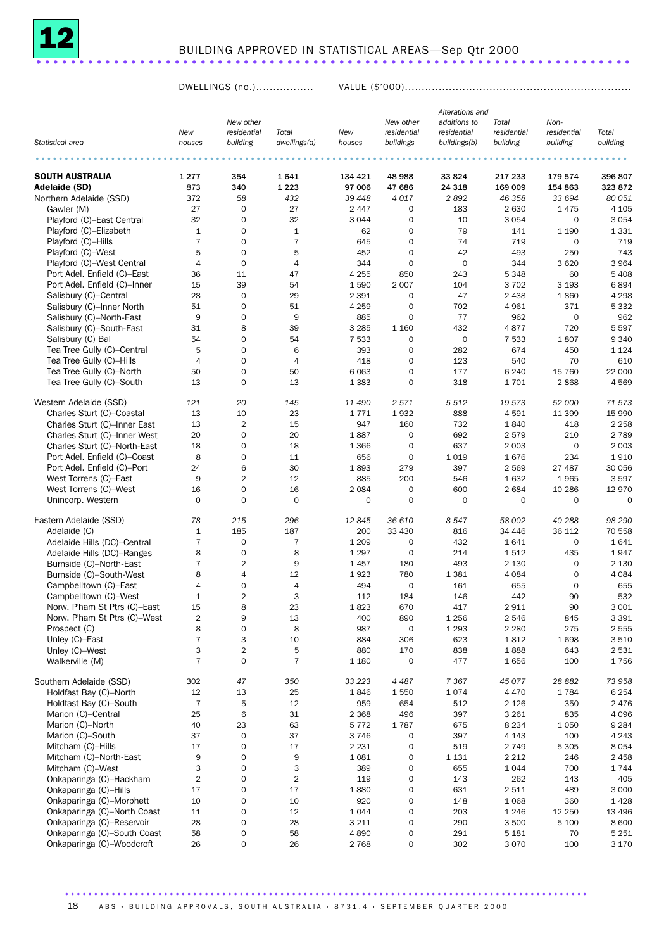

## BUILDING APPROVED IN STATISTICAL AREAS—Sep Qtr 2000 .............................

DWELLINGS (no.)................. VALUE (\$'000)...................................................................

|                              |                     |                               |                     |                |                     | Alterations and |              |             |                 |
|------------------------------|---------------------|-------------------------------|---------------------|----------------|---------------------|-----------------|--------------|-------------|-----------------|
|                              |                     | New other                     |                     |                | New other           | additions to    | Total        | Non-        |                 |
|                              | New                 | residential                   | Total               | New            | residential         | residential     | residential  | residential | Total           |
| Statistical area             | houses              | building                      | dwellings(a)        | houses         | buildings           | buildings(b)    | building     | building    | building        |
|                              |                     |                               |                     |                |                     |                 |              |             |                 |
| <b>SOUTH AUSTRALIA</b>       | 1 2 7 7             | 354                           | 1641                | 134 421        | 48 988              | 33824           | 217 233      | 179 574     | 396 807         |
| Adelaide (SD)                | 873                 | 340                           | 1 2 2 3             | 97 006         | 47 686              | 24 3 18         | 169 009      | 154 863     | 323 872         |
| Northern Adelaide (SSD)      | 372                 | 58                            | 432                 | 39 4 48        | 4017                | 2892            | 46 358       | 33 694      | 80 051          |
| Gawler (M)                   | 27                  | 0                             | 27                  | 2 4 4 7        | 0                   | 183             | 2 6 3 0      | 1475        | 4 1 0 5         |
| Playford (C)-East Central    | 32                  | $\mathsf{O}\xspace$           | 32                  | 3 0 4 4        | 0                   | 10              | 3 0 5 4      | $\mathbf 0$ | 3 0 5 4         |
| Playford (C)-Elizabeth       | 1                   | $\mathbf 0$                   | $\mathbf{1}$        | 62             | $\mathbf 0$         | 79              | 141          | 1 1 9 0     | 1 3 3 1         |
| Playford (C)-Hills           | $\overline{7}$      | $\mathbf 0$                   | $\overline{7}$      | 645            | $\mathbf 0$         | 74              | 719          | 0           | 719             |
| Playford (C)-West            | 5                   | $\mathbf 0$                   | 5                   | 452            | $\mathbf 0$         | 42              | 493          | 250         | 743             |
| Playford (C)-West Central    | 4                   | $\mathbf 0$                   | $\overline{4}$      | 344            | $\mathbf 0$         | $\mathsf{O}$    | 344          | 3 6 2 0     | 3 9 6 4         |
| Port Adel. Enfield (C)-East  | 36                  | 11                            | 47                  | 4 2 5 5        | 850                 | 243             | 5 3 4 8      | 60          | 5 4 0 8         |
| Port Adel. Enfield (C)-Inner | 15                  | 39                            | 54                  | 1590           | 2 0 0 7             | 104             | 3702         | 3 1 9 3     | 6894            |
| Salisbury (C)-Central        | 28                  | $\mathbf 0$                   | 29                  | 2 3 9 1        | 0                   | 47              | 2 4 3 8      | 1860        | 4 2 9 8         |
| Salisbury (C)-Inner North    | 51                  | $\mathbf 0$                   | 51                  | 4 2 5 9        | $\mathbf 0$         | 702             | 4 9 6 1      | 371         | 5 3 3 2         |
| Salisbury (C)-North-East     | 9                   | $\mathbf 0$                   | 9                   | 885            | $\mathbf 0$         | 77              | 962          | $\mathbf 0$ | 962             |
| Salisbury (C)-South-East     | 31                  | 8                             | 39                  | 3 2 8 5        | 1 1 6 0             | 432             | 4877         | 720         | 5 5 9 7         |
| Salisbury (C) Bal            | 54                  | $\mathbf 0$                   | 54                  | 7 5 3 3        | $\mathbf 0$         | $\mathsf{O}$    | 7 5 3 3      | 1807        | 9 3 4 0         |
| Tea Tree Gully (C)-Central   | 5                   | $\mathbf 0$                   | 6                   | 393            | $\mathbf 0$         | 282             | 674          | 450         | 1 1 2 4         |
| Tea Tree Gully (C)-Hills     | $\overline{4}$      | $\mathbf 0$                   | $\overline{4}$      | 418            | $\mathbf 0$         |                 | 540          | 70          | 610             |
|                              |                     |                               |                     |                |                     | 123             |              |             | 22 000          |
| Tea Tree Gully (C)-North     | 50                  | $\mathbf 0$                   | 50                  | 6 0 63         | $\mathbf 0$         | 177             | 6 2 4 0      | 15 760      |                 |
| Tea Tree Gully (C)-South     | 13                  | $\mathbf 0$                   | 13                  | 1 3 8 3        | $\mathbf 0$         | 318             | 1701         | 2868        | 4569            |
| Western Adelaide (SSD)       | 121                 | 20                            | 145                 | 11 490         | 2 5 7 1             | 5 5 1 2         | 19 573       | 52 000      | 71 573          |
| Charles Sturt (C)-Coastal    | 13                  | 10                            | 23                  | 1771           | 1932                | 888             | 4591         | 11 399      | 15 990          |
| Charles Sturt (C)-Inner East | 13                  | $\overline{c}$                | 15                  | 947            | 160                 | 732             | 1840         | 418         | 2 2 5 8         |
| Charles Sturt (C)-Inner West | 20                  | $\mathbf 0$                   | 20                  | 1887           | $\mathsf O$         | 692             | 2579         | 210         | 2 7 8 9         |
| Charles Sturt (C)-North-East | 18                  | 0                             | 18                  | 1 3 6 6        | $\mathbf 0$         | 637             | 2 0 0 3      | 0           | 2 0 0 3         |
| Port Adel. Enfield (C)-Coast | 8                   | $\mathbf 0$                   | 11                  | 656            | $\mathbf 0$         | 1019            | 1676         | 234         | 1910            |
| Port Adel. Enfield (C)-Port  | 24                  | 6                             | 30                  | 1893           | 279                 | 397             | 2 5 6 9      | 27 487      | 30 056          |
| West Torrens (C)-East        | 9                   | $\overline{2}$                | 12                  | 885            | 200                 | 546             | 1632         | 1965        | 3597            |
| West Torrens (C)-West        | 16                  | $\mathbf 0$                   | 16                  | 2 0 8 4        | $\mathbf 0$         | 600             | 2684         | 10 286      | 12 970          |
| Unincorp. Western            | $\Omega$            | $\mathbf 0$                   | $\mathbf 0$         | $\mathbf 0$    | $\mathbf 0$         | $\mathbf 0$     | $\mathbf 0$  | 0           | $\circ$         |
| Eastern Adelaide (SSD)       | 78                  | 215                           | 296                 | 12845          | 36 610              | 8547            | 58 002       | 40 288      | 98 290          |
| Adelaide (C)                 | 1                   | 185                           | 187                 | 200            | 33 430              | 816             | 34 446       | 36 112      | 70 558          |
| Adelaide Hills (DC)-Central  | $\overline{7}$      | $\mathbf 0$                   | $\overline{7}$      | 1 2 0 9        | $\mathbf 0$         | 432             | 1641         | $\mathbf 0$ | 1641            |
| Adelaide Hills (DC)-Ranges   | 8                   | $\mathbf 0$                   | 8                   | 1 2 9 7        | $\mathbf 0$         | 214             | 1512         | 435         | 1947            |
| Burnside (C)-North-East      | $\overline{7}$      | $\overline{2}$                | 9                   | 1457           | 180                 | 493             | 2 1 3 0      | $\mathbf 0$ | 2 1 3 0         |
| Burnside (C)-South-West      | 8                   | $\overline{4}$                | 12                  | 1923           | 780                 | 1 3 8 1         | 4 0 8 4      | $\mathbf 0$ | 4 0 8 4         |
| Campbelltown (C)-East        | 4                   | $\mathbf 0$                   | 4                   | 494            | $\mathbf 0$         | 161             | 655          | $\mathbf 0$ | 655             |
| Campbelltown (C)-West        | 1                   | $\overline{2}$                | 3                   | 112            | 184                 | 146             | 442          | 90          | 532             |
| Norw. P'ham St Ptrs (C)-East | 15                  | 8                             | 23                  | 1823           | 670                 | 417             | 2911         | 90          | 3 0 0 1         |
| Norw. P'ham St Ptrs (C)-West | $\overline{c}$      | 9                             | 13                  | 400            | 890                 | 1 2 5 6         | 2546         | 845         | 3 3 9 1         |
| Prospect (C)                 | 8                   | $\mathbf 0$                   | 8                   | 987            | $\mathsf{O}\xspace$ | 1 2 9 3         | 2 2 8 0      | 275         | 2 5 5 5         |
| Unley (C)-East               | $\overline{7}$      | 3                             | 10                  | 884            | 306                 | 623             | 1812         | 1698        | 3510            |
|                              |                     |                               |                     |                |                     |                 |              |             |                 |
| Unley (C)-West               | 3<br>$\overline{7}$ | $\overline{2}$<br>$\mathbf 0$ | 5<br>$\overline{7}$ | 880<br>1 1 8 0 | 170<br>$\mathbf 0$  | 838<br>477      | 1888<br>1656 | 643<br>100  | 2 5 3 1<br>1756 |
| Walkerville (M)              |                     |                               |                     |                |                     |                 |              |             |                 |
| Southern Adelaide (SSD)      | 302                 | 47                            | 350                 | 33 223         | 4 4 8 7             | 7367            | 45 077       | 28 8 82     | 73 958          |
| Holdfast Bay (C)-North       | 12                  | 13                            | 25                  | 1846           | 1550                | 1074            | 4 4 7 0      | 1784        | 6 2 5 4         |
| Holdfast Bay (C)-South       | $\overline{7}$      | 5                             | 12                  | 959            | 654                 | 512             | 2 1 2 6      | 350         | 2 4 7 6         |
| Marion (C)-Central           | 25                  | $\,6$                         | 31                  | 2 3 6 8        | 496                 | 397             | 3 2 6 1      | 835         | 4 0 9 6         |
| Marion (C)-North             | 40                  | 23                            | 63                  | 5 7 7 2        | 1787                | 675             | 8 2 3 4      | 1 0 5 0     | 9 2 8 4         |
| Marion (C)-South             | 37                  | $\mathbf 0$                   | 37                  | 3746           | 0                   | 397             | 4 1 4 3      | 100         | 4 2 4 3         |
| Mitcham (C)-Hills            | 17                  | $\mathsf{O}\xspace$           | 17                  | 2 2 3 1        | $\mathsf O$         | 519             | 2 7 4 9      | 5 3 0 5     | 8 0 5 4         |
| Mitcham (C)-North-East       | 9                   | $\mathsf{O}\xspace$           | 9                   | 1 0 8 1        | 0                   | 1 1 3 1         | 2 2 1 2      | 246         | 2 4 5 8         |
| Mitcham (C)-West             | 3                   | $\mathsf{O}\xspace$           | 3                   | 389            | 0                   | 655             | 1044         | 700         | 1 7 4 4         |
| Onkaparinga (C)-Hackham      | $\overline{2}$      | $\mathsf{O}\xspace$           | $\overline{2}$      | 119            | 0                   | 143             | 262          | 143         | 405             |
| Onkaparinga (C)-Hills        | 17                  | $\mathsf{O}\xspace$           | 17                  | 1880           | 0                   | 631             | 2511         | 489         | 3 0 0 0         |
| Onkaparinga (C)-Morphett     | 10                  | $\mathsf{O}\xspace$           | 10                  | 920            | $\mathbf 0$         | 148             | 1 0 6 8      | 360         | 1428            |
| Onkaparinga (C)-North Coast  | 11                  | $\mathbf 0$                   | 12                  | 1 0 4 4        | $\mathbf 0$         | 203             | 1 2 4 6      | 12 250      | 13 4 96         |
| Onkaparinga (C)-Reservoir    | 28                  | $\mathsf{O}\xspace$           | 28                  | 3 2 1 1        | 0                   | 290             | 3 500        | 5 100       | 8 600           |
| Onkaparinga (C)-South Coast  | 58                  | $\mathsf{O}\xspace$           | 58                  | 4890           | 0                   | 291             | 5 1 8 1      | 70          | 5 2 5 1         |
| Onkaparinga (C)-Woodcroft    | 26                  | $\mathsf{O}\xspace$           | 26                  | 2 7 6 8        | 0                   | 302             | 3 0 7 0      | 100         | 3 1 7 0         |
|                              |                     |                               |                     |                |                     |                 |              |             |                 |

18 ABS · BUILDING APPROVALS, SOUTH AUSTRALIA · 8731.4 · SEPTEMBER QUARTER 2000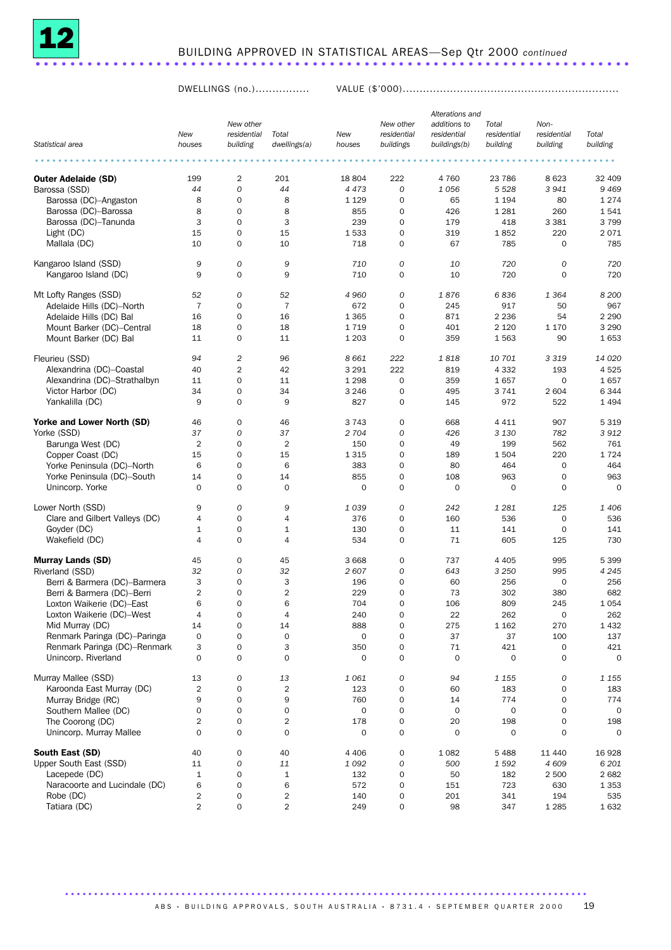

DWELLINGS (no.)................ VALUE (\$'000)................................................................

|                                |                |                |                |             |                     | Alterations and |             |                     |             |
|--------------------------------|----------------|----------------|----------------|-------------|---------------------|-----------------|-------------|---------------------|-------------|
|                                |                | New other      |                |             | New other           | additions to    | Total       | Non-                |             |
|                                | New            | residential    | Total          | New         | residential         | residential     | residential | residential         | Total       |
| Statistical area               | houses         | building       | dwellings(a)   | houses      | buildings           | buildings(b)    | building    | building            | building    |
|                                |                |                |                |             |                     |                 |             |                     |             |
|                                |                |                |                |             |                     |                 |             |                     |             |
| <b>Outer Adelaide (SD)</b>     | 199            | $\overline{2}$ | 201            | 18 804      | 222                 | 4 7 6 0         | 23 786      | 8 6 23              | 32 409      |
| Barossa (SSD)                  | 44             | 0              | 44             | 4 4 7 3     | $\overline{O}$      | 1056            | 5 5 28      | 3941                | 9469        |
|                                | 8              | 0              | 8              | 1 1 2 9     | 0                   | 65              | 1 1 9 4     | 80                  | 1274        |
| Barossa (DC)-Angaston          |                |                |                |             |                     |                 |             |                     |             |
| Barossa (DC)-Barossa           | 8              | 0              | 8              | 855         | 0                   | 426             | 1 2 8 1     | 260                 | 1541        |
| Barossa (DC)-Tanunda           | 3              | 0              | 3              | 239         | 0                   | 179             | 418         | 3 3 8 1             | 3799        |
| Light (DC)                     | 15             | 0              | 15             | 1533        | $\mathbf 0$         | 319             | 1852        | 220                 | 2071        |
| Mallala (DC)                   | 10             | 0              | 10             | 718         | $\mathbf 0$         | 67              | 785         | $\mathbf 0$         | 785         |
|                                |                |                |                |             |                     |                 |             |                     |             |
| Kangaroo Island (SSD)          | 9              | 0              | 9              | 710         | $\mathcal{O}$       | 10              | 720         | 0                   | 720         |
| Kangaroo Island (DC)           | 9              | 0              | 9              | 710         | 0                   | 10              | 720         | $\mathbf 0$         | 720         |
|                                |                |                |                |             |                     |                 |             |                     |             |
| Mt Lofty Ranges (SSD)          | 52             | 0              | 52             | 4 9 6 0     | 0                   | 1876            | 6836        | 1 3 6 4             | 8 200       |
| Adelaide Hills (DC)-North      | $\overline{7}$ | 0              | $\overline{7}$ | 672         | 0                   | 245             | 917         | 50                  | 967         |
| Adelaide Hills (DC) Bal        | 16             | 0              | 16             | 1 3 6 5     | 0                   | 871             | 2 2 3 6     | 54                  | 2 2 9 0     |
| Mount Barker (DC)-Central      | 18             | 0              | 18             | 1719        | $\mathbf 0$         | 401             | 2 1 2 0     | 1 1 7 0             | 3 2 9 0     |
| Mount Barker (DC) Bal          | 11             | 0              | 11             | 1 2 0 3     | $\mathbf 0$         | 359             | 1563        | 90                  | 1653        |
|                                |                |                |                |             |                     |                 |             |                     |             |
| Fleurieu (SSD)                 | 94             | 2              | 96             | 8 6 6 1     | 222                 | 1818            | 10 701      | 3 3 1 9             | 14 0 20     |
| Alexandrina (DC)-Coastal       | 40             | 2              | 42             | 3 2 9 1     | 222                 | 819             | 4 3 3 2     | 193                 | 4525        |
| Alexandrina (DC)-Strathalbyn   | 11             | 0              | 11             | 1 2 9 8     | $\mathbf 0$         | 359             | 1657        | $\mathbf 0$         | 1657        |
| Victor Harbor (DC)             | 34             | 0              | 34             | 3 2 4 6     | 0                   | 495             | 3 7 4 1     | 2604                | 6344        |
| Yankalilla (DC)                | 9              | 0              | 9              | 827         | $\mathsf{O}$        | 145             | 972         | 522                 | 1 4 9 4     |
|                                |                |                |                |             |                     |                 |             |                     |             |
| Yorke and Lower North (SD)     | 46             | 0              | 46             | 3 7 4 3     | 0                   | 668             | 4 4 1 1     | 907                 | 5319        |
| Yorke (SSD)                    | 37             | 0              | 37             | 2 704       | 0                   | 426             | 3 1 3 0     | 782                 | 3912        |
| Barunga West (DC)              | $\overline{2}$ | 0              | $\overline{2}$ | 150         | 0                   | 49              | 199         | 562                 | 761         |
| Copper Coast (DC)              | 15             | 0              | 15             | 1 3 1 5     | 0                   | 189             | 1504        | 220                 | 1724        |
| Yorke Peninsula (DC)-North     | 6              | 0              | 6              | 383         | 0                   | 80              | 464         | 0                   | 464         |
| Yorke Peninsula (DC)-South     | 14             | 0              | 14             | 855         | $\mathbf 0$         | 108             | 963         | $\mathbf 0$         | 963         |
| Unincorp. Yorke                | 0              | 0              | $\mathbf 0$    | 0           | $\mathbf 0$         | $\mathbf 0$     | $\mathbf 0$ | $\mathbf 0$         | $\mathbf 0$ |
|                                |                |                |                |             |                     |                 |             |                     |             |
| Lower North (SSD)              | 9              | 0              | 9              | 1039        | $\mathcal{O}$       | 242             | 1 2 8 1     | 125                 | 1 406       |
| Clare and Gilbert Valleys (DC) | 4              | 0              | 4              | 376         | 0                   | 160             | 536         | 0                   | 536         |
| Goyder (DC)                    | $\mathbf{1}$   | $\mathbf 0$    | $\mathbf{1}$   | 130         | $\mathbf 0$         | 11              | 141         | $\mathbf 0$         | 141         |
| Wakefield (DC)                 | $\overline{4}$ | 0              | 4              | 534         | 0                   | 71              | 605         | 125                 | 730         |
|                                |                |                |                |             |                     |                 |             |                     |             |
| <b>Murray Lands (SD)</b>       | 45             | 0              | 45             | 3 6 6 8     | 0                   | 737             | 4 4 0 5     | 995                 | 5 3 9 9     |
| Riverland (SSD)                | 32             | 0              | 32             | 2607        | 0                   | 643             | 3 2 5 0     | 995                 | 4 2 4 5     |
|                                |                | $\mathbf 0$    |                |             |                     |                 |             |                     |             |
| Berri & Barmera (DC)-Barmera   | 3              |                | 3              | 196         | $\mathbf 0$         | 60              | 256         | 0                   | 256         |
| Berri & Barmera (DC)-Berri     | $\overline{2}$ | 0              | $\overline{2}$ | 229         | 0                   | 73              | 302         | 380                 | 682         |
| Loxton Waikerie (DC)-East      | 6              | 0              | 6              | 704         | $\mathbf 0$         | 106             | 809         | 245                 | 1 0 5 4     |
| Loxton Waikerie (DC)-West      | 4              | 0              | 4              | 240         | 0                   | 22              | 262         | 0                   | 262         |
| Mid Murray (DC)                | 14             | 0              | 14             | 888         | $\mathsf{O}\xspace$ | 275             | 1 1 6 2     | 270                 | 1 4 3 2     |
| Renmark Paringa (DC)-Paringa   | 0              | 0              | $\mathbf 0$    | $\mathbf 0$ | $\mathbf 0$         | 37              | 37          | 100                 | 137         |
| Renmark Paringa (DC)-Renmark   | 3              | 0              | 3              | 350         | $\mathbf 0$         | 71              | 421         | 0                   | 421         |
| Unincorp. Riverland            | 0              | $\mathbf 0$    | $\mathbf 0$    | $\mathbf 0$ | $\mathbf 0$         | $\mathbf 0$     | 0           | $\mathbf 0$         | 0           |
|                                |                |                |                |             |                     |                 |             |                     |             |
| Murray Mallee (SSD)            | 13             | 0              | 13             | 1 0 6 1     | 0                   | 94              | 1 1 5 5     | 0                   | 1 1 5 5     |
| Karoonda East Murray (DC)      | $\overline{2}$ | 0              | $\overline{2}$ | 123         | $\mathbf 0$         | 60              | 183         | $\mathsf{O}\xspace$ | 183         |
| Murray Bridge (RC)             | 9              | 0              | 9              | 760         | $\mathsf{O}\xspace$ | 14              | 774         | $\mathbf 0$         | 774         |
| Southern Mallee (DC)           | 0              | 0              | $\mathbf 0$    | $\mathbf 0$ | $\mathbf 0$         | $\mathbf 0$     | $\mathbf 0$ | $\mathbf 0$         | 0           |
| The Coorong (DC)               | $\overline{2}$ | 0              | $\overline{2}$ | 178         | $\mathbf 0$         | 20              | 198         | $\mathbf 0$         | 198         |
| Unincorp. Murray Mallee        | 0              | $\mathbf 0$    | $\mathbf 0$    | $\mathbf 0$ | $\mathbf 0$         | $\mathbf 0$     | 0           | $\mathbf 0$         | 0           |
|                                |                |                |                |             |                     |                 |             |                     |             |
| South East (SD)                | 40             | 0              | 40             | 4 4 0 6     | 0                   | 1 0 8 2         | 5488        | 11 440              | 16928       |
| Upper South East (SSD)         | 11             | 0              | 11             | 1092        | $\boldsymbol{0}$    | 500             | 1592        | 4 609               | 6 201       |
| Lacepede (DC)                  | $\mathbf 1$    | 0              | $\mathbf 1$    | 132         | $\mathbf 0$         | 50              | 182         | 2 500               | 2682        |
| Naracoorte and Lucindale (DC)  | 6              | $\mathbf 0$    | 6              | 572         | 0                   | 151             | 723         | 630                 | 1 3 5 3     |
| Robe (DC)                      | $\overline{2}$ | 0              | $\overline{2}$ | 140         | 0                   | 201             | 341         | 194                 | 535         |
| Tatiara (DC)                   | $\overline{2}$ | 0              | $\overline{2}$ | 249         | $\mathbf 0$         | 98              | 347         | 1 2 8 5             | 1632        |
|                                |                |                |                |             |                     |                 |             |                     |             |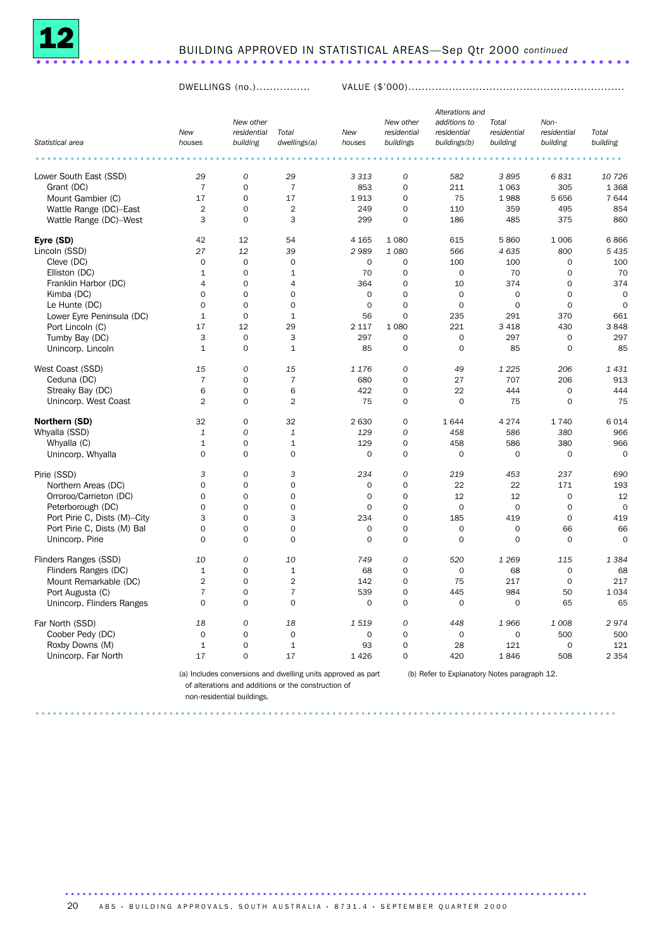

## BUILDING APPROVED IN STATISTICAL AREAS—Sep Qtr 2000 *continued* ..................................................................... .

DWELLINGS (no.)................ VALUE (\$'000)................................................................

|                              |                |                     |                |                     |                     | Alterations and |                     |                |             |
|------------------------------|----------------|---------------------|----------------|---------------------|---------------------|-----------------|---------------------|----------------|-------------|
|                              |                | New other           |                |                     | New other           | additions to    | Total               | Non-           |             |
|                              | New            | residential         | Total          | New                 | residential         | residential     | residential         | residential    | Total       |
| Statistical area             | houses         | building            | dwellings(a)   | houses              | buildings           | buildings(b)    | building            | building       | building    |
|                              |                |                     |                |                     |                     |                 |                     |                |             |
| Lower South East (SSD)       | 29             | $\mathcal{O}$       | 29             | 3 3 1 3             | 0                   | 582             | 3895                | 6831           | 10 726      |
| Grant (DC)                   | $\overline{7}$ | $\mathsf{O}\xspace$ | $\overline{7}$ | 853                 | $\mathsf{O}\xspace$ | 211             | 1 0 6 3             | 305            | 1 3 6 8     |
| Mount Gambier (C)            | 17             | $\mathbf 0$         | 17             | 1913                | $\circ$             | 75              | 1988                | 5 6 5 6        | 7 644       |
| Wattle Range (DC)-East       | $\overline{2}$ | $\mathbf 0$         | $\overline{2}$ | 249                 | 0                   | 110             | 359                 | 495            | 854         |
| Wattle Range (DC)-West       | 3              | $\Omega$            | 3              | 299                 | $\Omega$            | 186             | 485                 | 375            | 860         |
| Eyre (SD)                    | 42             | 12                  | 54             | 4 1 6 5             | 1 0 8 0             | 615             | 5 8 6 0             | 1 0 0 6        | 6866        |
| Lincoln (SSD)                | 27             | 12                  | 39             | 2989                | 1 0 8 0             | 566             | 4 6 3 5             | 800            | 5 4 3 5     |
| Cleve (DC)                   | $\mathbf 0$    | $\mathsf{O}\xspace$ | $\mathbf 0$    | 0                   | 0                   | 100             | 100                 | $\mathbf 0$    | 100         |
| Elliston (DC)                | $\mathbf{1}$   | $\Omega$            | $\mathbf{1}$   | 70                  | $\circ$             | $\mathbf 0$     | 70                  | $\mathbf 0$    | 70          |
| Franklin Harbor (DC)         | 4              | 0                   | 4              | 364                 | 0                   | 10              | 374                 | $\mathbf 0$    | 374         |
| Kimba (DC)                   | $\mathbf 0$    | $\mathbf 0$         | $\mathbf 0$    | $\mathbf 0$         | 0                   | $\mathbf 0$     | $\mathbf 0$         | $\overline{0}$ | $\circ$     |
| Le Hunte (DC)                | $\overline{0}$ | 0                   | $\mathbf 0$    | $\mathsf{O}\xspace$ | $\overline{O}$      | $\mathbf 0$     | $\mathbf 0$         | $\mathbf 0$    | $\circ$     |
| Lower Eyre Peninsula (DC)    | $\mathbf{1}$   | $\mathbf 0$         | $\mathbf{1}$   | 56                  | 0                   | 235             | 291                 | 370            | 661         |
| Port Lincoln (C)             | 17             | 12                  | 29             | 2 1 1 7             | 1 0 8 0             | 221             | 3 4 1 8             | 430            | 3848        |
| Tumby Bay (DC)               | 3              | $\mathbf 0$         | 3              | 297                 | $\circ$             | $\mathbf 0$     | 297                 | $\mathbf 0$    | 297         |
| Unincorp. Lincoln            | $\mathbf{1}$   | $\mathbf 0$         | $\mathbf{1}$   | 85                  | $\mathsf{O}\xspace$ | $\mathbf 0$     | 85                  | $\mathbf 0$    | 85          |
|                              |                |                     |                |                     |                     |                 |                     |                |             |
| West Coast (SSD)             | 15             | 0                   | 15             | 1 1 7 6             | 0                   | 49              | 1 2 2 5             | 206            | 1 4 3 1     |
| Ceduna (DC)                  | $\overline{7}$ | 0                   | $\overline{7}$ | 680                 | 0                   | 27              | 707                 | 206            | 913         |
| Streaky Bay (DC)             | 6              | 0                   | 6              | 422                 | 0                   | 22              | 444                 | $\Omega$       | 444         |
| Unincorp. West Coast         | $\overline{2}$ | $\mathbf 0$         | $\overline{2}$ | 75                  | $\circ$             | $\mathbf 0$     | 75                  | $\mathbf 0$    | 75          |
| Northern (SD)                | 32             | 0                   | 32             | 2 6 3 0             | 0                   | 1644            | 4 2 7 4             | 1740           | 6 0 1 4     |
| Whyalla (SSD)                | $\mathbf{1}$   | 0                   | $\mathbf{1}$   | 129                 | 0                   | 458             | 586                 | 380            | 966         |
| Whyalla (C)                  | $\mathbf{1}$   | $\mathbf 0$         | $\mathbf{1}$   | 129                 | 0                   | 458             | 586                 | 380            | 966         |
| Unincorp. Whyalla            | $\Omega$       | $\Omega$            | $\Omega$       | $\mathbf 0$         | $\circ$             | $\Omega$        | $\mathbf 0$         | $\mathbf 0$    | $\mathbf 0$ |
|                              |                |                     |                |                     |                     |                 |                     |                |             |
| Pirie (SSD)                  | 3              | 0                   | 3              | 234                 | 0                   | 219             | 453                 | 237            | 690         |
| Northern Areas (DC)          | $\mathbf 0$    | $\mathbf 0$         | $\mathbf 0$    | $\mathbf 0$         | $\circ$             | 22              | 22                  | 171            | 193         |
| Orroroo/Carrieton (DC)       | $\mathbf 0$    | 0                   | $\mathbf 0$    | 0                   | $\mathbf 0$         | 12              | 12                  | $\mathbf 0$    | 12          |
| Peterborough (DC)            | $\Omega$       | $\Omega$            | $\Omega$       | $\mathbf 0$         | 0                   | $\mathbf 0$     | $\mathbf 0$         | $\mathbf 0$    | $\circ$     |
| Port Pirie C, Dists (M)-City | 3              | 0                   | 3              | 234                 | 0                   | 185             | 419                 | $\mathbf 0$    | 419         |
| Port Pirie C, Dists (M) Bal  | $\mathbf 0$    | 0                   | $\Omega$       | $\mathsf{O}\xspace$ | 0                   | $\mathbf 0$     | $\mathsf{O}\xspace$ | 66             | 66          |
| Unincorp. Pirie              | $\Omega$       | 0                   | $\mathbf 0$    | 0                   | 0                   | $\mathbf 0$     | $\mathbf 0$         | $\mathbf 0$    | $\circ$     |
| Flinders Ranges (SSD)        | 10             | 0                   | 10             | 749                 | 0                   | 520             | 1 2 6 9             | 115            | 1 3 8 4     |
| Flinders Ranges (DC)         | $\mathbf{1}$   | $\mathbf 0$         | $\mathbf{1}$   | 68                  | $\circ$             | $\mathbf 0$     | 68                  | $\mathbf 0$    | 68          |
| Mount Remarkable (DC)        | $\overline{2}$ | $\mathbf 0$         | $\overline{2}$ | 142                 | $\circ$             | 75              | 217                 | $\mathbf 0$    | 217         |
| Port Augusta (C)             | $\overline{7}$ | $\mathbf 0$         | $\overline{7}$ | 539                 | $\circ$             | 445             | 984                 | 50             | 1 0 3 4     |
| Unincorp. Flinders Ranges    | $\mathbf 0$    | 0                   | $\mathbf 0$    | 0                   | 0                   | $\mathbf 0$     | 0                   | 65             | 65          |
| Far North (SSD)              | 18             | 0                   | 18             | 1519                | 0                   | 448             | 1966                | 1 0 0 8        | 2974        |
| Coober Pedy (DC)             | $\mathbf 0$    | $\mathbf 0$         | $\mathbf 0$    | $\mathbf 0$         | $\circ$             | $\mathbf 0$     | $\mathbf 0$         | 500            | 500         |
| Roxby Downs (M)              | $\mathbf{1}$   | $\mathbf 0$         | $\mathbf{1}$   | 93                  | $\circ$             | 28              | 121                 | $\mathbf 0$    | 121         |
| Unincorp. Far North          | 17             | 0                   | 17             | 1426                | 0                   | 420             | 1846                | 508            | 2 3 5 4     |
|                              |                |                     |                |                     |                     |                 |                     |                |             |

(a) Includes conversions and dwelling units approved as part (b) Refer to Explanatory Notes paragraph 12.

....................................................................................................

of alterations and additions or the construction of

non-residential buildings.

.......................................................................................... 20 ABS · BUILDING APPROVALS, SOUTH AUSTRALIA · 8731.4 · SEPTEMBER QUARTER 2000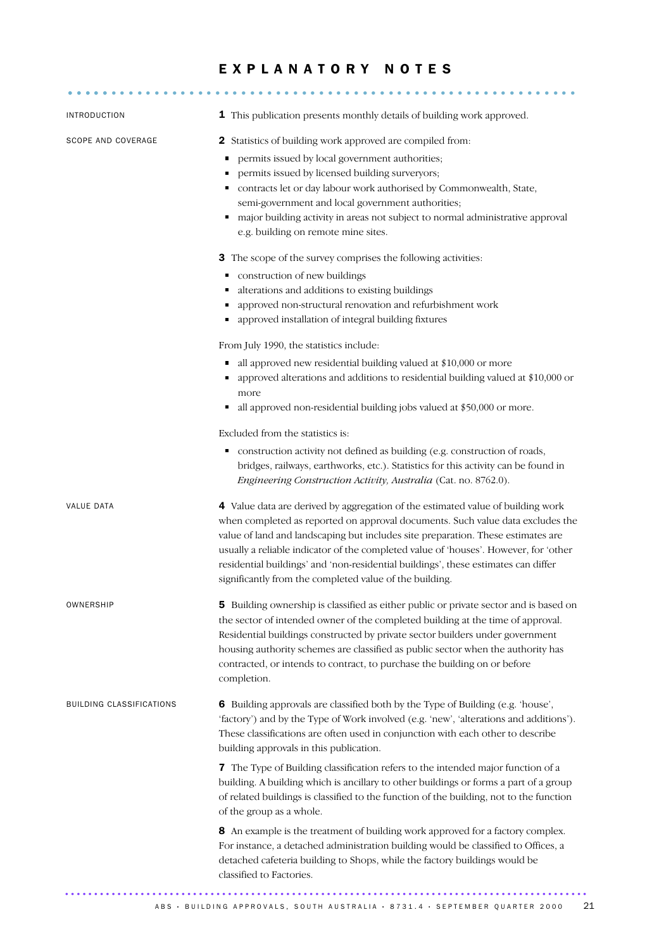### EXPLANATORY NOTES

| INTRODUCTION             | 1 This publication presents monthly details of building work approved.                                                                                                                                                                                                                                                                                                                                                                                                                                                                                                                                                                                                                                          |
|--------------------------|-----------------------------------------------------------------------------------------------------------------------------------------------------------------------------------------------------------------------------------------------------------------------------------------------------------------------------------------------------------------------------------------------------------------------------------------------------------------------------------------------------------------------------------------------------------------------------------------------------------------------------------------------------------------------------------------------------------------|
| SCOPE AND COVERAGE       | Statistics of building work approved are compiled from:<br>2<br>permits issued by local government authorities;<br>permits issued by licensed building surveryors;<br>contracts let or day labour work authorised by Commonwealth, State,<br>٠<br>semi-government and local government authorities;<br>major building activity in areas not subject to normal administrative approval<br>e.g. building on remote mine sites.<br>3 The scope of the survey comprises the following activities:<br>construction of new buildings<br>Ξ<br>alterations and additions to existing buildings<br>٠<br>approved non-structural renovation and refurbishment work<br>approved installation of integral building fixtures |
|                          | From July 1990, the statistics include:<br>all approved new residential building valued at \$10,000 or more<br>٠<br>approved alterations and additions to residential building valued at \$10,000 or<br>more<br>all approved non-residential building jobs valued at \$50,000 or more.<br>Excluded from the statistics is:<br>construction activity not defined as building (e.g. construction of roads,<br>п<br>bridges, railways, earthworks, etc.). Statistics for this activity can be found in<br>Engineering Construction Activity, Australia (Cat. no. 8762.0).                                                                                                                                          |
| <b>VALUE DATA</b>        | 4 Value data are derived by aggregation of the estimated value of building work<br>when completed as reported on approval documents. Such value data excludes the<br>value of land and landscaping but includes site preparation. These estimates are<br>usually a reliable indicator of the completed value of 'houses'. However, for 'other<br>residential buildings' and 'non-residential buildings', these estimates can differ<br>significantly from the completed value of the building.                                                                                                                                                                                                                  |
| OWNERSHIP                | 5 Building ownership is classified as either public or private sector and is based on<br>the sector of intended owner of the completed building at the time of approval.<br>Residential buildings constructed by private sector builders under government<br>housing authority schemes are classified as public sector when the authority has<br>contracted, or intends to contract, to purchase the building on or before<br>completion.                                                                                                                                                                                                                                                                       |
| BUILDING CLASSIFICATIONS | 6 Building approvals are classified both by the Type of Building (e.g. 'house',<br>'factory') and by the Type of Work involved (e.g. 'new', 'alterations and additions').<br>These classifications are often used in conjunction with each other to describe<br>building approvals in this publication.                                                                                                                                                                                                                                                                                                                                                                                                         |
|                          | 7 The Type of Building classification refers to the intended major function of a<br>building. A building which is ancillary to other buildings or forms a part of a group<br>of related buildings is classified to the function of the building, not to the function<br>of the group as a whole.                                                                                                                                                                                                                                                                                                                                                                                                                |
|                          | 8 An example is the treatment of building work approved for a factory complex.<br>For instance, a detached administration building would be classified to Offices, a<br>detached cafeteria building to Shops, while the factory buildings would be<br>classified to Factories.                                                                                                                                                                                                                                                                                                                                                                                                                                  |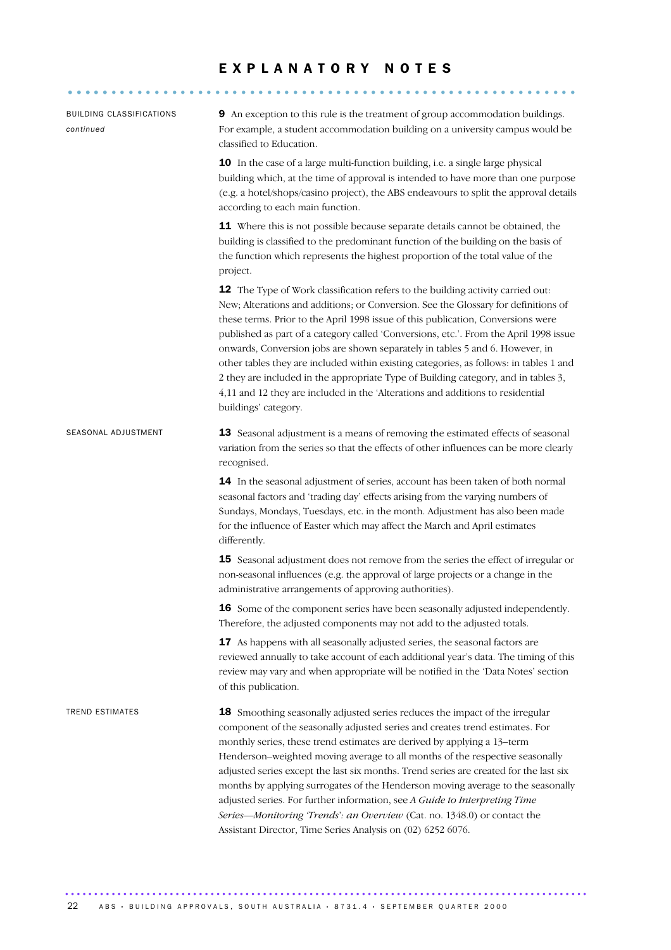### E X P L A N A T O R Y N O T E S

........................................................... .....

| BUILDING CLASSIFICATIONS<br>continued | <b>9</b> An exception to this rule is the treatment of group accommodation buildings.<br>For example, a student accommodation building on a university campus would be<br>classified to Education.                                                                                                                                                                                                                                                                                                                                                                                                                                                                                                                           |
|---------------------------------------|------------------------------------------------------------------------------------------------------------------------------------------------------------------------------------------------------------------------------------------------------------------------------------------------------------------------------------------------------------------------------------------------------------------------------------------------------------------------------------------------------------------------------------------------------------------------------------------------------------------------------------------------------------------------------------------------------------------------------|
|                                       | 10 In the case of a large multi-function building, i.e. a single large physical<br>building which, at the time of approval is intended to have more than one purpose<br>(e.g. a hotel/shops/casino project), the ABS endeavours to split the approval details<br>according to each main function.                                                                                                                                                                                                                                                                                                                                                                                                                            |
|                                       | 11 Where this is not possible because separate details cannot be obtained, the<br>building is classified to the predominant function of the building on the basis of<br>the function which represents the highest proportion of the total value of the<br>project.                                                                                                                                                                                                                                                                                                                                                                                                                                                           |
|                                       | 12 The Type of Work classification refers to the building activity carried out:<br>New; Alterations and additions; or Conversion. See the Glossary for definitions of<br>these terms. Prior to the April 1998 issue of this publication, Conversions were<br>published as part of a category called 'Conversions, etc.'. From the April 1998 issue<br>onwards, Conversion jobs are shown separately in tables 5 and 6. However, in<br>other tables they are included within existing categories, as follows: in tables 1 and<br>2 they are included in the appropriate Type of Building category, and in tables 3,<br>4,11 and 12 they are included in the 'Alterations and additions to residential<br>buildings' category. |
| SEASONAL ADJUSTMENT                   | 13 Seasonal adjustment is a means of removing the estimated effects of seasonal<br>variation from the series so that the effects of other influences can be more clearly<br>recognised.                                                                                                                                                                                                                                                                                                                                                                                                                                                                                                                                      |
|                                       | 14 In the seasonal adjustment of series, account has been taken of both normal<br>seasonal factors and 'trading day' effects arising from the varying numbers of<br>Sundays, Mondays, Tuesdays, etc. in the month. Adjustment has also been made<br>for the influence of Easter which may affect the March and April estimates<br>differently.                                                                                                                                                                                                                                                                                                                                                                               |
|                                       | 15 Seasonal adjustment does not remove from the series the effect of irregular or<br>non-seasonal influences (e.g. the approval of large projects or a change in the<br>administrative arrangements of approving authorities).                                                                                                                                                                                                                                                                                                                                                                                                                                                                                               |
|                                       | 16 Some of the component series have been seasonally adjusted independently.<br>Therefore, the adjusted components may not add to the adjusted totals.                                                                                                                                                                                                                                                                                                                                                                                                                                                                                                                                                                       |
|                                       | 17 As happens with all seasonally adjusted series, the seasonal factors are<br>reviewed annually to take account of each additional year's data. The timing of this<br>review may vary and when appropriate will be notified in the 'Data Notes' section<br>of this publication.                                                                                                                                                                                                                                                                                                                                                                                                                                             |
| TREND ESTIMATES                       | 18 Smoothing seasonally adjusted series reduces the impact of the irregular<br>component of the seasonally adjusted series and creates trend estimates. For<br>monthly series, these trend estimates are derived by applying a 13-term<br>Henderson-weighted moving average to all months of the respective seasonally<br>adjusted series except the last six months. Trend series are created for the last six<br>months by applying surrogates of the Henderson moving average to the seasonally<br>adjusted series. For further information, see A Guide to Interpreting Time<br>Series-Monitoring 'Trends': an Overview (Cat. no. 1348.0) or contact the<br>Assistant Director, Time Series Analysis on (02) 6252 6076.  |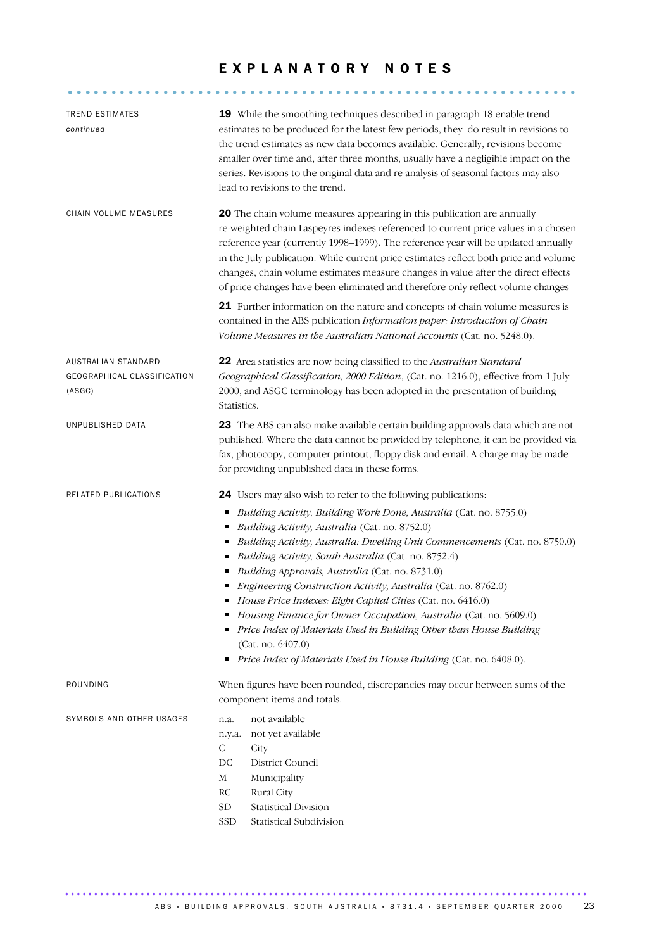### E X P L A N A T O R Y N O T E S

........................................................... .....

| TREND ESTIMATES<br>continued                                 | 19 While the smoothing techniques described in paragraph 18 enable trend<br>estimates to be produced for the latest few periods, they do result in revisions to<br>the trend estimates as new data becomes available. Generally, revisions become<br>smaller over time and, after three months, usually have a negligible impact on the<br>series. Revisions to the original data and re-analysis of seasonal factors may also<br>lead to revisions to the trend.                                                                                                                                                                                                                                                                                                                             |
|--------------------------------------------------------------|-----------------------------------------------------------------------------------------------------------------------------------------------------------------------------------------------------------------------------------------------------------------------------------------------------------------------------------------------------------------------------------------------------------------------------------------------------------------------------------------------------------------------------------------------------------------------------------------------------------------------------------------------------------------------------------------------------------------------------------------------------------------------------------------------|
| CHAIN VOLUME MEASURES                                        | 20 The chain volume measures appearing in this publication are annually<br>re-weighted chain Laspeyres indexes referenced to current price values in a chosen<br>reference year (currently 1998-1999). The reference year will be updated annually<br>in the July publication. While current price estimates reflect both price and volume<br>changes, chain volume estimates measure changes in value after the direct effects<br>of price changes have been eliminated and therefore only reflect volume changes                                                                                                                                                                                                                                                                            |
|                                                              | <b>21</b> Further information on the nature and concepts of chain volume measures is<br>contained in the ABS publication Information paper: Introduction of Chain<br>Volume Measures in the Australian National Accounts (Cat. no. 5248.0).                                                                                                                                                                                                                                                                                                                                                                                                                                                                                                                                                   |
| AUSTRALIAN STANDARD<br>GEOGRAPHICAL CLASSIFICATION<br>(ASGC) | 22 Area statistics are now being classified to the Australian Standard<br>Geographical Classification, 2000 Edition, (Cat. no. 1216.0), effective from 1 July<br>2000, and ASGC terminology has been adopted in the presentation of building<br>Statistics.                                                                                                                                                                                                                                                                                                                                                                                                                                                                                                                                   |
| UNPUBLISHED DATA                                             | 23 The ABS can also make available certain building approvals data which are not<br>published. Where the data cannot be provided by telephone, it can be provided via<br>fax, photocopy, computer printout, floppy disk and email. A charge may be made<br>for providing unpublished data in these forms.                                                                                                                                                                                                                                                                                                                                                                                                                                                                                     |
| RELATED PUBLICATIONS                                         | <b>24</b> Users may also wish to refer to the following publications:<br>Building Activity, Building Work Done, Australia (Cat. no. 8755.0)<br>Ξ<br>Building Activity, Australia (Cat. no. 8752.0)<br>٠<br>Building Activity, Australia: Dwelling Unit Commencements (Cat. no. 8750.0)<br>Ξ<br>Building Activity, South Australia (Cat. no. 8752.4)<br>п<br>Building Approvals, Australia (Cat. no. 8731.0)<br>٠<br>Engineering Construction Activity, Australia (Cat. no. 8762.0)<br>House Price Indexes: Eight Capital Cities (Cat. no. 6416.0)<br>Housing Finance for Owner Occupation, Australia (Cat. no. 5609.0)<br>٠<br>Price Index of Materials Used in Building Other than House Building<br>(Cat. no. 6407.0)<br>Price Index of Materials Used in House Building (Cat. no. 6408.0). |
| ROUNDING                                                     | When figures have been rounded, discrepancies may occur between sums of the<br>component items and totals.                                                                                                                                                                                                                                                                                                                                                                                                                                                                                                                                                                                                                                                                                    |
| SYMBOLS AND OTHER USAGES                                     | not available<br>n.a.<br>not yet available<br>n.y.a.<br>$\mathsf{C}$<br>City<br>DC<br><b>District Council</b><br>M<br>Municipality<br>Rural City<br>RC<br><b>Statistical Division</b><br>${\rm SD}$<br>SSD<br>Statistical Subdivision                                                                                                                                                                                                                                                                                                                                                                                                                                                                                                                                                         |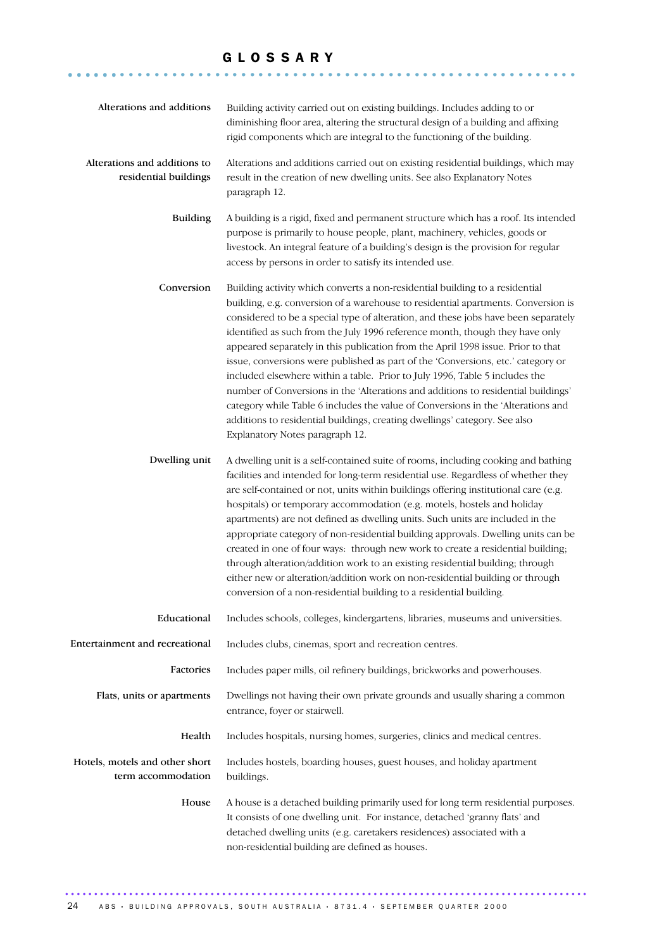### G L O S S A R Y

........................................................... ......

| Alterations and additions                             | Building activity carried out on existing buildings. Includes adding to or<br>diminishing floor area, altering the structural design of a building and affixing<br>rigid components which are integral to the functioning of the building.                                                                                                                                                                                                                                                                                                                                                                                                                                                                                                                                                                                                                                               |
|-------------------------------------------------------|------------------------------------------------------------------------------------------------------------------------------------------------------------------------------------------------------------------------------------------------------------------------------------------------------------------------------------------------------------------------------------------------------------------------------------------------------------------------------------------------------------------------------------------------------------------------------------------------------------------------------------------------------------------------------------------------------------------------------------------------------------------------------------------------------------------------------------------------------------------------------------------|
| Alterations and additions to<br>residential buildings | Alterations and additions carried out on existing residential buildings, which may<br>result in the creation of new dwelling units. See also Explanatory Notes<br>paragraph 12.                                                                                                                                                                                                                                                                                                                                                                                                                                                                                                                                                                                                                                                                                                          |
| <b>Building</b>                                       | A building is a rigid, fixed and permanent structure which has a roof. Its intended<br>purpose is primarily to house people, plant, machinery, vehicles, goods or<br>livestock. An integral feature of a building's design is the provision for regular<br>access by persons in order to satisfy its intended use.                                                                                                                                                                                                                                                                                                                                                                                                                                                                                                                                                                       |
| Conversion                                            | Building activity which converts a non-residential building to a residential<br>building, e.g. conversion of a warehouse to residential apartments. Conversion is<br>considered to be a special type of alteration, and these jobs have been separately<br>identified as such from the July 1996 reference month, though they have only<br>appeared separately in this publication from the April 1998 issue. Prior to that<br>issue, conversions were published as part of the 'Conversions, etc.' category or<br>included elsewhere within a table. Prior to July 1996, Table 5 includes the<br>number of Conversions in the 'Alterations and additions to residential buildings'<br>category while Table 6 includes the value of Conversions in the 'Alterations and<br>additions to residential buildings, creating dwellings' category. See also<br>Explanatory Notes paragraph 12. |
| Dwelling unit                                         | A dwelling unit is a self-contained suite of rooms, including cooking and bathing<br>facilities and intended for long-term residential use. Regardless of whether they<br>are self-contained or not, units within buildings offering institutional care (e.g.<br>hospitals) or temporary accommodation (e.g. motels, hostels and holiday<br>apartments) are not defined as dwelling units. Such units are included in the<br>appropriate category of non-residential building approvals. Dwelling units can be<br>created in one of four ways: through new work to create a residential building;<br>through alteration/addition work to an existing residential building; through<br>either new or alteration/addition work on non-residential building or through<br>conversion of a non-residential building to a residential building.                                               |
| Educational                                           | Includes schools, colleges, kindergartens, libraries, museums and universities.                                                                                                                                                                                                                                                                                                                                                                                                                                                                                                                                                                                                                                                                                                                                                                                                          |
| Entertainment and recreational                        | Includes clubs, cinemas, sport and recreation centres.                                                                                                                                                                                                                                                                                                                                                                                                                                                                                                                                                                                                                                                                                                                                                                                                                                   |
| Factories                                             | Includes paper mills, oil refinery buildings, brickworks and powerhouses.                                                                                                                                                                                                                                                                                                                                                                                                                                                                                                                                                                                                                                                                                                                                                                                                                |
| Flats, units or apartments                            | Dwellings not having their own private grounds and usually sharing a common<br>entrance, foyer or stairwell.                                                                                                                                                                                                                                                                                                                                                                                                                                                                                                                                                                                                                                                                                                                                                                             |
| Health                                                | Includes hospitals, nursing homes, surgeries, clinics and medical centres.                                                                                                                                                                                                                                                                                                                                                                                                                                                                                                                                                                                                                                                                                                                                                                                                               |
| Hotels, motels and other short<br>term accommodation  | Includes hostels, boarding houses, guest houses, and holiday apartment<br>buildings.                                                                                                                                                                                                                                                                                                                                                                                                                                                                                                                                                                                                                                                                                                                                                                                                     |
| House                                                 | A house is a detached building primarily used for long term residential purposes.<br>It consists of one dwelling unit. For instance, detached 'granny flats' and<br>detached dwelling units (e.g. caretakers residences) associated with a<br>non-residential building are defined as houses.                                                                                                                                                                                                                                                                                                                                                                                                                                                                                                                                                                                            |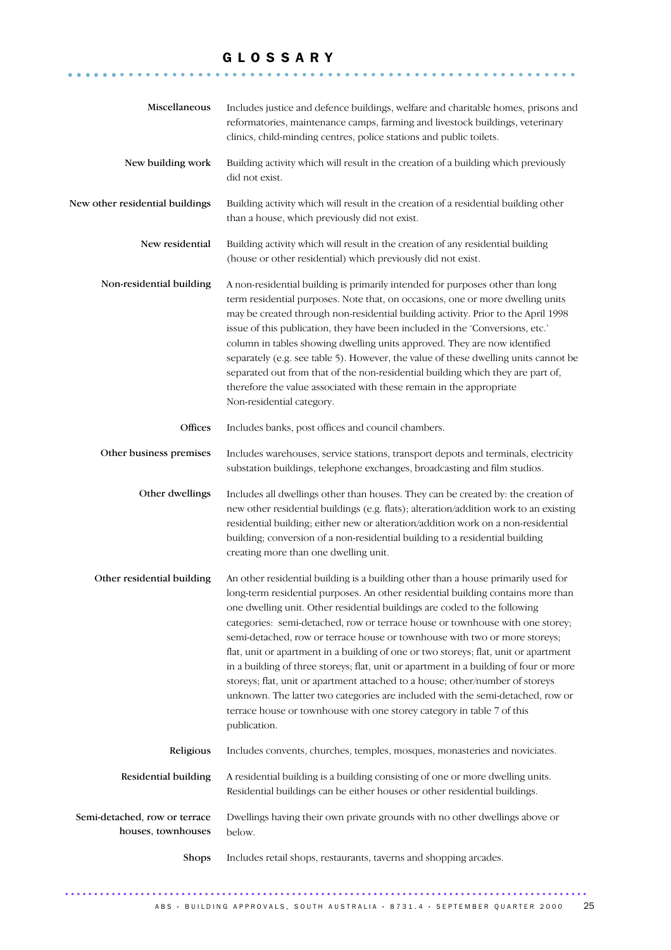### G L O S S A R Y

........................................................... ......

| Miscellaneous                                       | Includes justice and defence buildings, welfare and charitable homes, prisons and<br>reformatories, maintenance camps, farming and livestock buildings, veterinary<br>clinics, child-minding centres, police stations and public toilets.                                                                                                                                                                                                                                                                                                                                                                                                                                                                                                                                                                                                                       |
|-----------------------------------------------------|-----------------------------------------------------------------------------------------------------------------------------------------------------------------------------------------------------------------------------------------------------------------------------------------------------------------------------------------------------------------------------------------------------------------------------------------------------------------------------------------------------------------------------------------------------------------------------------------------------------------------------------------------------------------------------------------------------------------------------------------------------------------------------------------------------------------------------------------------------------------|
| New building work                                   | Building activity which will result in the creation of a building which previously<br>did not exist.                                                                                                                                                                                                                                                                                                                                                                                                                                                                                                                                                                                                                                                                                                                                                            |
| New other residential buildings                     | Building activity which will result in the creation of a residential building other<br>than a house, which previously did not exist.                                                                                                                                                                                                                                                                                                                                                                                                                                                                                                                                                                                                                                                                                                                            |
| New residential                                     | Building activity which will result in the creation of any residential building<br>(house or other residential) which previously did not exist.                                                                                                                                                                                                                                                                                                                                                                                                                                                                                                                                                                                                                                                                                                                 |
| Non-residential building                            | A non-residential building is primarily intended for purposes other than long<br>term residential purposes. Note that, on occasions, one or more dwelling units<br>may be created through non-residential building activity. Prior to the April 1998<br>issue of this publication, they have been included in the 'Conversions, etc.'<br>column in tables showing dwelling units approved. They are now identified<br>separately (e.g. see table 5). However, the value of these dwelling units cannot be<br>separated out from that of the non-residential building which they are part of,<br>therefore the value associated with these remain in the appropriate<br>Non-residential category.                                                                                                                                                                |
| Offices                                             | Includes banks, post offices and council chambers.                                                                                                                                                                                                                                                                                                                                                                                                                                                                                                                                                                                                                                                                                                                                                                                                              |
| Other business premises                             | Includes warehouses, service stations, transport depots and terminals, electricity<br>substation buildings, telephone exchanges, broadcasting and film studios.                                                                                                                                                                                                                                                                                                                                                                                                                                                                                                                                                                                                                                                                                                 |
| Other dwellings                                     | Includes all dwellings other than houses. They can be created by: the creation of<br>new other residential buildings (e.g. flats); alteration/addition work to an existing<br>residential building; either new or alteration/addition work on a non-residential<br>building; conversion of a non-residential building to a residential building<br>creating more than one dwelling unit.                                                                                                                                                                                                                                                                                                                                                                                                                                                                        |
| Other residential building                          | An other residential building is a building other than a house primarily used for<br>long-term residential purposes. An other residential building contains more than<br>one dwelling unit. Other residential buildings are coded to the following<br>categories: semi-detached, row or terrace house or townhouse with one storey;<br>semi-detached, row or terrace house or townhouse with two or more storeys;<br>flat, unit or apartment in a building of one or two storeys; flat, unit or apartment<br>in a building of three storeys; flat, unit or apartment in a building of four or more<br>storeys; flat, unit or apartment attached to a house; other/number of storeys<br>unknown. The latter two categories are included with the semi-detached, row or<br>terrace house or townhouse with one storey category in table 7 of this<br>publication. |
| Religious                                           | Includes convents, churches, temples, mosques, monasteries and noviciates.                                                                                                                                                                                                                                                                                                                                                                                                                                                                                                                                                                                                                                                                                                                                                                                      |
| Residential building                                | A residential building is a building consisting of one or more dwelling units.<br>Residential buildings can be either houses or other residential buildings.                                                                                                                                                                                                                                                                                                                                                                                                                                                                                                                                                                                                                                                                                                    |
| Semi-detached, row or terrace<br>houses, townhouses | Dwellings having their own private grounds with no other dwellings above or<br>below.                                                                                                                                                                                                                                                                                                                                                                                                                                                                                                                                                                                                                                                                                                                                                                           |
| <b>Shops</b>                                        | Includes retail shops, restaurants, taverns and shopping arcades.                                                                                                                                                                                                                                                                                                                                                                                                                                                                                                                                                                                                                                                                                                                                                                                               |